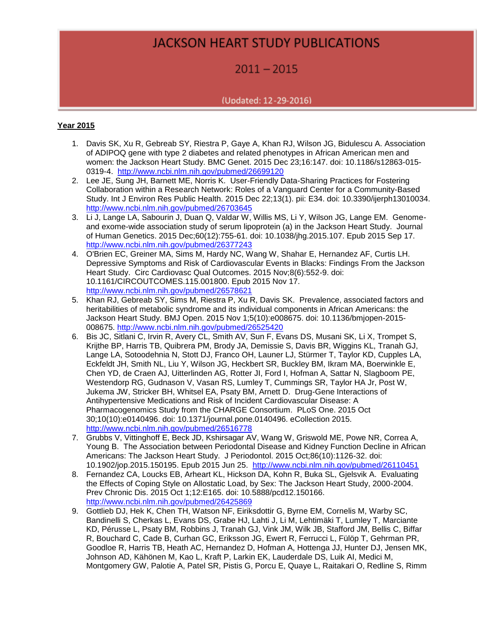### $2011 - 2015$

#### (Updated: 12-29-2016)

#### **Year 2015**

- 1. Davis SK, Xu R, Gebreab SY, Riestra P, Gaye A, Khan RJ, Wilson JG, Bidulescu A. Association of ADIPOQ gene with type 2 diabetes and related phenotypes in African American men and women: the Jackson Heart Study. BMC Genet. 2015 Dec 23;16:147. doi: 10.1186/s12863-015- 0319-4. <http://www.ncbi.nlm.nih.gov/pubmed/26699120>
- 2. Lee JE, Sung JH, Barnett ME, Norris K. User-Friendly Data-Sharing Practices for Fostering Collaboration within a Research Network: Roles of a Vanguard Center for a Community-Based Study. Int J Environ Res Public Health. 2015 Dec 22;13(1). pii: E34. doi: 10.3390/ijerph13010034. <http://www.ncbi.nlm.nih.gov/pubmed/26703645>
- 3. Li J, Lange LA, Sabourin J, Duan Q, Valdar W, Willis MS, Li Y, Wilson JG, Lange EM. Genomeand exome-wide association study of serum lipoprotein (a) in the Jackson Heart Study. Journal of Human Genetics. 2015 Dec;60(12):755-61. doi: 10.1038/jhg.2015.107. Epub 2015 Sep 17. <http://www.ncbi.nlm.nih.gov/pubmed/26377243>
- 4. O'Brien EC, Greiner MA, Sims M, Hardy NC, Wang W, Shahar E, Hernandez AF, Curtis LH. Depressive Symptoms and Risk of Cardiovascular Events in Blacks: Findings From the Jackson Heart Study. Circ Cardiovasc Qual Outcomes. 2015 Nov;8(6):552-9. doi: 10.1161/CIRCOUTCOMES.115.001800. Epub 2015 Nov 17. <http://www.ncbi.nlm.nih.gov/pubmed/26578621>
- 5. Khan RJ, Gebreab SY, Sims M, Riestra P, Xu R, Davis SK. Prevalence, associated factors and heritabilities of metabolic syndrome and its individual components in African Americans: the Jackson Heart Study. BMJ Open. 2015 Nov 1;5(10):e008675. doi: 10.1136/bmjopen-2015- 008675.<http://www.ncbi.nlm.nih.gov/pubmed/26525420>
- 6. Bis JC, Sitlani C, Irvin R, Avery CL, Smith AV, Sun F, Evans DS, Musani SK, Li X, Trompet S, Krijthe BP, Harris TB, Quibrera PM, Brody JA, Demissie S, Davis BR, Wiggins KL, Tranah GJ, Lange LA, Sotoodehnia N, Stott DJ, Franco OH, Launer LJ, Stürmer T, Taylor KD, Cupples LA, Eckfeldt JH, Smith NL, Liu Y, Wilson JG, Heckbert SR, Buckley BM, Ikram MA, Boerwinkle E, Chen YD, de Craen AJ, Uitterlinden AG, Rotter JI, Ford I, Hofman A, Sattar N, Slagboom PE, Westendorp RG, Gudnason V, Vasan RS, Lumley T, Cummings SR, Taylor HA Jr, Post W, Jukema JW, Stricker BH, Whitsel EA, Psaty BM, Arnett D. Drug-Gene Interactions of Antihypertensive Medications and Risk of Incident Cardiovascular Disease: A Pharmacogenomics Study from the CHARGE Consortium. PLoS One. 2015 Oct 30;10(10):e0140496. doi: 10.1371/journal.pone.0140496. eCollection 2015. <http://www.ncbi.nlm.nih.gov/pubmed/26516778>
- 7. Grubbs V, Vittinghoff E, Beck JD, Kshirsagar AV, Wang W, Griswold ME, Powe NR, Correa A, Young B. The Association between Periodontal Disease and Kidney Function Decline in African Americans: The Jackson Heart Study. J Periodontol. 2015 Oct;86(10):1126-32. doi: 10.1902/jop.2015.150195. Epub 2015 Jun 25. <http://www.ncbi.nlm.nih.gov/pubmed/26110451>
- 8. Fernandez CA, Loucks EB, Arheart KL, Hickson DA, Kohn R, Buka SL, Gjelsvik A. Evaluating the Effects of Coping Style on Allostatic Load, by Sex: The Jackson Heart Study, 2000-2004. Prev Chronic Dis. 2015 Oct 1;12:E165. doi: 10.5888/pcd12.150166. <http://www.ncbi.nlm.nih.gov/pubmed/26425869>
- 9. Gottlieb DJ, Hek K, Chen TH, Watson NF, Eiriksdottir G, Byrne EM, Cornelis M, Warby SC, Bandinelli S, Cherkas L, Evans DS, Grabe HJ, Lahti J, Li M, Lehtimäki T, Lumley T, Marciante KD, Pérusse L, Psaty BM, Robbins J, Tranah GJ, Vink JM, Wilk JB, Stafford JM, Bellis C, Biffar R, Bouchard C, Cade B, Curhan GC, Eriksson JG, Ewert R, Ferrucci L, Fülöp T, Gehrman PR, Goodloe R, Harris TB, Heath AC, Hernandez D, Hofman A, Hottenga JJ, Hunter DJ, Jensen MK, Johnson AD, Kähönen M, Kao L, Kraft P, Larkin EK, Lauderdale DS, Luik AI, Medici M, Montgomery GW, Palotie A, Patel SR, Pistis G, Porcu E, Quaye L, Raitakari O, Redline S, Rimm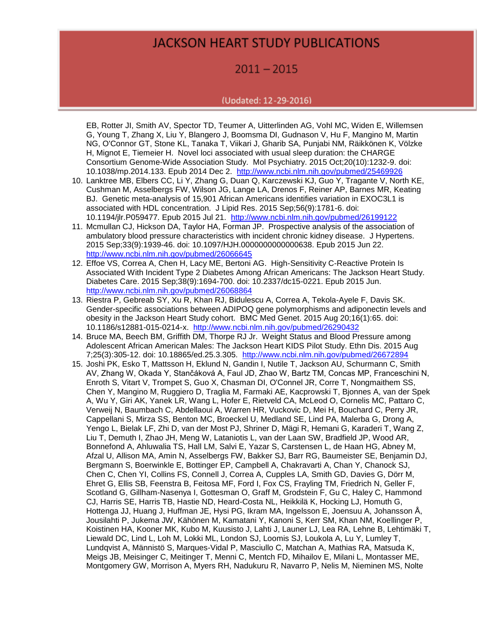### $2011 - 2015$

#### (Updated: 12-29-2016)

EB, Rotter JI, Smith AV, Spector TD, Teumer A, Uitterlinden AG, Vohl MC, Widen E, Willemsen G, Young T, Zhang X, Liu Y, Blangero J, Boomsma DI, Gudnason V, Hu F, Mangino M, Martin NG, O'Connor GT, Stone KL, Tanaka T, Viikari J, Gharib SA, Punjabi NM, Räikkönen K, Völzke H, Mignot E, Tiemeier H. Novel loci associated with usual sleep duration: the CHARGE Consortium Genome-Wide Association Study. Mol Psychiatry. 2015 Oct;20(10):1232-9. doi: 10.1038/mp.2014.133. Epub 2014 Dec 2. <http://www.ncbi.nlm.nih.gov/pubmed/25469926>

- 10. Lanktree MB, Elbers CC, Li Y, Zhang G, Duan Q, Karczewski KJ, Guo Y, Tragante V, North KE, Cushman M, Asselbergs FW, Wilson JG, Lange LA, Drenos F, Reiner AP, Barnes MR, Keating BJ. Genetic meta-analysis of 15,901 African Americans identifies variation in EXOC3L1 is associated with HDL concentration. J Lipid Res. 2015 Sep;56(9):1781-6. doi: 10.1194/jlr.P059477. Epub 2015 Jul 21. <http://www.ncbi.nlm.nih.gov/pubmed/26199122>
- 11. Mcmullan CJ, Hickson DA, Taylor HA, Forman JP. Prospective analysis of the association of ambulatory blood pressure characteristics with incident chronic kidney disease. J Hypertens. 2015 Sep;33(9):1939-46. doi: 10.1097/HJH.0000000000000638. Epub 2015 Jun 22. <http://www.ncbi.nlm.nih.gov/pubmed/26066645>
- 12. Effoe VS, Correa A, Chen H, Lacy ME, Bertoni AG. High-Sensitivity C-Reactive Protein Is Associated With Incident Type 2 Diabetes Among African Americans: The Jackson Heart Study. Diabetes Care. 2015 Sep;38(9):1694-700. doi: 10.2337/dc15-0221. Epub 2015 Jun. <http://www.ncbi.nlm.nih.gov/pubmed/26068864>
- 13. Riestra P, Gebreab SY, Xu R, Khan RJ, Bidulescu A, Correa A, Tekola-Ayele F, Davis SK. Gender-specific associations between ADIPOQ gene polymorphisms and adiponectin levels and obesity in the Jackson Heart Study cohort. BMC Med Genet. 2015 Aug 20;16(1):65. doi: 10.1186/s12881-015-0214-x. <http://www.ncbi.nlm.nih.gov/pubmed/26290432>
- 14. Bruce MA, Beech BM, Griffith DM, Thorpe RJ Jr. Weight Status and Blood Pressure among Adolescent African American Males: The Jackson Heart KIDS Pilot Study. Ethn Dis. 2015 Aug 7;25(3):305-12. doi: 10.18865/ed.25.3.305. <http://www.ncbi.nlm.nih.gov/pubmed/26672894>
- 15. Joshi PK, Esko T, Mattsson H, Eklund N, Gandin I, Nutile T, Jackson AU, Schurmann C, Smith AV, Zhang W, Okada Y, Stančáková A, Faul JD, Zhao W, Bartz TM, Concas MP, Franceschini N, Enroth S, Vitart V, Trompet S, Guo X, Chasman DI, O'Connel JR, Corre T, Nongmaithem SS, Chen Y, Mangino M, Ruggiero D, Traglia M, Farmaki AE, Kacprowski T, Bjonnes A, van der Spek A, Wu Y, Giri AK, Yanek LR, Wang L, Hofer E, Rietveld CA, McLeod O, Cornelis MC, Pattaro C, Verweij N, Baumbach C, Abdellaoui A, Warren HR, Vuckovic D, Mei H, Bouchard C, Perry JR, Cappellani S, Mirza SS, Benton MC, Broeckel U, Medland SE, Lind PA, Malerba G, Drong A, Yengo L, Bielak LF, Zhi D, van der Most PJ, Shriner D, Mägi R, Hemani G, Karaderi T, Wang Z, Liu T, Demuth I, Zhao JH, Meng W, Lataniotis L, van der Laan SW, Bradfield JP, Wood AR, Bonnefond A, Ahluwalia TS, Hall LM, Salvi E, Yazar S, Carstensen L, de Haan HG, Abney M, Afzal U, Allison MA, Amin N, Asselbergs FW, Bakker SJ, Barr RG, Baumeister SE, Benjamin DJ, Bergmann S, Boerwinkle E, Bottinger EP, Campbell A, Chakravarti A, Chan Y, Chanock SJ, Chen C, Chen YI, Collins FS, Connell J, Correa A, Cupples LA, Smith GD, Davies G, Dörr M, Ehret G, Ellis SB, Feenstra B, Feitosa MF, Ford I, Fox CS, Frayling TM, Friedrich N, Geller F, Scotland G, Gillham-Nasenya I, Gottesman O, Graff M, Grodstein F, Gu C, Haley C, Hammond CJ, Harris SE, Harris TB, Hastie ND, Heard-Costa NL, Heikkilä K, Hocking LJ, Homuth G, Hottenga JJ, Huang J, Huffman JE, Hysi PG, Ikram MA, Ingelsson E, Joensuu A, Johansson Å, Jousilahti P, Jukema JW, Kähönen M, Kamatani Y, Kanoni S, Kerr SM, Khan NM, Koellinger P, Koistinen HA, Kooner MK, Kubo M, Kuusisto J, Lahti J, Launer LJ, Lea RA, Lehne B, Lehtimäki T, Liewald DC, Lind L, Loh M, Lokki ML, London SJ, Loomis SJ, Loukola A, Lu Y, Lumley T, Lundqvist A, Männistö S, Marques-Vidal P, Masciullo C, Matchan A, Mathias RA, Matsuda K, Meigs JB, Meisinger C, Meitinger T, Menni C, Mentch FD, Mihailov E, Milani L, Montasser ME, Montgomery GW, Morrison A, Myers RH, Nadukuru R, Navarro P, Nelis M, Nieminen MS, Nolte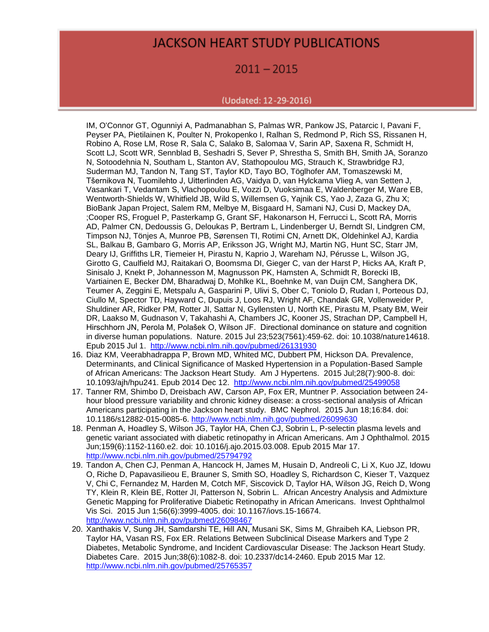### $2011 - 2015$

#### (Updated: 12-29-2016)

IM, O'Connor GT, Ogunniyi A, Padmanabhan S, Palmas WR, Pankow JS, Patarcic I, Pavani F, Peyser PA, Pietilainen K, Poulter N, Prokopenko I, Ralhan S, Redmond P, Rich SS, Rissanen H, Robino A, Rose LM, Rose R, Sala C, Salako B, Salomaa V, Sarin AP, Saxena R, Schmidt H, Scott LJ, Scott WR, Sennblad B, Seshadri S, Sever P, Shrestha S, Smith BH, Smith JA, Soranzo N, Sotoodehnia N, Southam L, Stanton AV, Stathopoulou MG, Strauch K, Strawbridge RJ, Suderman MJ, Tandon N, Tang ST, Taylor KD, Tayo BO, Töglhofer AM, Tomaszewski M, Tšernikova N, Tuomilehto J, Uitterlinden AG, Vaidya D, van Hylckama Vlieg A, van Setten J, Vasankari T, Vedantam S, Vlachopoulou E, Vozzi D, Vuoksimaa E, Waldenberger M, Ware EB, Wentworth-Shields W, Whitfield JB, Wild S, Willemsen G, Yajnik CS, Yao J, Zaza G, Zhu X; BioBank Japan Project, Salem RM, Melbye M, Bisgaard H, Samani NJ, Cusi D, Mackey DA, ;Cooper RS, Froguel P, Pasterkamp G, Grant SF, Hakonarson H, Ferrucci L, Scott RA, Morris AD, Palmer CN, Dedoussis G, Deloukas P, Bertram L, Lindenberger U, Berndt SI, Lindgren CM, Timpson NJ, Tönjes A, Munroe PB, Sørensen TI, Rotimi CN, Arnett DK, Oldehinkel AJ, Kardia SL, Balkau B, Gambaro G, Morris AP, Eriksson JG, Wright MJ, Martin NG, Hunt SC, Starr JM, Deary IJ, Griffiths LR, Tiemeier H, Pirastu N, Kaprio J, Wareham NJ, Pérusse L, Wilson JG, Girotto G, Caulfield MJ, Raitakari O, Boomsma DI, Gieger C, van der Harst P, Hicks AA, Kraft P, Sinisalo J, Knekt P, Johannesson M, Magnusson PK, Hamsten A, Schmidt R, Borecki IB, Vartiainen E, Becker DM, Bharadwaj D, Mohlke KL, Boehnke M, van Duijn CM, Sanghera DK, Teumer A, Zeggini E, Metspalu A, Gasparini P, Ulivi S, Ober C, Toniolo D, Rudan I, Porteous DJ, Ciullo M, Spector TD, Hayward C, Dupuis J, Loos RJ, Wright AF, Chandak GR, Vollenweider P, Shuldiner AR, Ridker PM, Rotter JI, Sattar N, Gyllensten U, North KE, Pirastu M, Psaty BM, Weir DR, Laakso M, Gudnason V, Takahashi A, Chambers JC, Kooner JS, Strachan DP, Campbell H, Hirschhorn JN, Perola M, Polašek O, Wilson JF. Directional dominance on stature and cognition in diverse human populations. Nature. 2015 Jul 23;523(7561):459-62. doi: 10.1038/nature14618. Epub 2015 Jul 1. <http://www.ncbi.nlm.nih.gov/pubmed/26131930>

- 16. Diaz KM, Veerabhadrappa P, Brown MD, Whited MC, Dubbert PM, Hickson DA. Prevalence, Determinants, and Clinical Significance of Masked Hypertension in a Population-Based Sample of African Americans: The Jackson Heart Study. Am J Hypertens. 2015 Jul;28(7):900-8. doi: 10.1093/ajh/hpu241. Epub 2014 Dec 12. <http://www.ncbi.nlm.nih.gov/pubmed/25499058>
- 17. Tanner RM, Shimbo D, Dreisbach AW, Carson AP, Fox ER, Muntner P. Association between 24 hour blood pressure variability and chronic kidney disease: a cross-sectional analysis of African Americans participating in the Jackson heart study. BMC Nephrol. 2015 Jun 18;16:84. doi: 10.1186/s12882-015-0085-6. <http://www.ncbi.nlm.nih.gov/pubmed/26099630>
- 18. Penman A, Hoadley S, Wilson JG, Taylor HA, Chen CJ, Sobrin L, P-selectin plasma levels and genetic variant associated with diabetic retinopathy in African Americans. Am J Ophthalmol. 2015 Jun;159(6):1152-1160.e2. doi: 10.1016/j.ajo.2015.03.008. Epub 2015 Mar 17. <http://www.ncbi.nlm.nih.gov/pubmed/25794792>
- 19. Tandon A, Chen CJ, Penman A, Hancock H, James M, Husain D, Andreoli C, Li X, Kuo JZ, Idowu O, Riche D, Papavasilieou E, Brauner S, Smith SO, Hoadley S, Richardson C, Kieser T, Vazquez V, Chi C, Fernandez M, Harden M, Cotch MF, Siscovick D, Taylor HA, Wilson JG, Reich D, Wong TY, Klein R, Klein BE, Rotter JI, Patterson N, Sobrin L. African Ancestry Analysis and Admixture Genetic Mapping for Proliferative Diabetic Retinopathy in African Americans. Invest Ophthalmol Vis Sci. 2015 Jun 1;56(6):3999-4005. doi: 10.1167/iovs.15-16674. <http://www.ncbi.nlm.nih.gov/pubmed/26098467>
- 20. Xanthakis V, Sung JH, Samdarshi TE, Hill AN, Musani SK, Sims M, Ghraibeh KA, Liebson PR, Taylor HA, Vasan RS, Fox ER. Relations Between Subclinical Disease Markers and Type 2 Diabetes, Metabolic Syndrome, and Incident Cardiovascular Disease: The Jackson Heart Study. Diabetes Care. 2015 Jun;38(6):1082-8. doi: 10.2337/dc14-2460. Epub 2015 Mar 12. <http://www.ncbi.nlm.nih.gov/pubmed/25765357>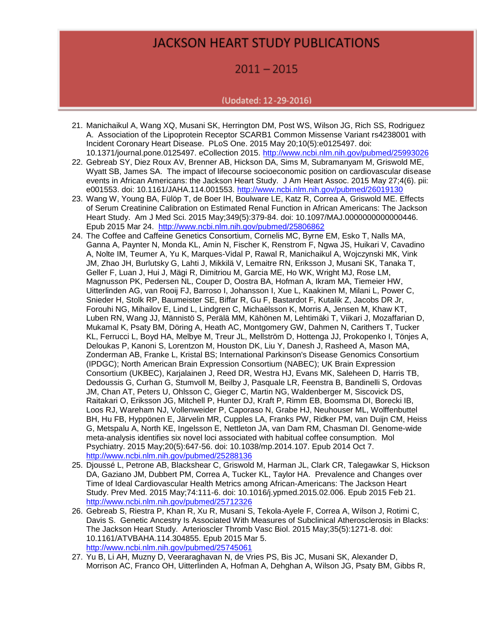### $2011 - 2015$

#### (Updated: 12-29-2016)

- 21. Manichaikul A, Wang XQ, Musani SK, Herrington DM, Post WS, Wilson JG, Rich SS, Rodriguez A. Association of the Lipoprotein Receptor SCARB1 Common Missense Variant rs4238001 with Incident Coronary Heart Disease. PLoS One. 2015 May 20;10(5):e0125497. doi: 10.1371/journal.pone.0125497. eCollection 2015.<http://www.ncbi.nlm.nih.gov/pubmed/25993026>
- 22. Gebreab SY, Diez Roux AV, Brenner AB, Hickson DA, Sims M, Subramanyam M, Griswold ME, Wyatt SB, James SA. The impact of lifecourse socioeconomic position on cardiovascular disease events in African Americans: the Jackson Heart Study. J Am Heart Assoc. 2015 May 27;4(6). pii: e001553. doi: 10.1161/JAHA.114.001553.<http://www.ncbi.nlm.nih.gov/pubmed/26019130>
- 23. Wang W, Young BA, Fülöp T, de Boer IH, Boulware LE, Katz R, Correa A, Griswold ME. Effects of Serum Creatinine Calibration on Estimated Renal Function in African Americans: The Jackson Heart Study. Am J Med Sci. 2015 May;349(5):379-84. doi: 10.1097/MAJ.0000000000000446. Epub 2015 Mar 24. <http://www.ncbi.nlm.nih.gov/pubmed/25806862>
- 24. The Coffee and Caffeine Genetics Consortium, Cornelis MC, Byrne EM, Esko T, Nalls MA, Ganna A, Paynter N, Monda KL, Amin N, Fischer K, Renstrom F, Ngwa JS, Huikari V, Cavadino A, Nolte IM, Teumer A, Yu K, Marques-Vidal P, Rawal R, Manichaikul A, Wojczynski MK, Vink JM, Zhao JH, Burlutsky G, Lahti J, Mikkilä V, Lemaitre RN, Eriksson J, Musani SK, Tanaka T, Geller F, Luan J, Hui J, Mägi R, Dimitriou M, Garcia ME, Ho WK, Wright MJ, Rose LM, Magnusson PK, Pedersen NL, Couper D, Oostra BA, Hofman A, Ikram MA, Tiemeier HW, Uitterlinden AG, van Rooij FJ, Barroso I, Johansson I, Xue L, Kaakinen M, Milani L, Power C, Snieder H, Stolk RP, Baumeister SE, Biffar R, Gu F, Bastardot F, Kutalik Z, Jacobs DR Jr, Forouhi NG, Mihailov E, Lind L, Lindgren C, Michaëlsson K, Morris A, Jensen M, Khaw KT, Luben RN, Wang JJ, Männistö S, Perälä MM, Kähönen M, Lehtimäki T, Viikari J, Mozaffarian D, Mukamal K, Psaty BM, Döring A, Heath AC, Montgomery GW, Dahmen N, Carithers T, Tucker KL, Ferrucci L, Boyd HA, Melbye M, Treur JL, Mellström D, Hottenga JJ, Prokopenko I, Tönjes A, Deloukas P, Kanoni S, Lorentzon M, Houston DK, Liu Y, Danesh J, Rasheed A, Mason MA, Zonderman AB, Franke L, Kristal BS; International Parkinson's Disease Genomics Consortium (IPDGC); North American Brain Expression Consortium (NABEC); UK Brain Expression Consortium (UKBEC), Karjalainen J, Reed DR, Westra HJ, Evans MK, Saleheen D, Harris TB, Dedoussis G, Curhan G, Stumvoll M, Beilby J, Pasquale LR, Feenstra B, Bandinelli S, Ordovas JM, Chan AT, Peters U, Ohlsson C, Gieger C, Martin NG, Waldenberger M, Siscovick DS, Raitakari O, Eriksson JG, Mitchell P, Hunter DJ, Kraft P, Rimm EB, Boomsma DI, Borecki IB, Loos RJ, Wareham NJ, Vollenweider P, Caporaso N, Grabe HJ, Neuhouser ML, Wolffenbuttel BH, Hu FB, Hyppönen E, Järvelin MR, Cupples LA, Franks PW, Ridker PM, van Duijn CM, Heiss G, Metspalu A, North KE, Ingelsson E, Nettleton JA, van Dam RM, Chasman DI. Genome-wide meta-analysis identifies six novel loci associated with habitual coffee consumption. Mol Psychiatry. 2015 May;20(5):647-56. doi: 10.1038/mp.2014.107. Epub 2014 Oct 7. <http://www.ncbi.nlm.nih.gov/pubmed/25288136>
- 25. Djoussé L, Petrone AB, Blackshear C, Griswold M, Harman JL, Clark CR, Talegawkar S, Hickson DA, Gaziano JM, Dubbert PM, Correa A, Tucker KL, Taylor HA. Prevalence and Changes over Time of Ideal Cardiovascular Health Metrics among African-Americans: The Jackson Heart Study. Prev Med. 2015 May;74:111-6. doi: 10.1016/j.ypmed.2015.02.006. Epub 2015 Feb 21. <http://www.ncbi.nlm.nih.gov/pubmed/25712326>
- 26. Gebreab S, Riestra P, Khan R, Xu R, Musani S, Tekola-Ayele F, Correa A, Wilson J, Rotimi C, Davis S. Genetic Ancestry Is Associated With Measures of Subclinical Atherosclerosis in Blacks: The Jackson Heart Study. Arterioscler Thromb Vasc Biol. 2015 May;35(5):1271-8. doi: 10.1161/ATVBAHA.114.304855. Epub 2015 Mar 5. <http://www.ncbi.nlm.nih.gov/pubmed/25745061>
- 27. Yu B, Li AH, Muzny D, Veeraraghavan N, de Vries PS, Bis JC, Musani SK, Alexander D, Morrison AC, Franco OH, Uitterlinden A, Hofman A, Dehghan A, Wilson JG, Psaty BM, Gibbs R,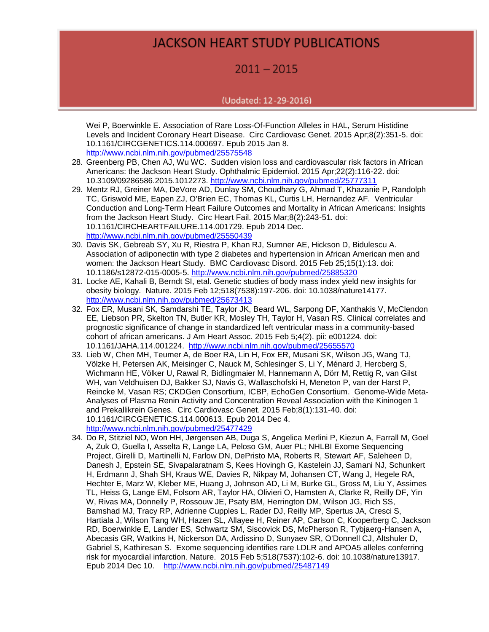### $2011 - 2015$

#### (Updated: 12-29-2016)

Wei P, Boerwinkle E. Association of Rare Loss-Of-Function Alleles in HAL, Serum Histidine Levels and Incident Coronary Heart Disease. Circ Cardiovasc Genet. 2015 Apr;8(2):351-5. doi: 10.1161/CIRCGENETICS.114.000697. Epub 2015 Jan 8. <http://www.ncbi.nlm.nih.gov/pubmed/25575548>

- 28. Greenberg PB, Chen AJ, Wu WC. Sudden vision loss and cardiovascular risk factors in African Americans: the Jackson Heart Study. Ophthalmic Epidemiol. 2015 Apr;22(2):116-22. doi: 10.3109/09286586.2015.1012273.<http://www.ncbi.nlm.nih.gov/pubmed/25777311>
- 29. Mentz RJ, Greiner MA, DeVore AD, Dunlay SM, Choudhary G, Ahmad T, Khazanie P, Randolph TC, Griswold ME, Eapen ZJ, O'Brien EC, Thomas KL, Curtis LH, Hernandez AF. Ventricular Conduction and Long-Term Heart Failure Outcomes and Mortality in African Americans: Insights from the Jackson Heart Study. Circ Heart Fail. 2015 Mar;8(2):243-51. doi: 10.1161/CIRCHEARTFAILURE.114.001729. Epub 2014 Dec. <http://www.ncbi.nlm.nih.gov/pubmed/25550439>
- 30. Davis SK, Gebreab SY, Xu R, Riestra P, Khan RJ, Sumner AE, Hickson D, Bidulescu A. Association of adiponectin with type 2 diabetes and hypertension in African American men and women: the Jackson Heart Study. BMC Cardiovasc Disord. 2015 Feb 25;15(1):13. doi: 10.1186/s12872-015-0005-5.<http://www.ncbi.nlm.nih.gov/pubmed/25885320>
- 31. Locke AE, Kahali B, Berndt SI, etal. Genetic studies of body mass index yield new insights for obesity biology. Nature. 2015 Feb 12;518(7538):197-206. doi: 10.1038/nature14177. <http://www.ncbi.nlm.nih.gov/pubmed/25673413>
- 32. Fox ER, Musani SK, Samdarshi TE, Taylor JK, Beard WL, Sarpong DF, Xanthakis V, McClendon EE, Liebson PR, Skelton TN, Butler KR, Mosley TH, Taylor H, Vasan RS. Clinical correlates and prognostic significance of change in standardized left ventricular mass in a community-based cohort of african americans. J Am Heart Assoc. 2015 Feb 5;4(2). pii: e001224. doi: 10.1161/JAHA.114.001224. <http://www.ncbi.nlm.nih.gov/pubmed/25655570>
- 33. Lieb W, Chen MH, Teumer A, de Boer RA, Lin H, Fox ER, Musani SK, Wilson JG, Wang TJ, Völzke H, Petersen AK, Meisinger C, Nauck M, Schlesinger S, Li Y, Ménard J, Hercberg S, Wichmann HE, Völker U, Rawal R, Bidlingmaier M, Hannemann A, Dörr M, Rettig R, van Gilst WH, van Veldhuisen DJ, Bakker SJ, Navis G, Wallaschofski H, Meneton P, van der Harst P, Reincke M, Vasan RS; CKDGen Consortium, ICBP, EchoGen Consortium. Genome-Wide Meta-Analyses of Plasma Renin Activity and Concentration Reveal Association with the Kininogen 1 and Prekallikrein Genes. Circ Cardiovasc Genet. 2015 Feb;8(1):131-40. doi: 10.1161/CIRCGENETICS.114.000613. Epub 2014 Dec 4. <http://www.ncbi.nlm.nih.gov/pubmed/25477429>
- 34. Do R, Stitziel NO, Won HH, Jørgensen AB, Duga S, Angelica Merlini P, Kiezun A, Farrall M, Goel A, Zuk O, Guella I, Asselta R, Lange LA, Peloso GM, Auer PL; NHLBI Exome Sequencing Project, Girelli D, Martinelli N, Farlow DN, DePristo MA, Roberts R, Stewart AF, Saleheen D, Danesh J, Epstein SE, Sivapalaratnam S, Kees Hovingh G, Kastelein JJ, Samani NJ, Schunkert H, Erdmann J, Shah SH, Kraus WE, Davies R, Nikpay M, Johansen CT, Wang J, Hegele RA, Hechter E, Marz W, Kleber ME, Huang J, Johnson AD, Li M, Burke GL, Gross M, Liu Y, Assimes TL, Heiss G, Lange EM, Folsom AR, Taylor HA, Olivieri O, Hamsten A, Clarke R, Reilly DF, Yin W, Rivas MA, Donnelly P, Rossouw JE, Psaty BM, Herrington DM, Wilson JG, Rich SS, Bamshad MJ, Tracy RP, Adrienne Cupples L, Rader DJ, Reilly MP, Spertus JA, Cresci S, Hartiala J, Wilson Tang WH, Hazen SL, Allayee H, Reiner AP, Carlson C, Kooperberg C, Jackson RD, Boerwinkle E, Lander ES, Schwartz SM, Siscovick DS, McPherson R, Tybjaerg-Hansen A, Abecasis GR, Watkins H, Nickerson DA, Ardissino D, Sunyaev SR, O'Donnell CJ, Altshuler D, Gabriel S, Kathiresan S. Exome sequencing identifies rare LDLR and APOA5 alleles conferring risk for myocardial infarction. Nature. 2015 Feb 5;518(7537):102-6. doi: 10.1038/nature13917. Epub 2014 Dec 10. <http://www.ncbi.nlm.nih.gov/pubmed/25487149>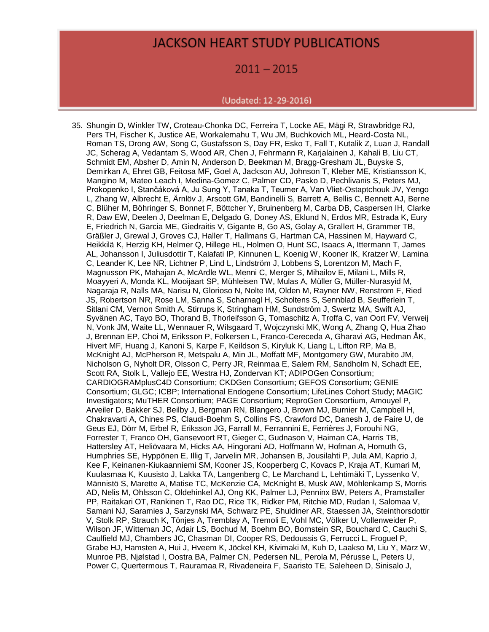### $2011 - 2015$

#### (Updated: 12-29-2016)

35. Shungin D, Winkler TW, Croteau-Chonka DC, Ferreira T, Locke AE, Mägi R, Strawbridge RJ, Pers TH, Fischer K, Justice AE, Workalemahu T, Wu JM, Buchkovich ML, Heard-Costa NL, Roman TS, Drong AW, Song C, Gustafsson S, Day FR, Esko T, Fall T, Kutalik Z, Luan J, Randall JC, Scherag A, Vedantam S, Wood AR, Chen J, Fehrmann R, Karjalainen J, Kahali B, Liu CT, Schmidt EM, Absher D, Amin N, Anderson D, Beekman M, Bragg-Gresham JL, Buyske S, Demirkan A, Ehret GB, Feitosa MF, Goel A, Jackson AU, Johnson T, Kleber ME, Kristiansson K, Mangino M, Mateo Leach I, Medina-Gomez C, Palmer CD, Pasko D, Pechlivanis S, Peters MJ, Prokopenko I, Stančáková A, Ju Sung Y, Tanaka T, Teumer A, Van Vliet-Ostaptchouk JV, Yengo L, Zhang W, Albrecht E, Ärnlöv J, Arscott GM, Bandinelli S, Barrett A, Bellis C, Bennett AJ, Berne C, Blüher M, Böhringer S, Bonnet F, Böttcher Y, Bruinenberg M, Carba DB, Caspersen IH, Clarke R, Daw EW, Deelen J, Deelman E, Delgado G, Doney AS, Eklund N, Erdos MR, Estrada K, Eury E, Friedrich N, Garcia ME, Giedraitis V, Gigante B, Go AS, Golay A, Grallert H, Grammer TB, Gräßler J, Grewal J, Groves CJ, Haller T, Hallmans G, Hartman CA, Hassinen M, Hayward C, Heikkilä K, Herzig KH, Helmer Q, Hillege HL, Holmen O, Hunt SC, Isaacs A, Ittermann T, James AL, Johansson I, Juliusdottir T, Kalafati IP, Kinnunen L, Koenig W, Kooner IK, Kratzer W, Lamina C, Leander K, Lee NR, Lichtner P, Lind L, Lindström J, Lobbens S, Lorentzon M, Mach F, Magnusson PK, Mahajan A, McArdle WL, Menni C, Merger S, Mihailov E, Milani L, Mills R, Moayyeri A, Monda KL, Mooijaart SP, Mühleisen TW, Mulas A, Müller G, Müller-Nurasyid M, Nagaraja R, Nalls MA, Narisu N, Glorioso N, Nolte IM, Olden M, Rayner NW, Renstrom F, Ried JS, Robertson NR, Rose LM, Sanna S, Scharnagl H, Scholtens S, Sennblad B, Seufferlein T, Sitlani CM, Vernon Smith A, Stirrups K, Stringham HM, Sundström J, Swertz MA, Swift AJ, Syvänen AC, Tayo BO, Thorand B, Thorleifsson G, Tomaschitz A, Troffa C, van Oort FV, Verweij N, Vonk JM, Waite LL, Wennauer R, Wilsgaard T, Wojczynski MK, Wong A, Zhang Q, Hua Zhao J, Brennan EP, Choi M, Eriksson P, Folkersen L, Franco-Cereceda A, Gharavi AG, Hedman ÅK, Hivert MF, Huang J, Kanoni S, Karpe F, Keildson S, Kiryluk K, Liang L, Lifton RP, Ma B, McKnight AJ, McPherson R, Metspalu A, Min JL, Moffatt MF, Montgomery GW, Murabito JM, Nicholson G, Nyholt DR, Olsson C, Perry JR, Reinmaa E, Salem RM, Sandholm N, Schadt EE, Scott RA, Stolk L, Vallejo EE, Westra HJ, Zondervan KT; ADIPOGen Consortium; CARDIOGRAMplusC4D Consortium; CKDGen Consortium; GEFOS Consortium; GENIE Consortium; GLGC; ICBP; International Endogene Consortium; LifeLines Cohort Study; MAGIC Investigators; MuTHER Consortium; PAGE Consortium; ReproGen Consortium, Amouyel P, Arveiler D, Bakker SJ, Beilby J, Bergman RN, Blangero J, Brown MJ, Burnier M, Campbell H, Chakravarti A, Chines PS, Claudi-Boehm S, Collins FS, Crawford DC, Danesh J, de Faire U, de Geus EJ, Dörr M, Erbel R, Eriksson JG, Farrall M, Ferrannini E, Ferrières J, Forouhi NG, Forrester T, Franco OH, Gansevoort RT, Gieger C, Gudnason V, Haiman CA, Harris TB, Hattersley AT, Heliövaara M, Hicks AA, Hingorani AD, Hoffmann W, Hofman A, Homuth G, Humphries SE, Hyppönen E, Illig T, Jarvelin MR, Johansen B, Jousilahti P, Jula AM, Kaprio J, Kee F, Keinanen-Kiukaanniemi SM, Kooner JS, Kooperberg C, Kovacs P, Kraja AT, Kumari M, Kuulasmaa K, Kuusisto J, Lakka TA, Langenberg C, Le Marchand L, Lehtimäki T, Lyssenko V, Männistö S, Marette A, Matise TC, McKenzie CA, McKnight B, Musk AW, Möhlenkamp S, Morris AD, Nelis M, Ohlsson C, Oldehinkel AJ, Ong KK, Palmer LJ, Penninx BW, Peters A, Pramstaller PP, Raitakari OT, Rankinen T, Rao DC, Rice TK, Ridker PM, Ritchie MD, Rudan I, Salomaa V, Samani NJ, Saramies J, Sarzynski MA, Schwarz PE, Shuldiner AR, Staessen JA, Steinthorsdottir V, Stolk RP, Strauch K, Tönjes A, Tremblay A, Tremoli E, Vohl MC, Völker U, Vollenweider P, Wilson JF, Witteman JC, Adair LS, Bochud M, Boehm BO, Bornstein SR, Bouchard C, Cauchi S, Caulfield MJ, Chambers JC, Chasman DI, Cooper RS, Dedoussis G, Ferrucci L, Froguel P, Grabe HJ, Hamsten A, Hui J, Hveem K, Jöckel KH, Kivimaki M, Kuh D, Laakso M, Liu Y, März W, Munroe PB, Njølstad I, Oostra BA, Palmer CN, Pedersen NL, Perola M, Pérusse L, Peters U, Power C, Quertermous T, Rauramaa R, Rivadeneira F, Saaristo TE, Saleheen D, Sinisalo J,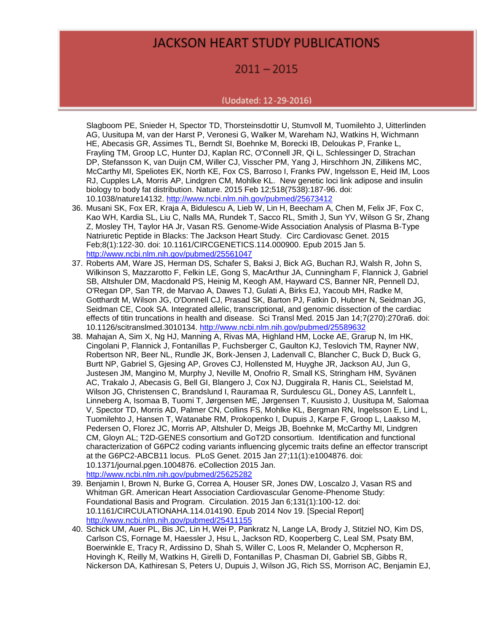### $2011 - 2015$

#### (Updated: 12-29-2016)

Slagboom PE, Snieder H, Spector TD, Thorsteinsdottir U, Stumvoll M, Tuomilehto J, Uitterlinden AG, Uusitupa M, van der Harst P, Veronesi G, Walker M, Wareham NJ, Watkins H, Wichmann HE, Abecasis GR, Assimes TL, Berndt SI, Boehnke M, Borecki IB, Deloukas P, Franke L, Frayling TM, Groop LC, Hunter DJ, Kaplan RC, O'Connell JR, Qi L, Schlessinger D, Strachan DP, Stefansson K, van Duijn CM, Willer CJ, Visscher PM, Yang J, Hirschhorn JN, Zillikens MC, McCarthy MI, Speliotes EK, North KE, Fox CS, Barroso I, Franks PW, Ingelsson E, Heid IM, Loos RJ, Cupples LA, Morris AP, Lindgren CM, Mohlke KL. New genetic loci link adipose and insulin biology to body fat distribution. Nature. 2015 Feb 12;518(7538):187-96. doi: 10.1038/nature14132.<http://www.ncbi.nlm.nih.gov/pubmed/25673412>

- 36. Musani SK, Fox ER, Kraja A, Bidulescu A, Lieb W, Lin H, Beecham A, Chen M, Felix JF, Fox C, Kao WH, Kardia SL, Liu C, Nalls MA, Rundek T, Sacco RL, Smith J, Sun YV, Wilson G Sr, Zhang Z, Mosley TH, Taylor HA Jr, Vasan RS. Genome-Wide Association Analysis of Plasma B-Type Natriuretic Peptide in Blacks: The Jackson Heart Study. Circ Cardiovasc Genet. 2015 Feb;8(1):122-30. doi: 10.1161/CIRCGENETICS.114.000900. Epub 2015 Jan 5. <http://www.ncbi.nlm.nih.gov/pubmed/25561047>
- 37. Roberts AM, Ware JS, Herman DS, Schafer S, Baksi J, Bick AG, Buchan RJ, Walsh R, John S, Wilkinson S, Mazzarotto F, Felkin LE, Gong S, MacArthur JA, Cunningham F, Flannick J, Gabriel SB, Altshuler DM, Macdonald PS, Heinig M, Keogh AM, Hayward CS, Banner NR, Pennell DJ, O'Regan DP, San TR, de Marvao A, Dawes TJ, Gulati A, Birks EJ, Yacoub MH, Radke M, Gotthardt M, Wilson JG, O'Donnell CJ, Prasad SK, Barton PJ, Fatkin D, Hubner N, Seidman JG, Seidman CE, Cook SA. Integrated allelic, transcriptional, and genomic dissection of the cardiac effects of titin truncations in health and disease. Sci Transl Med. 2015 Jan 14;7(270):270ra6. doi: 10.1126/scitranslmed.3010134.<http://www.ncbi.nlm.nih.gov/pubmed/25589632>
- 38. Mahajan A, Sim X, Ng HJ, Manning A, Rivas MA, Highland HM, Locke AE, Grarup N, Im HK, Cingolani P, Flannick J, Fontanillas P, Fuchsberger C, Gaulton KJ, Teslovich TM, Rayner NW, Robertson NR, Beer NL, Rundle JK, Bork-Jensen J, Ladenvall C, Blancher C, Buck D, Buck G, Burtt NP, Gabriel S, Gjesing AP, Groves CJ, Hollensted M, Huyghe JR, Jackson AU, Jun G, Justesen JM, Mangino M, Murphy J, Neville M, Onofrio R, Small KS, Stringham HM, Syvänen AC, Trakalo J, Abecasis G, Bell GI, Blangero J, Cox NJ, Duggirala R, Hanis CL, Seielstad M, Wilson JG, Christensen C, Brandslund I, Rauramaa R, Surdulescu GL, Doney AS, Lannfelt L, Linneberg A, Isomaa B, Tuomi T, Jørgensen ME, Jørgensen T, Kuusisto J, Uusitupa M, Salomaa V, Spector TD, Morris AD, Palmer CN, Collins FS, Mohlke KL, Bergman RN, Ingelsson E, Lind L, Tuomilehto J, Hansen T, Watanabe RM, Prokopenko I, Dupuis J, Karpe F, Groop L, Laakso M, Pedersen O, Florez JC, Morris AP, Altshuler D, Meigs JB, Boehnke M, McCarthy MI, Lindgren CM, Gloyn AL; T2D-GENES consortium and GoT2D consortium. Identification and functional characterization of G6PC2 coding variants influencing glycemic traits define an effector transcript at the G6PC2-ABCB11 locus. PLoS Genet. 2015 Jan 27;11(1):e1004876. doi: 10.1371/journal.pgen.1004876. eCollection 2015 Jan. <http://www.ncbi.nlm.nih.gov/pubmed/25625282>
- 39. Benjamin I, Brown N, Burke G, Correa A, Houser SR, Jones DW, Loscalzo J, Vasan RS and Whitman GR. American Heart Association Cardiovascular Genome-Phenome Study: Foundational Basis and Program. Circulation. 2015 Jan 6;131(1):100-12. doi: 10.1161/CIRCULATIONAHA.114.014190. Epub 2014 Nov 19. [Special Report] <http://www.ncbi.nlm.nih.gov/pubmed/25411155>
- 40. Schick UM, Auer PL, Bis JC, Lin H, Wei P, Pankratz N, Lange LA, Brody J, Stitziel NO, Kim DS, Carlson CS, Fornage M, Haessler J, Hsu L, Jackson RD, Kooperberg C, Leal SM, Psaty BM, Boerwinkle E, Tracy R, Ardissino D, Shah S, Willer C, Loos R, Melander O, Mcpherson R, Hovingh K, Reilly M, Watkins H, Girelli D, Fontanillas P, Chasman DI, Gabriel SB, Gibbs R, Nickerson DA, Kathiresan S, Peters U, Dupuis J, Wilson JG, Rich SS, Morrison AC, Benjamin EJ,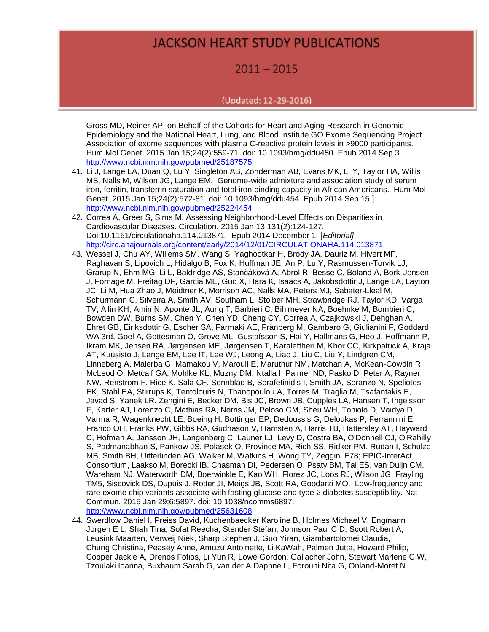### $2011 - 2015$

#### (Updated: 12-29-2016)

Gross MD, Reiner AP; on Behalf of the Cohorts for Heart and Aging Research in Genomic Epidemiology and the National Heart, Lung, and Blood Institute GO Exome Sequencing Project. Association of exome sequences with plasma C-reactive protein levels in >9000 participants. Hum Mol Genet. 2015 Jan 15;24(2):559-71. doi: 10.1093/hmg/ddu450. Epub 2014 Sep 3. <http://www.ncbi.nlm.nih.gov/pubmed/25187575>

- 41. Li J, Lange LA, Duan Q, Lu Y, Singleton AB, Zonderman AB, Evans MK, Li Y, Taylor HA, Willis MS, Nalls M, Wilson JG, Lange EM. Genome-wide admixture and association study of serum iron, ferritin, transferrin saturation and total iron binding capacity in African Americans. Hum Mol Genet. 2015 Jan 15;24(2):572-81. doi: 10.1093/hmg/ddu454. Epub 2014 Sep 15.]. <http://www.ncbi.nlm.nih.gov/pubmed/25224454>
- 42. Correa A, Greer S, Sims M. Assessing Neighborhood-Level Effects on Disparities in Cardiovascular Diseases. Circulation. 2015 Jan 13;131(2):124-127. Doi:10.1161/circulationaha.114.013871. Epub 2014 December 1. [*Editorial]* <http://circ.ahajournals.org/content/early/2014/12/01/CIRCULATIONAHA.114.013871>
- 43. Wessel J, Chu AY, Willems SM, Wang S, Yaghootkar H, Brody JA, Dauriz M, Hivert MF, Raghavan S, Lipovich L, Hidalgo B, Fox K, Huffman JE, An P, Lu Y, Rasmussen-Torvik LJ, Grarup N, Ehm MG, Li L, Baldridge AS, Stančáková A, Abrol R, Besse C, Boland A, Bork-Jensen J, Fornage M, Freitag DF, Garcia ME, Guo X, Hara K, Isaacs A, Jakobsdottir J, Lange LA, Layton JC, Li M, Hua Zhao J, Meidtner K, Morrison AC, Nalls MA, Peters MJ, Sabater-Lleal M, Schurmann C, Silveira A, Smith AV, Southam L, Stoiber MH, Strawbridge RJ, Taylor KD, Varga TV, Allin KH, Amin N, Aponte JL, Aung T, Barbieri C, Bihlmeyer NA, Boehnke M, Bombieri C, Bowden DW, Burns SM, Chen Y, Chen YD, Cheng CY, Correa A, Czajkowski J, Dehghan A, Ehret GB, Eiriksdottir G, Escher SA, Farmaki AE, Frånberg M, Gambaro G, Giulianini F, Goddard WA 3rd, Goel A, Gottesman O, Grove ML, Gustafsson S, Hai Y, Hallmans G, Heo J, Hoffmann P, Ikram MK, Jensen RA, Jørgensen ME, Jørgensen T, Karaleftheri M, Khor CC, Kirkpatrick A, Kraja AT, Kuusisto J, Lange EM, Lee IT, Lee WJ, Leong A, Liao J, Liu C, Liu Y, Lindgren CM, Linneberg A, Malerba G, Mamakou V, Marouli E, Maruthur NM, Matchan A, McKean-Cowdin R, McLeod O, Metcalf GA, Mohlke KL, Muzny DM, Ntalla I, Palmer ND, Pasko D, Peter A, Rayner NW, Renström F, Rice K, Sala CF, Sennblad B, Serafetinidis I, Smith JA, Soranzo N, Speliotes EK, Stahl EA, Stirrups K, Tentolouris N, Thanopoulou A, Torres M, Traglia M, Tsafantakis E, Javad S, Yanek LR, Zengini E, Becker DM, Bis JC, Brown JB, Cupples LA, Hansen T, Ingelsson E, Karter AJ, Lorenzo C, Mathias RA, Norris JM, Peloso GM, Sheu WH, Toniolo D, Vaidya D, Varma R, Wagenknecht LE, Boeing H, Bottinger EP, Dedoussis G, Deloukas P, Ferrannini E, Franco OH, Franks PW, Gibbs RA, Gudnason V, Hamsten A, Harris TB, Hattersley AT, Hayward C, Hofman A, Jansson JH, Langenberg C, Launer LJ, Levy D, Oostra BA, O'Donnell CJ, O'Rahilly S, Padmanabhan S, Pankow JS, Polasek O, Province MA, Rich SS, Ridker PM, Rudan I, Schulze MB, Smith BH, Uitterlinden AG, Walker M, Watkins H, Wong TY, Zeggini E78; EPIC-InterAct Consortium, Laakso M, Borecki IB, Chasman DI, Pedersen O, Psaty BM, Tai ES, van Duijn CM, Wareham NJ, Waterworth DM, Boerwinkle E, Kao WH, Florez JC, Loos RJ, Wilson JG, Frayling TM5, Siscovick DS, Dupuis J, Rotter JI, Meigs JB, Scott RA, Goodarzi MO. Low-frequency and rare exome chip variants associate with fasting glucose and type 2 diabetes susceptibility. Nat Commun. 2015 Jan 29;6:5897. doi: 10.1038/ncomms6897. <http://www.ncbi.nlm.nih.gov/pubmed/25631608>
- 44. Swerdlow Daniel I, Preiss David, Kuchenbaecker Karoline B, Holmes Michael V, Engmann Jorgen E L, Shah Tina, Sofat Reecha, Stender Stefan, Johnson Paul C D, Scott Robert A, Leusink Maarten, Verweij Niek, Sharp Stephen J, Guo Yiran, Giambartolomei Claudia, Chung Christina, Peasey Anne, Amuzu Antoinette, Li KaWah, Palmen Jutta, Howard Philip, Cooper Jackie A, Drenos Fotios, Li Yun R, Lowe Gordon, Gallacher John, Stewart Marlene C W, Tzoulaki Ioanna, Buxbaum Sarah G, van der A Daphne L, Forouhi Nita G, Onland-Moret N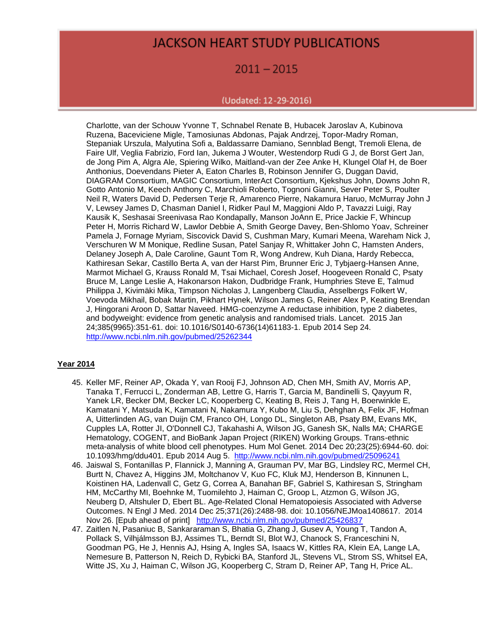### $2011 - 2015$

### (Updated: 12-29-2016)

Charlotte, van der Schouw Yvonne T, Schnabel Renate B, Hubacek Jaroslav A, Kubinova Ruzena, Baceviciene Migle, Tamosiunas Abdonas, Pajak Andrzej, Topor-Madry Roman, Stepaniak Urszula, Malyutina Sofi a, Baldassarre Damiano, Sennblad Bengt, Tremoli Elena, de Faire Ulf, Veglia Fabrizio, Ford Ian, Jukema J Wouter, Westendorp Rudi G J, de Borst Gert Jan, de Jong Pim A, Algra Ale, Spiering Wilko, Maitland-van der Zee Anke H, Klungel Olaf H, de Boer Anthonius, Doevendans Pieter A, Eaton Charles B, Robinson Jennifer G, Duggan David, DIAGRAM Consortium, MAGIC Consortium, InterAct Consortium, Kjekshus John, Downs John R, Gotto Antonio M, Keech Anthony C, Marchioli Roberto, Tognoni Gianni, Sever Peter S, Poulter Neil R, Waters David D, Pedersen Terje R, Amarenco Pierre, Nakamura Haruo, McMurray John J V, Lewsey James D, Chasman Daniel I, Ridker Paul M, Maggioni Aldo P, Tavazzi Luigi, Ray Kausik K, Seshasai Sreenivasa Rao Kondapally, Manson JoAnn E, Price Jackie F, Whincup Peter H, Morris Richard W, Lawlor Debbie A, Smith George Davey, Ben-Shlomo Yoav, Schreiner Pamela J, Fornage Myriam, Siscovick David S, Cushman Mary, Kumari Meena, Wareham Nick J, Verschuren W M Monique, Redline Susan, Patel Sanjay R, Whittaker John C, Hamsten Anders, Delaney Joseph A, Dale Caroline, Gaunt Tom R, Wong Andrew, Kuh Diana, Hardy Rebecca, Kathiresan Sekar, Castillo Berta A, van der Harst Pim, Brunner Eric J, Tybjaerg-Hansen Anne, Marmot Michael G, Krauss Ronald M, Tsai Michael, Coresh Josef, Hoogeveen Ronald C, Psaty Bruce M, Lange Leslie A, Hakonarson Hakon, Dudbridge Frank, Humphries Steve E, Talmud Philippa J, Kivimäki Mika, Timpson Nicholas J, Langenberg Claudia, Asselbergs Folkert W, Voevoda Mikhail, Bobak Martin, Pikhart Hynek, Wilson James G, Reiner Alex P, Keating Brendan J, Hingorani Aroon D, Sattar Naveed. HMG-coenzyme A reductase inhibition, type 2 diabetes, and bodyweight: evidence from genetic analysis and randomised trials. Lancet. 2015 Jan 24;385(9965):351-61. doi: 10.1016/S0140-6736(14)61183-1. Epub 2014 Sep 24[.](http://www.ncbi.nlm.nih.gov/pubmed/25262344)  <http://www.ncbi.nlm.nih.gov/pubmed/25262344>

#### **Year 2014**

- 45. Keller MF, Reiner AP, Okada Y, van Rooij FJ, Johnson AD, Chen MH, Smith AV, Morris AP, Tanaka T, Ferrucci L, Zonderman AB, Lettre G, Harris T, Garcia M, Bandinelli S, Qayyum R, Yanek LR, Becker DM, Becker LC, Kooperberg C, Keating B, Reis J, Tang H, Boerwinkle E, Kamatani Y, Matsuda K, Kamatani N, Nakamura Y, Kubo M, Liu S, Dehghan A, Felix JF, Hofman A, Uitterlinden AG, van Duijn CM, Franco OH, Longo DL, Singleton AB, Psaty BM, Evans MK, Cupples LA, Rotter JI, O'Donnell CJ, Takahashi A, Wilson JG, Ganesh SK, Nalls MA; CHARGE Hematology, COGENT, and BioBank Japan Project (RIKEN) Working Groups. Trans-ethnic meta-analysis of white blood cell phenotypes. Hum Mol Genet. 2014 Dec 20;23(25):6944-60. doi: 10.1093/hmg/ddu401. Epub 2014 Aug 5. <http://www.ncbi.nlm.nih.gov/pubmed/25096241>
- 46. Jaiswal S, Fontanillas P, Flannick J, Manning A, Grauman PV, Mar BG, Lindsley RC, Mermel CH, Burtt N, Chavez A, Higgins JM, Moltchanov V, Kuo FC, Kluk MJ, Henderson B, Kinnunen L, Koistinen HA, Ladenvall C, Getz G, Correa A, Banahan BF, Gabriel S, Kathiresan S, Stringham HM, McCarthy MI, Boehnke M, Tuomilehto J, Haiman C, Groop L, Atzmon G, Wilson JG, Neuberg D, Altshuler D, Ebert BL. Age-Related Clonal Hematopoiesis Associated with Adverse Outcomes. N Engl J Med. 2014 Dec 25;371(26):2488-98. doi: 10.1056/NEJMoa1408617. 2014 Nov 26. [Epub ahead of print]<http://www.ncbi.nlm.nih.gov/pubmed/25426837>
- 47. Zaitlen N, Pasaniuc B, Sankararaman S, Bhatia G, Zhang J, Gusev A, Young T, Tandon A, Pollack S, Vilhjálmsson BJ, Assimes TL, Berndt SI, Blot WJ, Chanock S, Franceschini N, Goodman PG, He J, Hennis AJ, Hsing A, Ingles SA, Isaacs W, Kittles RA, Klein EA, Lange LA, Nemesure B, Patterson N, Reich D, Rybicki BA, Stanford JL, Stevens VL, Strom SS, Whitsel EA, Witte JS, Xu J, Haiman C, Wilson JG, Kooperberg C, Stram D, Reiner AP, Tang H, Price AL.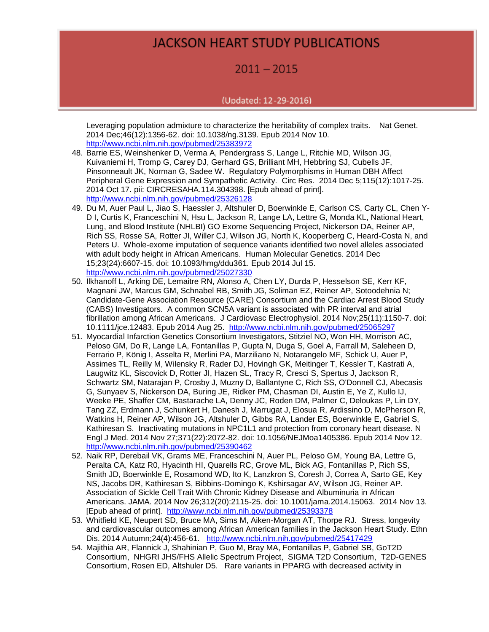### $2011 - 2015$

#### (Updated: 12-29-2016)

Leveraging population admixture to characterize the heritability of complex traits. Nat Genet. 2014 Dec;46(12):1356-62. doi: 10.1038/ng.3139. Epub 2014 Nov 10. <http://www.ncbi.nlm.nih.gov/pubmed/25383972>

- 48. Barrie ES, Weinshenker D, Verma A, Pendergrass S, Lange L, Ritchie MD, Wilson JG, Kuivaniemi H, Tromp G, Carey DJ, Gerhard GS, Brilliant MH, Hebbring SJ, Cubells JF, Pinsonneault JK, Norman G, Sadee W. Regulatory Polymorphisms in Human DBH Affect Peripheral Gene Expression and Sympathetic Activity. Circ Res. 2014 Dec 5;115(12):1017-25. 2014 Oct 17. pii: CIRCRESAHA.114.304398. [Epub ahead of print]. <http://www.ncbi.nlm.nih.gov/pubmed/25326128>
- 49. Du M, Auer Paul L, Jiao S, Haessler J, Altshuler D, Boerwinkle E, Carlson CS, Carty CL, Chen Y-D I, Curtis K, Franceschini N, Hsu L, Jackson R, Lange LA, Lettre G, Monda KL, National Heart, Lung, and Blood Institute (NHLBI) GO Exome Sequencing Project, Nickerson DA, Reiner AP, Rich SS, Rosse SA, Rotter JI, Willer CJ, Wilson JG, North K, Kooperberg C, Heard-Costa N, and Peters U. Whole-exome imputation of sequence variants identified two novel alleles associated with adult body height in African Americans. Human Molecular Genetics. 2014 Dec 15;23(24):6607-15. doi: 10.1093/hmg/ddu361. Epub 2014 Jul 15. <http://www.ncbi.nlm.nih.gov/pubmed/25027330>
- 50. Ilkhanoff L, Arking DE, Lemaitre RN, Alonso A, Chen LY, Durda P, Hesselson SE, Kerr KF, Magnani JW, Marcus GM, Schnabel RB, Smith JG, Soliman EZ, Reiner AP, Sotoodehnia N; Candidate-Gene Association Resource (CARE) Consortium and the Cardiac Arrest Blood Study (CABS) Investigators. A common SCN5A variant is associated with PR interval and atrial fibrillation among African Americans. J Cardiovasc Electrophysiol. 2014 Nov;25(11):1150-7. doi: 10.1111/jce.12483. Epub 2014 Aug 25. <http://www.ncbi.nlm.nih.gov/pubmed/25065297>
- 51. Myocardial Infarction Genetics Consortium Investigators, Stitziel NO, Won HH, Morrison AC, Peloso GM, Do R, Lange LA, Fontanillas P, Gupta N, Duga S, Goel A, Farrall M, Saleheen D, Ferrario P, König I, Asselta R, Merlini PA, Marziliano N, Notarangelo MF, Schick U, Auer P, Assimes TL, Reilly M, Wilensky R, Rader DJ, Hovingh GK, Meitinger T, Kessler T, Kastrati A, Laugwitz KL, Siscovick D, Rotter JI, Hazen SL, Tracy R, Cresci S, Spertus J, Jackson R, Schwartz SM, Natarajan P, Crosby J, Muzny D, Ballantyne C, Rich SS, O'Donnell CJ, Abecasis G, Sunyaev S, Nickerson DA, Buring JE, Ridker PM, Chasman DI, Austin E, Ye Z, Kullo IJ, Weeke PE, Shaffer CM, Bastarache LA, Denny JC, Roden DM, Palmer C, Deloukas P, Lin DY, Tang ZZ, Erdmann J, Schunkert H, Danesh J, Marrugat J, Elosua R, Ardissino D, McPherson R, Watkins H, Reiner AP, Wilson JG, Altshuler D, Gibbs RA, Lander ES, Boerwinkle E, Gabriel S, Kathiresan S. Inactivating mutations in NPC1L1 and protection from coronary heart disease. N Engl J Med. 2014 Nov 27;371(22):2072-82. doi: 10.1056/NEJMoa1405386. Epub 2014 Nov 12. <http://www.ncbi.nlm.nih.gov/pubmed/25390462>
- 52. Naik RP, Derebail VK, Grams ME, Franceschini N, Auer PL, Peloso GM, Young BA, Lettre G, Peralta CA, Katz R0, Hyacinth HI, Quarells RC, Grove ML, Bick AG, Fontanillas P, Rich SS, Smith JD, Boerwinkle E, Rosamond WD, Ito K, Lanzkron S, Coresh J, Correa A, Sarto GE, Key NS, Jacobs DR, Kathiresan S, Bibbins-Domingo K, Kshirsagar AV, Wilson JG, Reiner AP. Association of Sickle Cell Trait With Chronic Kidney Disease and Albuminuria in African Americans. JAMA. 2014 Nov 26;312(20):2115-25. doi: 10.1001/jama.2014.15063. 2014 Nov 13. [Epub ahead of print]. <http://www.ncbi.nlm.nih.gov/pubmed/25393378>
- 53. Whitfield KE, Neupert SD, Bruce MA, Sims M, Aiken-Morgan AT, Thorpe RJ. Stress, longevity and cardiovascular outcomes among African American families in the Jackson Heart Study. Ethn Dis. 2014 Autumn;24(4):456-61. <http://www.ncbi.nlm.nih.gov/pubmed/25417429>
- 54. Majithia AR, Flannick J, Shahinian P, Guo M, Bray MA, Fontanillas P, Gabriel SB, GoT2D Consortium, NHGRI JHS/FHS Allelic Spectrum Project, SIGMA T2D Consortium, T2D-GENES Consortium, Rosen ED, Altshuler D5. Rare variants in PPARG with decreased activity in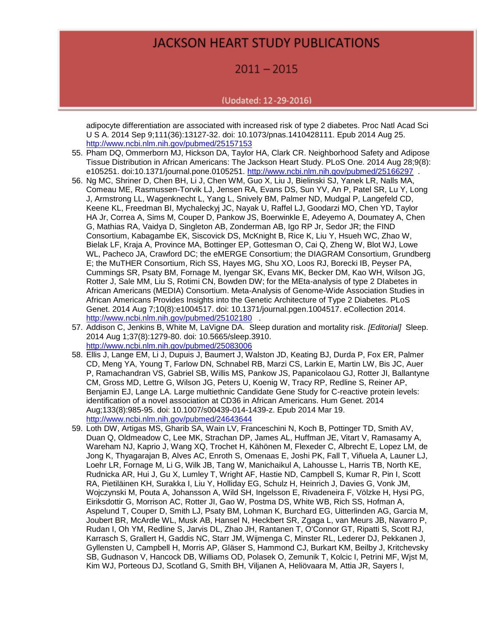### $2011 - 2015$

#### (Updated: 12-29-2016)

adipocyte differentiation are associated with increased risk of type 2 diabetes. Proc Natl Acad Sci U S A. 2014 Sep 9;111(36):13127-32. doi: 10.1073/pnas.1410428111. Epub 2014 Aug 25. <http://www.ncbi.nlm.nih.gov/pubmed/25157153>

- 55. Pham DQ, Ommerborn MJ, Hickson DA, Taylor HA, Clark CR. Neighborhood Safety and Adipose Tissue Distribution in African Americans: The Jackson Heart Study. PLoS One. 2014 Aug 28;9(8): e105251. doi:10.1371/journal.pone.0105251. http://www.ncbi.nlm.nih.gov/pubmed/25166297.
- 56. Ng MC, Shriner D, Chen BH, Li J, Chen WM, Guo X, Liu J, Bielinski SJ, Yanek LR, Nalls MA, Comeau ME, Rasmussen-Torvik LJ, Jensen RA, Evans DS, Sun YV, An P, Patel SR, Lu Y, Long J, Armstrong LL, Wagenknecht L, Yang L, Snively BM, Palmer ND, Mudgal P, Langefeld CD, Keene KL, Freedman BI, Mychaleckyj JC, Nayak U, Raffel LJ, Goodarzi MO, Chen YD, Taylor HA Jr, Correa A, Sims M, Couper D, Pankow JS, Boerwinkle E, Adeyemo A, Doumatey A, Chen G, Mathias RA, Vaidya D, Singleton AB, Zonderman AB, Igo RP Jr, Sedor JR; the FIND Consortium, Kabagambe EK, Siscovick DS, McKnight B, Rice K, Liu Y, Hsueh WC, Zhao W, Bielak LF, Kraja A, Province MA, Bottinger EP, Gottesman O, Cai Q, Zheng W, Blot WJ, Lowe WL, Pacheco JA, Crawford DC; the eMERGE Consortium; the DIAGRAM Consortium, Grundberg E; the MuTHER Consortium, Rich SS, Hayes MG, Shu XO, Loos RJ, Borecki IB, Peyser PA, Cummings SR, Psaty BM, Fornage M, Iyengar SK, Evans MK, Becker DM, Kao WH, Wilson JG, Rotter J, Sale MM, Liu S, Rotimi CN, Bowden DW; for the MEta-analysis of type 2 DIabetes in African Americans (MEDIA) Consortium. Meta-Analysis of Genome-Wide Association Studies in African Americans Provides Insights into the Genetic Architecture of Type 2 Diabetes. PLoS Genet. 2014 Aug 7;10(8):e1004517. doi: 10.1371/journal.pgen.1004517. eCollection 2014. http://www.ncbi.nlm.nih.gov/pubmed/25102180
- 57. Addison C, Jenkins B, White M, LaVigne DA. Sleep duration and mortality risk. *[Editorial]* Sleep. 2014 Aug 1;37(8):1279-80. doi: 10.5665/sleep.3910. <http://www.ncbi.nlm.nih.gov/pubmed/25083006>
- 58. Ellis J, Lange EM, Li J, Dupuis J, Baumert J, Walston JD, Keating BJ, Durda P, Fox ER, Palmer CD, Meng YA, Young T, Farlow DN, Schnabel RB, Marzi CS, Larkin E, Martin LW, Bis JC, Auer P, Ramachandran VS, Gabriel SB, Willis MS, Pankow JS, Papanicolaou GJ, Rotter JI, Ballantyne CM, Gross MD, Lettre G, Wilson JG, Peters U, Koenig W, Tracy RP, Redline S, Reiner AP, Benjamin EJ, Lange LA, Large multiethnic Candidate Gene Study for C-reactive protein levels: identification of a novel association at CD36 in African Americans. Hum Genet. 2014 Aug;133(8):985-95. doi: 10.1007/s00439-014-1439-z. Epub 2014 Mar 19. <http://www.ncbi.nlm.nih.gov/pubmed/24643644>
- 59. Loth DW, Artigas MS, Gharib SA, Wain LV, Franceschini N, Koch B, Pottinger TD, Smith AV, Duan Q, Oldmeadow C, Lee MK, Strachan DP, James AL, Huffman JE, Vitart V, Ramasamy A, Wareham NJ, Kaprio J, Wang XQ, Trochet H, Kähönen M, Flexeder C, Albrecht E, Lopez LM, de Jong K, Thyagarajan B, Alves AC, Enroth S, Omenaas E, Joshi PK, Fall T, Viñuela A, Launer LJ, Loehr LR, Fornage M, Li G, Wilk JB, Tang W, Manichaikul A, Lahousse L, Harris TB, North KE, Rudnicka AR, Hui J, Gu X, Lumley T, Wright AF, Hastie ND, Campbell S, Kumar R, Pin I, Scott RA, Pietiläinen KH, Surakka I, Liu Y, Holliday EG, Schulz H, Heinrich J, Davies G, Vonk JM, Wojczynski M, Pouta A, Johansson A, Wild SH, Ingelsson E, Rivadeneira F, Völzke H, Hysi PG, Eiriksdottir G, Morrison AC, Rotter JI, Gao W, Postma DS, White WB, Rich SS, Hofman A, Aspelund T, Couper D, Smith LJ, Psaty BM, Lohman K, Burchard EG, Uitterlinden AG, Garcia M, Joubert BR, McArdle WL, Musk AB, Hansel N, Heckbert SR, Zgaga L, van Meurs JB, Navarro P, Rudan I, Oh YM, Redline S, Jarvis DL, Zhao JH, Rantanen T, O'Connor GT, Ripatti S, Scott RJ, Karrasch S, Grallert H, Gaddis NC, Starr JM, Wijmenga C, Minster RL, Lederer DJ, Pekkanen J, Gyllensten U, Campbell H, Morris AP, Gläser S, Hammond CJ, Burkart KM, Beilby J, Kritchevsky SB, Gudnason V, Hancock DB, Williams OD, Polasek O, Zemunik T, Kolcic I, Petrini MF, Wjst M, Kim WJ, Porteous DJ, Scotland G, Smith BH, Viljanen A, Heliövaara M, Attia JR, Sayers I,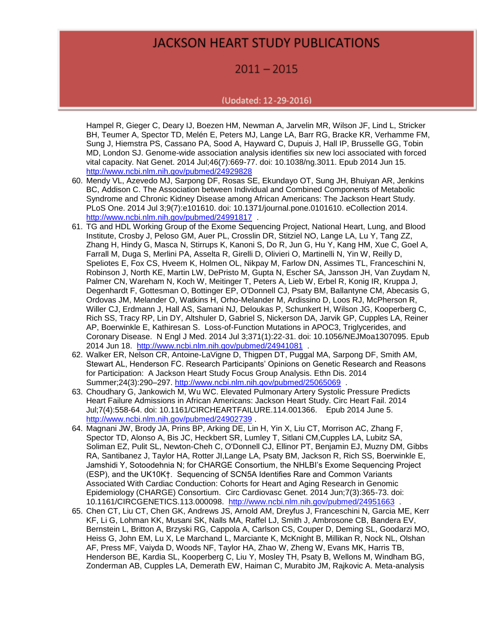### $2011 - 2015$

#### (Updated: 12-29-2016)

Hampel R, Gieger C, Deary IJ, Boezen HM, Newman A, Jarvelin MR, Wilson JF, Lind L, Stricker BH, Teumer A, Spector TD, Melén E, Peters MJ, Lange LA, Barr RG, Bracke KR, Verhamme FM, Sung J, Hiemstra PS, Cassano PA, Sood A, Hayward C, Dupuis J, Hall IP, Brusselle GG, Tobin MD, London SJ. Genome-wide association analysis identifies six new loci associated with forced vital capacity. Nat Genet. 2014 Jul;46(7):669-77. doi: 10.1038/ng.3011. Epub 2014 Jun 15. <http://www.ncbi.nlm.nih.gov/pubmed/24929828>

- 60. Mendy VL, Azevedo MJ, Sarpong DF, Rosas SE, Ekundayo OT, Sung JH, Bhuiyan AR, Jenkins BC, Addison C. The Association between Individual and Combined Components of Metabolic Syndrome and Chronic Kidney Disease among African Americans: The Jackson Heart Study. PLoS One. 2014 Jul 3;9(7):e101610. doi: 10.1371/journal.pone.0101610. eCollection 2014. <http://www.ncbi.nlm.nih.gov/pubmed/24991817>.
- 61. TG and HDL Working Group of the Exome Sequencing Project, National Heart, Lung, and Blood Institute, Crosby J, Peloso GM, Auer PL, Crosslin DR, Stitziel NO, Lange LA, Lu Y, Tang ZZ, Zhang H, Hindy G, Masca N, Stirrups K, Kanoni S, Do R, Jun G, Hu Y, Kang HM, Xue C, Goel A, Farrall M, Duga S, Merlini PA, Asselta R, Girelli D, Olivieri O, Martinelli N, Yin W, Reilly D, Speliotes E, Fox CS, Hveem K, Holmen OL, Nikpay M, Farlow DN, Assimes TL, Franceschini N, Robinson J, North KE, Martin LW, DePristo M, Gupta N, Escher SA, Jansson JH, Van Zuydam N, Palmer CN, Wareham N, Koch W, Meitinger T, Peters A, Lieb W, Erbel R, Konig IR, Kruppa J, Degenhardt F, Gottesman O, Bottinger EP, O'Donnell CJ, Psaty BM, Ballantyne CM, Abecasis G, Ordovas JM, Melander O, Watkins H, Orho-Melander M, Ardissino D, Loos RJ, McPherson R, Willer CJ, Erdmann J, Hall AS, Samani NJ, Deloukas P, Schunkert H, Wilson JG, Kooperberg C, Rich SS, Tracy RP, Lin DY, Altshuler D, Gabriel S, Nickerson DA, Jarvik GP, Cupples LA, Reiner AP, Boerwinkle E, Kathiresan S. Loss-of-Function Mutations in APOC3, Triglycerides, and Coronary Disease. N Engl J Med. 2014 Jul 3;371(1):22-31. doi: 10.1056/NEJMoa1307095. Epub 2014 Jun 18. <http://www.ncbi.nlm.nih.gov/pubmed/24941081>.
- 62. Walker ER, Nelson CR, Antoine-LaVigne D, Thigpen DT, Puggal MA, Sarpong DF, Smith AM, Stewart AL, Henderson FC. Research Participants' Opinions on Genetic Research and Reasons for Participation: A Jackson Heart Study Focus Group Analysis. Ethn Dis. 2014 Summer;24(3):290–297.<http://www.ncbi.nlm.nih.gov/pubmed/25065069>.
- 63. Choudhary G, Jankowich M, Wu WC. Elevated Pulmonary Artery Systolic Pressure Predicts Heart Failure Admissions in African Americans: Jackson Heart Study. Circ Heart Fail. 2014 Jul;7(4):558-64. doi: 10.1161/CIRCHEARTFAILURE.114.001366. Epub 2014 June 5. <http://www.ncbi.nlm.nih.gov/pubmed/24902739> .
- 64. Magnani JW, Brody JA, Prins BP, Arking DE, Lin H, Yin X, Liu CT, Morrison AC, Zhang F, Spector TD, Alonso A, Bis JC, Heckbert SR, Lumley T, Sitlani CM,Cupples LA, Lubitz SA, Soliman EZ, Pulit SL, Newton-Cheh C, O'Donnell CJ, Ellinor PT, Benjamin EJ, Muzny DM, Gibbs RA, Santibanez J, Taylor HA, Rotter JI,Lange LA, Psaty BM, Jackson R, Rich SS, Boerwinkle E, Jamshidi Y, Sotoodehnia N; for CHARGE Consortium, the NHLBI's Exome Sequencing Project (ESP), and the UK10K†. Sequencing of SCN5A Identifies Rare and Common Variants Associated With Cardiac Conduction: Cohorts for Heart and Aging Research in Genomic Epidemiology (CHARGE) Consortium. Circ Cardiovasc Genet. 2014 Jun;7(3):365-73. doi: 10.1161/CIRCGENETICS.113.000098. <http://www.ncbi.nlm.nih.gov/pubmed/24951663>.
- 65. Chen CT, Liu CT, Chen GK, Andrews JS, Arnold AM, Dreyfus J, Franceschini N, Garcia ME, Kerr KF, Li G, Lohman KK, Musani SK, Nalls MA, Raffel LJ, Smith J, Ambrosone CB, Bandera EV, Bernstein L, Britton A, Brzyski RG, Cappola A, Carlson CS, Couper D, Deming SL, Goodarzi MO, Heiss G, John EM, Lu X, Le Marchand L, Marciante K, McKnight B, Millikan R, Nock NL, Olshan AF, Press MF, Vaiyda D, Woods NF, Taylor HA, Zhao W, Zheng W, Evans MK, Harris TB, Henderson BE, Kardia SL, Kooperberg C, Liu Y, Mosley TH, Psaty B, Wellons M, Windham BG, Zonderman AB, Cupples LA, Demerath EW, Haiman C, Murabito JM, Rajkovic A. Meta-analysis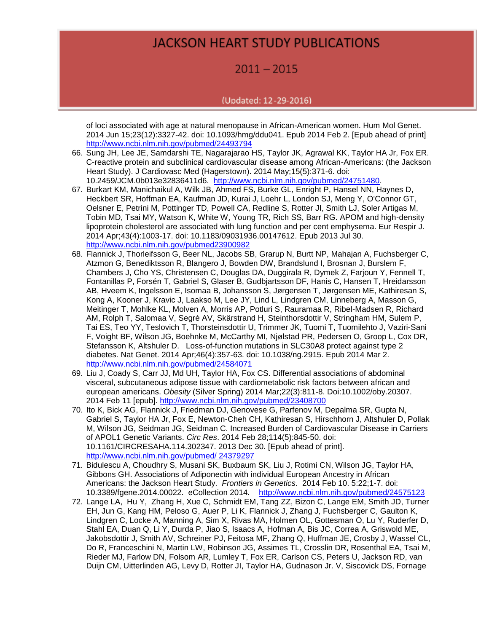### $2011 - 2015$

#### (Updated: 12-29-2016)

of loci associated with age at natural menopause in African-American women. Hum Mol Genet. 2014 Jun 15;23(12):3327-42. doi: 10.1093/hmg/ddu041. Epub 2014 Feb 2. [Epub ahead of print] <http://www.ncbi.nlm.nih.gov/pubmed/24493794>

- 66. Sung JH, Lee JE, Samdarshi TE, Nagarajarao HS, Taylor JK, Agrawal KK, Taylor HA Jr, Fox ER. C-reactive protein and subclinical cardiovascular disease among African-Americans: (the Jackson Heart Study). J Cardiovasc Med (Hagerstown). 2014 May;15(5):371-6. doi: 10.2459/JCM.0b013e32836411d6. [http://www.ncbi.nlm.nih.gov/pubmed/24751480.](http://www.ncbi.nlm.nih.gov/pubmed/24751480)
- 67. Burkart KM, Manichaikul A, Wilk JB, Ahmed FS, Burke GL, Enright P, Hansel NN, Haynes D, Heckbert SR, Hoffman EA, Kaufman JD, Kurai J, Loehr L, London SJ, Meng Y, O'Connor GT, Oelsner E, Petrini M, Pottinger TD, Powell CA, Redline S, Rotter JI, Smith LJ, Soler Artigas M, Tobin MD, Tsai MY, Watson K, White W, Young TR, Rich SS, Barr RG. APOM and high-density lipoprotein cholesterol are associated with lung function and per cent emphysema. Eur Respir J. 2014 Apr;43(4):1003-17. doi: 10.1183/09031936.00147612. Epub 2013 Jul 30. <http://www.ncbi.nlm.nih.gov/pubmed23900982>
- 68. Flannick J, Thorleifsson G, Beer NL, Jacobs SB, Grarup N, Burtt NP, Mahajan A, Fuchsberger C, Atzmon G, Benediktsson R, Blangero J, Bowden DW, Brandslund I, Brosnan J, Burslem F, Chambers J, Cho YS, Christensen C, Douglas DA, Duggirala R, Dymek Z, Farjoun Y, Fennell T, Fontanillas P, Forsén T, Gabriel S, Glaser B, Gudbjartsson DF, Hanis C, Hansen T, Hreidarsson AB, Hveem K, Ingelsson E, Isomaa B, Johansson S, Jørgensen T, Jørgensen ME, Kathiresan S, Kong A, Kooner J, Kravic J, Laakso M, Lee JY, Lind L, Lindgren CM, Linneberg A, Masson G, Meitinger T, Mohlke KL, Molven A, Morris AP, Potluri S, Rauramaa R, Ribel-Madsen R, Richard AM, Rolph T, Salomaa V, Segrè AV, Skärstrand H, Steinthorsdottir V, Stringham HM, Sulem P, Tai ES, Teo YY, Teslovich T, Thorsteinsdottir U, Trimmer JK, Tuomi T, Tuomilehto J, Vaziri-Sani F, Voight BF, Wilson JG, Boehnke M, McCarthy MI, Njølstad PR, Pedersen O, Groop L, Cox DR, Stefansson K, Altshuler D. Loss-of-function mutations in SLC30A8 protect against type 2 diabetes. Nat Genet. 2014 Apr;46(4):357-63. doi: 10.1038/ng.2915. Epub 2014 Mar 2. <http://www.ncbi.nlm.nih.gov/pubmed/24584071>
- 69. Liu J, Coady S, Carr JJ, Md UH, Taylor HA, Fox CS. Differential associations of abdominal visceral, subcutaneous adipose tissue with cardiometabolic risk factors between african and european americans. *Obesity* (Silver Spring) 2014 Mar;22(3):811-8. Doi:10.1002/oby.20307. 2014 Feb 11 [epub].<http://www.ncbi.nlm.nih.gov/pubmed/23408700>
- 70. Ito K, Bick AG, Flannick J, Friedman DJ, Genovese G, Parfenov M, Depalma SR, Gupta N, Gabriel S, Taylor HA Jr, Fox E, Newton-Cheh CH, Kathiresan S, Hirschhorn J, Altshuler D, Pollak M, Wilson JG, Seidman JG, Seidman C. Increased Burden of Cardiovascular Disease in Carriers of APOL1 Genetic Variants. *Circ Res*. 2014 Feb 28;114(5):845-50. doi: 10.1161/CIRCRESAHA.114.302347. 2013 Dec 30. [Epub ahead of print]. [http://www.ncbi.nlm.nih.gov/pubmed/ 24379297](http://www.ncbi.nlm.nih.gov/pubmed/%2024379297)
- 71. Bidulescu A, Choudhry S, Musani SK, Buxbaum SK, Liu J, Rotimi CN, Wilson JG, Taylor HA, Gibbons GH. Associations of Adiponectin with individual European Ancestry in African Americans: the Jackson Heart Study. *Frontiers in Genetics*. 2014 Feb 10. 5:22;1-7. doi: 10.3389/fgene.2014.00022. eCollection 2014. <http://www.ncbi.nlm.nih.gov/pubmed/24575123>
- 72. Lange LA, Hu Y, Zhang H, Xue C, Schmidt EM, Tang ZZ, Bizon C, Lange EM, Smith JD, Turner EH, Jun G, Kang HM, Peloso G, Auer P, Li K, Flannick J, Zhang J, Fuchsberger C, Gaulton K, Lindgren C, Locke A, Manning A, Sim X, Rivas MA, Holmen OL, Gottesman O, Lu Y, Ruderfer D, Stahl EA, Duan Q, Li Y, Durda P, Jiao S, Isaacs A, Hofman A, Bis JC, Correa A, Griswold ME, Jakobsdottir J, Smith AV, Schreiner PJ, Feitosa MF, Zhang Q, Huffman JE, Crosby J, Wassel CL, Do R, Franceschini N, Martin LW, Robinson JG, Assimes TL, Crosslin DR, Rosenthal EA, Tsai M, Rieder MJ, Farlow DN, Folsom AR, Lumley T, Fox ER, Carlson CS, Peters U, Jackson RD, van Duijn CM, Uitterlinden AG, Levy D, Rotter JI, Taylor HA, Gudnason Jr. V, Siscovick DS, Fornage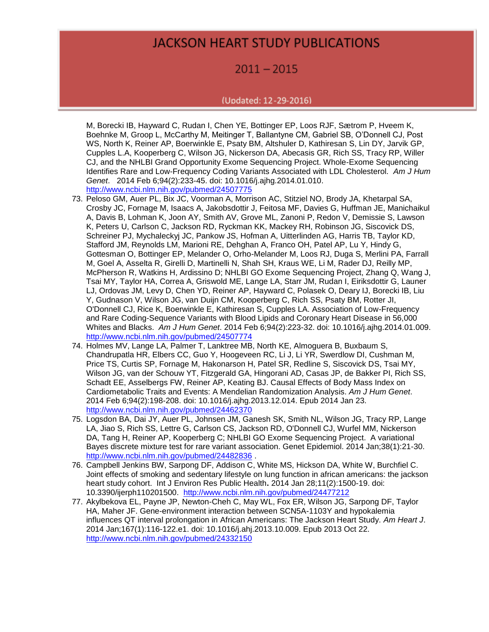### $2011 - 2015$

#### (Updated: 12-29-2016)

M, Borecki IB, Hayward C, Rudan I, Chen YE, Bottinger EP, Loos RJF, Sætrom P, Hveem K, Boehnke M, Groop L, McCarthy M, Meitinger T, Ballantyne CM, Gabriel SB, O'Donnell CJ, Post WS, North K, Reiner AP, Boerwinkle E, Psaty BM, Altshuler D, Kathiresan S, Lin DY, Jarvik GP, Cupples L.A, Kooperberg C, Wilson JG, Nickerson DA, Abecasis GR, Rich SS, Tracy RP, Willer CJ, and the NHLBI Grand Opportunity Exome Sequencing Project. Whole-Exome Sequencing Identifies Rare and Low-Frequency Coding Variants Associated with LDL Cholesterol. *Am J Hum Genet*. 2014 Feb 6;94(2):233-45. doi: 10.1016/j.ajhg.2014.01.010. <http://www.ncbi.nlm.nih.gov/pubmed/24507775>

- 73. Peloso GM, Auer PL, Bix JC, Voorman A, Morrison AC, Stitziel NO, Brody JA, Khetarpal SA, Crosby JC, Fornage M, Isaacs A, Jakobsdottir J, Feitosa MF, Davies G, Huffman JE, Manichaikul A, Davis B, Lohman K, Joon AY, Smith AV, Grove ML, Zanoni P, Redon V, Demissie S, Lawson K, Peters U, Carlson C, Jackson RD, Ryckman KK, Mackey RH, Robinson JG, Siscovick DS, Schreiner PJ, Mychaleckyj JC, Pankow JS, Hofman A, Uitterlinden AG, Harris TB, Taylor KD, Stafford JM, Reynolds LM, Marioni RE, Dehghan A, Franco OH, Patel AP, Lu Y, Hindy G, Gottesman O, Bottinger EP, Melander O, Orho-Melander M, Loos RJ, Duga S, Merlini PA, Farrall M, Goel A, Asselta R, Girelli D, Martinelli N, Shah SH, Kraus WE, Li M, Rader DJ, Reilly MP, McPherson R, Watkins H, Ardissino D; NHLBI GO Exome Sequencing Project, Zhang Q, Wang J, Tsai MY, Taylor HA, Correa A, Griswold ME, Lange LA, Starr JM, Rudan I, Eiriksdottir G, Launer LJ, Ordovas JM, Levy D, Chen YD, Reiner AP, Hayward C, Polasek O, Deary IJ, Borecki IB, Liu Y, Gudnason V, Wilson JG, van Duijn CM, Kooperberg C, Rich SS, Psaty BM, Rotter JI, O'Donnell CJ, Rice K, Boerwinkle E, Kathiresan S, Cupples LA. Association of Low-Frequency and Rare Coding-Sequence Variants with Blood Lipids and Coronary Heart Disease in 56,000 Whites and Blacks. *Am J Hum Genet*. 2014 Feb 6;94(2):223-32. doi: 10.1016/j.ajhg.2014.01.009. <http://www.ncbi.nlm.nih.gov/pubmed/24507774>
- 74. Holmes MV, Lange LA, Palmer T, Lanktree MB, North KE, Almoguera B, Buxbaum S, Chandrupatla HR, Elbers CC, Guo Y, Hoogeveen RC, Li J, Li YR, Swerdlow DI, Cushman M, Price TS, Curtis SP, Fornage M, Hakonarson H, Patel SR, Redline S, Siscovick DS, Tsai MY, Wilson JG, van der Schouw YT, Fitzgerald GA, Hingorani AD, Casas JP, de Bakker PI, Rich SS, Schadt EE, Asselbergs FW, Reiner AP, Keating BJ. Causal Effects of Body Mass Index on Cardiometabolic Traits and Events: A Mendelian Randomization Analysis. *Am J Hum Genet*. 2014 Feb 6;94(2):198-208. doi: 10.1016/j.ajhg.2013.12.014. Epub 2014 Jan 23. <http://www.ncbi.nlm.nih.gov/pubmed/24462370>
- 75. Logsdon BA, Dai JY, Auer PL, Johnsen JM, Ganesh SK, Smith NL, Wilson JG, Tracy RP, Lange LA, Jiao S, Rich SS, Lettre G, Carlson CS, Jackson RD, O'Donnell CJ, Wurfel MM, Nickerson DA, Tang H, Reiner AP, Kooperberg C; NHLBI GO Exome Sequencing Project. A variational Bayes discrete mixture test for rare variant association. Genet Epidemiol. 2014 Jan;38(1):21-30. <http://www.ncbi.nlm.nih.gov/pubmed/24482836> .
- 76. Campbell Jenkins BW, Sarpong DF, Addison C, White MS, Hickson DA, White W, Burchfiel C. Joint effects of smoking and sedentary lifestyle on lung function in african americans: the jackson heart study cohort. Int J Environ Res Public Health**.** 2014 Jan 28;11(2):1500-19. doi: 10.3390/ijerph110201500. <http://www.ncbi.nlm.nih.gov/pubmed/24477212>
- 77. Akylbekova EL, Payne JP, Newton-Cheh C, May WL, Fox ER, Wilson JG, Sarpong DF, Taylor HA, Maher JF. Gene-environment interaction between SCN5A-1103Y and hypokalemia influences QT interval prolongation in African Americans: The Jackson Heart Study. *Am Heart J*. 2014 Jan;167(1):116-122.e1. doi: 10.1016/j.ahj.2013.10.009. Epub 2013 Oct 22. <http://www.ncbi.nlm.nih.gov/pubmed/24332150>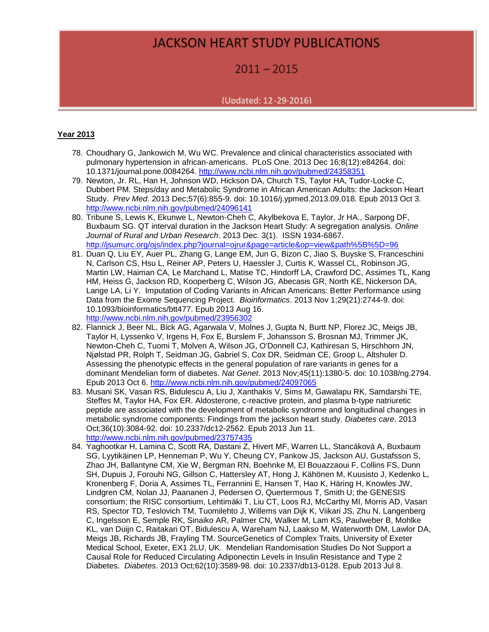### $2011 - 2015$

#### (Updated: 12-29-2016)

#### **Year 2013**

- 78. Choudhary G, Jankowich M, Wu WC. Prevalence and clinical characteristics associated with pulmonary hypertension in african-americans. PLoS One. 2013 Dec 16;8(12):e84264. doi: 10.1371/journal.pone.0084264.<http://www.ncbi.nlm.nih.gov/pubmed/24358351>
- 79. Newton, Jr. RL, Han H, Johnson WD, Hickson DA, Church TS, Taylor HA, Tudor-Locke C, Dubbert PM. Steps/day and Metabolic Syndrome in African American Adults: the Jackson Heart Study. *Prev Med*. 2013 Dec;57(6):855-9. doi: 10.1016/j.ypmed.2013.09.018. Epub 2013 Oct 3. <http://www.ncbi.nlm.nih.gov/pubmed/24096141>
- 80. Tribune S, Lewis K, Ekunwe L, Newton-Cheh C, Akylbekova E, Taylor, Jr HA., Sarpong DF, Buxbaum SG. QT interval duration in the Jackson Heart Study: A segregation analysis. *Online Journal of Rural and Urban Research*. 2013 Dec. 3(1). ISSN 1934-6867. <http://jsumurc.org/ojs/index.php?journal=ojrur&page=article&op=view&path%5B%5D=96>
- 81. Duan Q, Liu EY, Auer PL, Zhang G, Lange EM, Jun G, Bizon C, Jiao S, Buyske S, Franceschini N, Carlson CS, Hsu L, Reiner AP, Peters U, Haessler J, Curtis K, Wassel CL, Robinson JG, Martin LW, Haiman CA, Le Marchand L, Matise TC, Hindorff LA, Crawford DC, Assimes TL, Kang HM, Heiss G, Jackson RD, Kooperberg C, Wilson JG, Abecasis GR, North KE, Nickerson DA, Lange LA, Li Y. Imputation of Coding Variants in African Americans: Better Performance using Data from the Exome Sequencing Project. *Bioinformatics*. 2013 Nov 1;29(21):2744-9. doi: 10.1093/bioinformatics/btt477. Epub 2013 Aug 16. <http://www.ncbi.nlm.nih.gov/pubmed/23956302>
- 82. Flannick J, Beer NL, Bick AG, Agarwala V, Molnes J, Gupta N, Burtt NP, Florez JC, Meigs JB, Taylor H, Lyssenko V, Irgens H, Fox E, Burslem F, Johansson S, Brosnan MJ, Trimmer JK, Newton-Cheh C, Tuomi T, Molven A, Wilson JG, O'Donnell CJ, Kathiresan S, Hirschhorn JN, Njølstad PR, Rolph T, Seidman JG, Gabriel S, Cox DR, Seidman CE, Groop L, Altshuler D. Assessing the phenotypic effects in the general population of rare variants in genes for a dominant Mendelian form of diabetes. *Nat Genet*. 2013 Nov;45(11):1380-5. doi: 10.1038/ng.2794. Epub 2013 Oct 6.<http://www.ncbi.nlm.nih.gov/pubmed/24097065>
- 83. Musani SK, Vasan RS, Bidulescu A, Liu J, Xanthakis V, Sims M, Gawalapu RK, Samdarshi TE, Steffes M, Taylor HA, Fox ER. Aldosterone, c-reactive protein, and plasma b-type natriuretic peptide are associated with the development of metabolic syndrome and longitudinal changes in metabolic syndrome components: Findings from the jackson heart study. *Diabetes care*. 2013 Oct;36(10):3084-92. doi: 10.2337/dc12-2562. Epub 2013 Jun 11. <http://www.ncbi.nlm.nih.gov/pubmed/23757435>
- 84. Yaghootkar H, Lamina C, Scott RA, Dastani Z, Hivert MF, Warren LL, Stancáková A, Buxbaum SG, Lyytikäinen LP, Henneman P, Wu Y, Cheung CY, Pankow JS, Jackson AU, Gustafsson S, Zhao JH, Ballantyne CM, Xie W, Bergman RN, Boehnke M, El Bouazzaoui F, Collins FS, Dunn SH, Dupuis J, Forouhi NG, Gillson C, Hattersley AT, Hong J, Kähönen M, Kuusisto J, Kedenko L, Kronenberg F, Doria A, Assimes TL, Ferrannini E, Hansen T, Hao K, Häring H, Knowles JW, Lindgren CM, Nolan JJ, Paananen J, Pedersen O, Quertermous T, Smith U; the GENESIS consortium; the RISC consortium, Lehtimäki T, Liu CT, Loos RJ, McCarthy MI, Morris AD, Vasan RS, Spector TD, Teslovich TM, Tuomilehto J, Willems van Dijk K, Viikari JS, Zhu N, Langenberg C, Ingelsson E, Semple RK, Sinaiko AR, Palmer CN, Walker M, Lam KS, Paulweber B, Mohlke KL, van Duijn C, Raitakari OT, Bidulescu A, Wareham NJ, Laakso M, Waterworth DM, Lawlor DA, Meigs JB, Richards JB, Frayling TM. SourceGenetics of Complex Traits, University of Exeter Medical School, Exeter, EX1 2LU, UK. Mendelian Randomisation Studies Do Not Support a Causal Role for Reduced Circulating Adiponectin Levels in Insulin Resistance and Type 2 Diabetes. *Diabetes*. 2013 Oct;62(10):3589-98. doi: 10.2337/db13-0128. Epub 2013 Jul 8.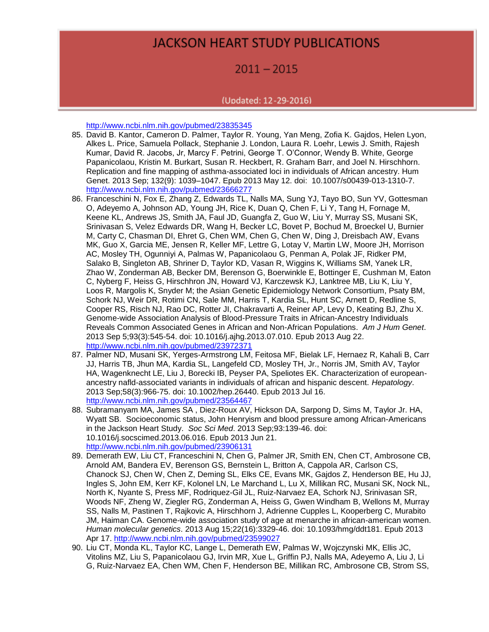### $2011 - 2015$

#### (Updated: 12-29-2016)

<http://www.ncbi.nlm.nih.gov/pubmed/23835345>

- 85. David B. Kantor, Cameron D. Palmer, Taylor R. Young, Yan Meng, Zofia K. Gajdos, Helen Lyon, Alkes L. Price, Samuela Pollack, Stephanie J. London, Laura R. Loehr, Lewis J. Smith, Rajesh Kumar, David R. Jacobs, Jr, Marcy F. Petrini, George T. O'Connor, Wendy B. White, George Papanicolaou, Kristin M. Burkart, Susan R. Heckbert, R. Graham Barr, and Joel N. Hirschhorn. Replication and fine mapping of asthma-associated loci in individuals of African ancestry. Hum Genet. 2013 Sep; 132(9): 1039–1047. Epub 2013 May 12. doi: 10.1007/s00439-013-1310-7. <http://www.ncbi.nlm.nih.gov/pubmed/23666277>
- 86. Franceschini N, Fox E, Zhang Z, Edwards TL, Nalls MA, Sung YJ, Tayo BO, Sun YV, Gottesman O, Adeyemo A, Johnson AD, Young JH, Rice K, Duan Q, Chen F, Li Y, Tang H, Fornage M, Keene KL, Andrews JS, Smith JA, Faul JD, Guangfa Z, Guo W, Liu Y, Murray SS, Musani SK, Srinivasan S, Velez Edwards DR, Wang H, Becker LC, Bovet P, Bochud M, Broeckel U, Burnier M, Carty C, Chasman DI, Ehret G, Chen WM, Chen G, Chen W, Ding J, Dreisbach AW, Evans MK, Guo X, Garcia ME, Jensen R, Keller MF, Lettre G, Lotay V, Martin LW, Moore JH, Morrison AC, Mosley TH, Ogunniyi A, Palmas W, Papanicolaou G, Penman A, Polak JF, Ridker PM, Salako B, Singleton AB, Shriner D, Taylor KD, Vasan R, Wiggins K, Williams SM, Yanek LR, Zhao W, Zonderman AB, Becker DM, Berenson G, Boerwinkle E, Bottinger E, Cushman M, Eaton C, Nyberg F, Heiss G, Hirschhron JN, Howard VJ, Karczewsk KJ, Lanktree MB, Liu K, Liu Y, Loos R, Margolis K, Snyder M; the Asian Genetic Epidemiology Network Consortium, Psaty BM, Schork NJ, Weir DR, Rotimi CN, Sale MM, Harris T, Kardia SL, Hunt SC, Arnett D, Redline S, Cooper RS, Risch NJ, Rao DC, Rotter JI, Chakravarti A, Reiner AP, Levy D, Keating BJ, Zhu X. Genome-wide Association Analysis of Blood-Pressure Traits in African-Ancestry Individuals Reveals Common Associated Genes in African and Non-African Populations. *Am J Hum Genet*. 2013 Sep 5;93(3):545-54. doi: 10.1016/j.ajhg.2013.07.010. Epub 2013 Aug 22. <http://www.ncbi.nlm.nih.gov/pubmed/23972371>
- 87. Palmer ND, Musani SK, Yerges-Armstrong LM, Feitosa MF, Bielak LF, Hernaez R, Kahali B, Carr JJ, Harris TB, Jhun MA, Kardia SL, Langefeld CD, Mosley TH, Jr., Norris JM, Smith AV, Taylor HA, Wagenknecht LE, Liu J, Borecki IB, Peyser PA, Speliotes EK. Characterization of europeanancestry nafld-associated variants in individuals of african and hispanic descent. *Hepatology*. 2013 Sep;58(3):966-75. doi: 10.1002/hep.26440. Epub 2013 Jul 16. <http://www.ncbi.nlm.nih.gov/pubmed/23564467>
- 88. Subramanyam MA, James SA , Diez-Roux AV, Hickson DA, Sarpong D, Sims M, Taylor Jr. HA, Wyatt SB. Socioeconomic status, John Henryism and blood pressure among African-Americans in the Jackson Heart Study. *Soc Sci Med*. 2013 Sep;93:139-46. doi: 10.1016/j.socscimed.2013.06.016. Epub 2013 Jun 21. <http://www.ncbi.nlm.nih.gov/pubmed/23906131>
- 89. Demerath EW, Liu CT, Franceschini N, Chen G, Palmer JR, Smith EN, Chen CT, Ambrosone CB, Arnold AM, Bandera EV, Berenson GS, Bernstein L, Britton A, Cappola AR, Carlson CS, Chanock SJ, Chen W, Chen Z, Deming SL, Elks CE, Evans MK, Gajdos Z, Henderson BE, Hu JJ, Ingles S, John EM, Kerr KF, Kolonel LN, Le Marchand L, Lu X, Millikan RC, Musani SK, Nock NL, North K, Nyante S, Press MF, Rodriquez-Gil JL, Ruiz-Narvaez EA, Schork NJ, Srinivasan SR, Woods NF, Zheng W, Ziegler RG, Zonderman A, Heiss G, Gwen Windham B, Wellons M, Murray SS, Nalls M, Pastinen T, Rajkovic A, Hirschhorn J, Adrienne Cupples L, Kooperberg C, Murabito JM, Haiman CA. Genome-wide association study of age at menarche in african-american women. *Human molecular genetics*. 2013 Aug 15;22(16):3329-46. doi: 10.1093/hmg/ddt181. Epub 2013 Apr 17.<http://www.ncbi.nlm.nih.gov/pubmed/23599027>
- 90. Liu CT, Monda KL, Taylor KC, Lange L, Demerath EW, Palmas W, Wojczynski MK, Ellis JC, Vitolins MZ, Liu S, Papanicolaou GJ, Irvin MR, Xue L, Griffin PJ, Nalls MA, Adeyemo A, Liu J, Li G, Ruiz-Narvaez EA, Chen WM, Chen F, Henderson BE, Millikan RC, Ambrosone CB, Strom SS,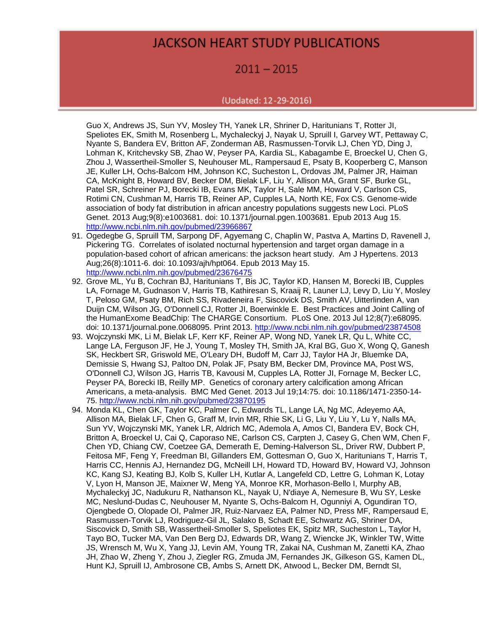### $2011 - 2015$

#### (Updated: 12-29-2016)

Guo X, Andrews JS, Sun YV, Mosley TH, Yanek LR, Shriner D, Haritunians T, Rotter JI, Speliotes EK, Smith M, Rosenberg L, Mychaleckyj J, Nayak U, Spruill I, Garvey WT, Pettaway C, Nyante S, Bandera EV, Britton AF, Zonderman AB, Rasmussen-Torvik LJ, Chen YD, Ding J, Lohman K, Kritchevsky SB, Zhao W, Peyser PA, Kardia SL, Kabagambe E, Broeckel U, Chen G, Zhou J, Wassertheil-Smoller S, Neuhouser ML, Rampersaud E, Psaty B, Kooperberg C, Manson JE, Kuller LH, Ochs-Balcom HM, Johnson KC, Sucheston L, Ordovas JM, Palmer JR, Haiman CA, McKnight B, Howard BV, Becker DM, Bielak LF, Liu Y, Allison MA, Grant SF, Burke GL, Patel SR, Schreiner PJ, Borecki IB, Evans MK, Taylor H, Sale MM, Howard V, Carlson CS, Rotimi CN, Cushman M, Harris TB, Reiner AP, Cupples LA, North KE, Fox CS. Genome-wide association of body fat distribution in african ancestry populations suggests new Loci. PLoS Genet. 2013 Aug;9(8):e1003681. doi: 10.1371/journal.pgen.1003681. Epub 2013 Aug 15. <http://www.ncbi.nlm.nih.gov/pubmed/23966867>

- 91. Ogedegbe G, Spruill TM, Sarpong DF, Agyemang C, Chaplin W, Pastva A, Martins D, Ravenell J, Pickering TG. Correlates of isolated nocturnal hypertension and target organ damage in a population-based cohort of african americans: the jackson heart study. Am J Hypertens. 2013 Aug;26(8):1011-6. doi: 10.1093/ajh/hpt064. Epub 2013 May 15. <http://www.ncbi.nlm.nih.gov/pubmed/23676475>
- 92. Grove ML, Yu B, Cochran BJ, Haritunians T, Bis JC, Taylor KD, Hansen M, Borecki IB, Cupples LA, Fornage M, Gudnason V, Harris TB, Kathiresan S, Kraaij R, Launer LJ, Levy D, Liu Y, Mosley T, Peloso GM, Psaty BM, Rich SS, Rivadeneira F, Siscovick DS, Smith AV, Uitterlinden A, van Duijn CM, Wilson JG, O'Donnell CJ, Rotter JI, Boerwinkle E. Best Practices and Joint Calling of the HumanExome BeadChip: The CHARGE Consortium. PLoS One. 2013 Jul 12;8(7):e68095. doi: 10.1371/journal.pone.0068095. Print 2013.<http://www.ncbi.nlm.nih.gov/pubmed/23874508>
- 93. Wojczynski MK, Li M, Bielak LF, Kerr KF, Reiner AP, Wong ND, Yanek LR, Qu L, White CC, Lange LA, Ferguson JF, He J, Young T, Mosley TH, Smith JA, Kral BG, Guo X, Wong Q, Ganesh SK, Heckbert SR, Griswold ME, O'Leary DH, Budoff M, Carr JJ, Taylor HA Jr, Bluemke DA, Demissie S, Hwang SJ, Paltoo DN, Polak JF, Psaty BM, Becker DM, Province MA, Post WS, O'Donnell CJ, Wilson JG, Harris TB, Kavousi M, Cupples LA, Rotter JI, Fornage M, Becker LC, Peyser PA, Borecki IB, Reilly MP. Genetics of coronary artery calcification among African Americans, a meta-analysis. BMC Med Genet. 2013 Jul 19;14:75. doi: 10.1186/1471-2350-14- 75.<http://www.ncbi.nlm.nih.gov/pubmed/23870195>
- 94. Monda KL, Chen GK, Taylor KC, Palmer C, Edwards TL, Lange LA, Ng MC, Adeyemo AA, Allison MA, Bielak LF, Chen G, Graff M, Irvin MR, Rhie SK, Li G, Liu Y, Liu Y, Lu Y, Nalls MA, Sun YV, Wojczynski MK, Yanek LR, Aldrich MC, Ademola A, Amos CI, Bandera EV, Bock CH, Britton A, Broeckel U, Cai Q, Caporaso NE, Carlson CS, Carpten J, Casey G, Chen WM, Chen F, Chen YD, Chiang CW, Coetzee GA, Demerath E, Deming-Halverson SL, Driver RW, Dubbert P, Feitosa MF, Feng Y, Freedman BI, Gillanders EM, Gottesman O, Guo X, Haritunians T, Harris T, Harris CC, Hennis AJ, Hernandez DG, McNeill LH, Howard TD, Howard BV, Howard VJ, Johnson KC, Kang SJ, Keating BJ, Kolb S, Kuller LH, Kutlar A, Langefeld CD, Lettre G, Lohman K, Lotay V, Lyon H, Manson JE, Maixner W, Meng YA, Monroe KR, Morhason-Bello I, Murphy AB, Mychaleckyj JC, Nadukuru R, Nathanson KL, Nayak U, N'diaye A, Nemesure B, Wu SY, Leske MC, Neslund-Dudas C, Neuhouser M, Nyante S, Ochs-Balcom H, Ogunniyi A, Ogundiran TO, Ojengbede O, Olopade OI, Palmer JR, Ruiz-Narvaez EA, Palmer ND, Press MF, Rampersaud E, Rasmussen-Torvik LJ, Rodriguez-Gil JL, Salako B, Schadt EE, Schwartz AG, Shriner DA, Siscovick D, Smith SB, Wassertheil-Smoller S, Speliotes EK, Spitz MR, Sucheston L, Taylor H, Tayo BO, Tucker MA, Van Den Berg DJ, Edwards DR, Wang Z, Wiencke JK, Winkler TW, Witte JS, Wrensch M, Wu X, Yang JJ, Levin AM, Young TR, Zakai NA, Cushman M, Zanetti KA, Zhao JH, Zhao W, Zheng Y, Zhou J, Ziegler RG, Zmuda JM, Fernandes JK, Gilkeson GS, Kamen DL, Hunt KJ, Spruill IJ, Ambrosone CB, Ambs S, Arnett DK, Atwood L, Becker DM, Berndt SI,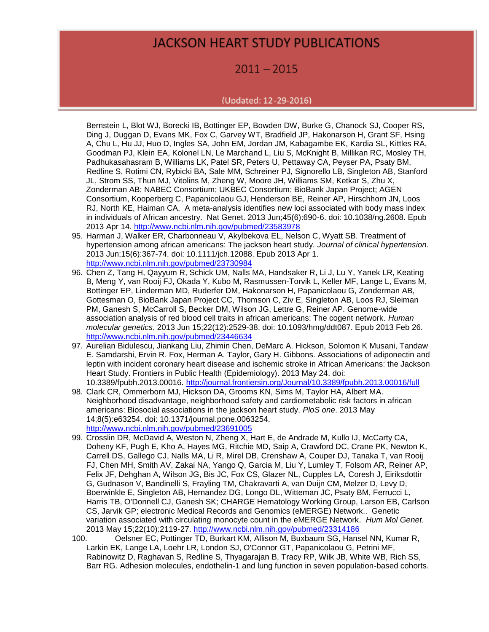### $2011 - 2015$

#### (Updated: 12-29-2016)

Bernstein L, Blot WJ, Borecki IB, Bottinger EP, Bowden DW, Burke G, Chanock SJ, Cooper RS, Ding J, Duggan D, Evans MK, Fox C, Garvey WT, Bradfield JP, Hakonarson H, Grant SF, Hsing A, Chu L, Hu JJ, Huo D, Ingles SA, John EM, Jordan JM, Kabagambe EK, Kardia SL, Kittles RA, Goodman PJ, Klein EA, Kolonel LN, Le Marchand L, Liu S, McKnight B, Millikan RC, Mosley TH, Padhukasahasram B, Williams LK, Patel SR, Peters U, Pettaway CA, Peyser PA, Psaty BM, Redline S, Rotimi CN, Rybicki BA, Sale MM, Schreiner PJ, Signorello LB, Singleton AB, Stanford JL, Strom SS, Thun MJ, Vitolins M, Zheng W, Moore JH, Williams SM, Ketkar S, Zhu X, Zonderman AB; NABEC Consortium; UKBEC Consortium; BioBank Japan Project; AGEN Consortium, Kooperberg C, Papanicolaou GJ, Henderson BE, Reiner AP, Hirschhorn JN, Loos RJ, North KE, Haiman CA. A meta-analysis identifies new loci associated with body mass index in individuals of African ancestry. Nat Genet. 2013 Jun;45(6):690-6. doi: 10.1038/ng.2608. Epub 2013 Apr 14.<http://www.ncbi.nlm.nih.gov/pubmed/23583978>

- 95. Harman J, Walker ER, Charbonneau V, Akylbekova EL, Nelson C, Wyatt SB. Treatment of hypertension among african americans: The jackson heart study. *Journal of clinical hypertension*. 2013 Jun;15(6):367-74. doi: 10.1111/jch.12088. Epub 2013 Apr 1. <http://www.ncbi.nlm.nih.gov/pubmed/23730984>
- 96. Chen Z, Tang H, Qayyum R, Schick UM, Nalls MA, Handsaker R, Li J, Lu Y, Yanek LR, Keating B, Meng Y, van Rooij FJ, Okada Y, Kubo M, Rasmussen-Torvik L, Keller MF, Lange L, Evans M, Bottinger EP, Linderman MD, Ruderfer DM, Hakonarson H, Papanicolaou G, Zonderman AB, Gottesman O, BioBank Japan Project CC, Thomson C, Ziv E, Singleton AB, Loos RJ, Sleiman PM, Ganesh S, McCarroll S, Becker DM, Wilson JG, Lettre G, Reiner AP. Genome-wide association analysis of red blood cell traits in african americans: The cogent network. *Human molecular genetics*. 2013 Jun 15;22(12):2529-38. doi: 10.1093/hmg/ddt087. Epub 2013 Feb 26. <http://www.ncbi.nlm.nih.gov/pubmed/23446634>
- 97. Aurelian Bidulescu, Jiankang Liu, Zhimin Chen, DeMarc A. Hickson, Solomon K Musani, Tandaw E. Samdarshi, Ervin R. Fox, Herman A. Taylor, Gary H. Gibbons. Associations of adiponectin and leptin with incident coronary heart disease and ischemic stroke in African Americans: the Jackson Heart Study. Frontiers in Public Health (Epidemiology). 2013 May 24. doi: 10.3389/fpubh.2013.00016.<http://journal.frontiersin.org/Journal/10.3389/fpubh.2013.00016/full>
- 98. Clark CR, Ommerborn MJ, Hickson DA, Grooms KN, Sims M, Taylor HA, Albert MA. Neighborhood disadvantage, neighborhood safety and cardiometabolic risk factors in african americans: Biosocial associations in the jackson heart study. *PloS one*. 2013 May 14;8(5):e63254. doi: 10.1371/journal.pone.0063254. <http://www.ncbi.nlm.nih.gov/pubmed/23691005>
- 99. Crosslin DR, McDavid A, Weston N, Zheng X, Hart E, de Andrade M, Kullo IJ, McCarty CA, Doheny KF, Pugh E, Kho A, Hayes MG, Ritchie MD, Saip A, Crawford DC, Crane PK, Newton K, Carrell DS, Gallego CJ, Nalls MA, Li R, Mirel DB, Crenshaw A, Couper DJ, Tanaka T, van Rooij FJ, Chen MH, Smith AV, Zakai NA, Yango Q, Garcia M, Liu Y, Lumley T, Folsom AR, Reiner AP, Felix JF, Dehghan A, Wilson JG, Bis JC, Fox CS, Glazer NL, Cupples LA, Coresh J, Eiriksdottir G, Gudnason V, Bandinelli S, Frayling TM, Chakravarti A, van Duijn CM, Melzer D, Levy D, Boerwinkle E, Singleton AB, Hernandez DG, Longo DL, Witteman JC, Psaty BM, Ferrucci L, Harris TB, O'Donnell CJ, Ganesh SK; CHARGE Hematology Working Group, Larson EB, Carlson CS, Jarvik GP; electronic Medical Records and Genomics (eMERGE) Network.. Genetic variation associated with circulating monocyte count in the eMERGE Network. *Hum Mol Genet*. 2013 May 15;22(10):2119-27.<http://www.ncbi.nlm.nih.gov/pubmed/23314186>
- 100. Oelsner EC, Pottinger TD, Burkart KM, Allison M, Buxbaum SG, Hansel NN, Kumar R, Larkin EK, Lange LA, Loehr LR, London SJ, O'Connor GT, Papanicolaou G, Petrini MF, Rabinowitz D, Raghavan S, Redline S, Thyagarajan B, Tracy RP, Wilk JB, White WB, Rich SS, Barr RG. Adhesion molecules, endothelin-1 and lung function in seven population-based cohorts.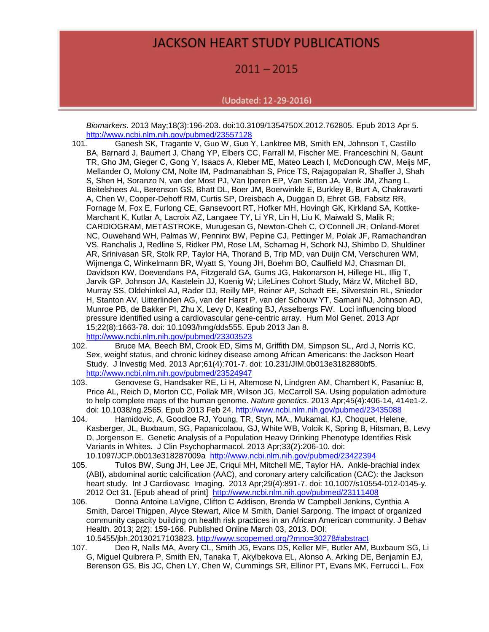### $2011 - 2015$

### (Updated: 12-29-2016)

*Biomarkers*. 2013 May;18(3):196-203. doi:10.3109/1354750X.2012.762805. Epub 2013 Apr 5. <http://www.ncbi.nlm.nih.gov/pubmed/23557128>

- 101. Ganesh SK, Tragante V, Guo W, Guo Y, Lanktree MB, Smith EN, Johnson T, Castillo BA, Barnard J, Baumert J, Chang YP, Elbers CC, Farrall M, Fischer ME, Franceschini N, Gaunt TR, Gho JM, Gieger C, Gong Y, Isaacs A, Kleber ME, Mateo Leach I, McDonough CW, Meijs MF, Mellander O, Molony CM, Nolte IM, Padmanabhan S, Price TS, Rajagopalan R, Shaffer J, Shah S, Shen H, Soranzo N, van der Most PJ, Van Iperen EP, Van Setten JA, Vonk JM, Zhang L, Beitelshees AL, Berenson GS, Bhatt DL, Boer JM, Boerwinkle E, Burkley B, Burt A, Chakravarti A, Chen W, Cooper-Dehoff RM, Curtis SP, Dreisbach A, Duggan D, Ehret GB, Fabsitz RR, Fornage M, Fox E, Furlong CE, Gansevoort RT, Hofker MH, Hovingh GK, Kirkland SA, Kottke-Marchant K, Kutlar A, Lacroix AZ, Langaee TY, Li YR, Lin H, Liu K, Maiwald S, Malik R; CARDIOGRAM, METASTROKE, Murugesan G, Newton-Cheh C, O'Connell JR, Onland-Moret NC, Ouwehand WH, Palmas W, Penninx BW, Pepine CJ, Pettinger M, Polak JF, Ramachandran VS, Ranchalis J, Redline S, Ridker PM, Rose LM, Scharnag H, Schork NJ, Shimbo D, Shuldiner AR, Srinivasan SR, Stolk RP, Taylor HA, Thorand B, Trip MD, van Duijn CM, Verschuren WM, Wijmenga C, Winkelmann BR, Wyatt S, Young JH, Boehm BO, Caulfield MJ, Chasman DI, Davidson KW, Doevendans PA, Fitzgerald GA, Gums JG, Hakonarson H, Hillege HL, Illig T, Jarvik GP, Johnson JA, Kastelein JJ, Koenig W; LifeLines Cohort Study, März W, Mitchell BD, Murray SS, Oldehinkel AJ, Rader DJ, Reilly MP, Reiner AP, Schadt EE, Silverstein RL, Snieder H, Stanton AV, Uitterlinden AG, van der Harst P, van der Schouw YT, Samani NJ, Johnson AD, Munroe PB, de Bakker PI, Zhu X, Levy D, Keating BJ, Asselbergs FW. Loci influencing blood pressure identified using a cardiovascular gene-centric array. Hum Mol Genet. 2013 Apr 15;22(8):1663-78. doi: 10.1093/hmg/dds555. Epub 2013 Jan 8. <http://www.ncbi.nlm.nih.gov/pubmed/23303523>
- 102. Bruce MA, Beech BM, Crook ED, Sims M, Griffith DM, Simpson SL, Ard J, Norris KC. Sex, weight status, and chronic kidney disease among African Americans: the Jackson Heart Study. J Investig Med. 2013 Apr;61(4):701-7. doi: 10.231/JIM.0b013e3182880bf5. <http://www.ncbi.nlm.nih.gov/pubmed/23524947>
- 103. Genovese G, Handsaker RE, Li H, Altemose N, Lindgren AM, Chambert K, Pasaniuc B, Price AL, Reich D, Morton CC, Pollak MR, Wilson JG, McCarroll SA. Using population admixture to help complete maps of the human genome. *Nature genetics*. 2013 Apr;45(4):406-14, 414e1-2. doi: 10.1038/ng.2565. Epub 2013 Feb 24.<http://www.ncbi.nlm.nih.gov/pubmed/23435088>
- 104. Hamidovic, A, Goodloe RJ, Young, TR, Styn, MA., Mukamal, KJ, Choquet, Helene, Kasberger, JL, Buxbaum, SG, Papanicolaou, GJ, White WB, Volcik K, Spring B, Hitsman, B, Levy D, Jorgenson E. Genetic Analysis of a Population Heavy Drinking Phenotype Identifies Risk Variants in Whites. J Clin Psychopharmacol. 2013 Apr;33(2):206-10. doi: 10.1097/JCP.0b013e318287009a <http://www.ncbi.nlm.nih.gov/pubmed/23422394>
- 105. Tullos BW, Sung JH, Lee JE, Criqui MH, Mitchell ME, Taylor HA. Ankle-brachial index (ABI), abdominal aortic calcification (AAC), and coronary artery calcification (CAC): the Jackson heart study. Int J Cardiovasc Imaging. 2013 Apr;29(4):891-7. doi: 10.1007/s10554-012-0145-y. 2012 Oct 31. [Epub ahead of print] <http://www.ncbi.nlm.nih.gov/pubmed/23111408>
- 106. Donna Antoine LaVigne, Clifton C Addison, Brenda W Campbell Jenkins, Cynthia A Smith, Darcel Thigpen, Alyce Stewart, Alice M Smith, Daniel Sarpong. The impact of organized community capacity building on health risk practices in an African American community. J Behav Health. 2013; 2(2): 159-166. Published Online March 03, 2013. DOI: 10.5455/jbh.20130217103823.<http://www.scopemed.org/?mno=30278#abstract>
- 107. Deo R, Nalls MA, Avery CL, Smith JG, Evans DS, Keller MF, Butler AM, Buxbaum SG, Li G, Miguel Quibrera P, Smith EN, Tanaka T, Akylbekova EL, Alonso A, Arking DE, Benjamin EJ, Berenson GS, Bis JC, Chen LY, Chen W, Cummings SR, Ellinor PT, Evans MK, Ferrucci L, Fox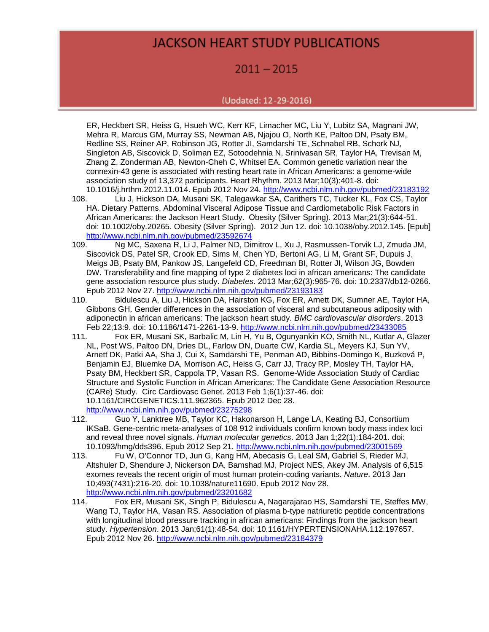### $2011 - 2015$

#### (Updated: 12-29-2016)

ER, Heckbert SR, Heiss G, Hsueh WC, Kerr KF, Limacher MC, Liu Y, Lubitz SA, Magnani JW, Mehra R, Marcus GM, Murray SS, Newman AB, Njajou O, North KE, Paltoo DN, Psaty BM, Redline SS, Reiner AP, Robinson JG, Rotter JI, Samdarshi TE, Schnabel RB, Schork NJ, Singleton AB, Siscovick D, Soliman EZ, Sotoodehnia N, Srinivasan SR, Taylor HA, Trevisan M, Zhang Z, Zonderman AB, Newton-Cheh C, Whitsel EA. Common genetic variation near the connexin-43 gene is associated with resting heart rate in African Americans: a genome-wide association study of 13,372 participants. Heart Rhythm. 2013 Mar;10(3):401-8. doi:

10.1016/j.hrthm.2012.11.014. Epub 2012 Nov 24.<http://www.ncbi.nlm.nih.gov/pubmed/23183192>

- 108. Liu J, Hickson DA, Musani SK, Talegawkar SA, Carithers TC, Tucker KL, Fox CS, Taylor HA. Dietary Patterns, Abdominal Visceral Adipose Tissue and Cardiometabolic Risk Factors in African Americans: the Jackson Heart Study. Obesity (Silver Spring). 2013 Mar;21(3):644-51. doi: 10.1002/oby.20265. Obesity (Silver Spring). 2012 Jun 12. doi: 10.1038/oby.2012.145. [Epub] <http://www.ncbi.nlm.nih.gov/pubmed/23592674>
- 109. Ng MC, Saxena R, Li J, Palmer ND, Dimitrov L, Xu J, Rasmussen-Torvik LJ, Zmuda JM, Siscovick DS, Patel SR, Crook ED, Sims M, Chen YD, Bertoni AG, Li M, Grant SF, Dupuis J, Meigs JB, Psaty BM, Pankow JS, Langefeld CD, Freedman BI, Rotter JI, Wilson JG, Bowden DW. Transferability and fine mapping of type 2 diabetes loci in african americans: The candidate gene association resource plus study. *Diabetes*. 2013 Mar;62(3):965-76. doi: 10.2337/db12-0266. Epub 2012 Nov 27.<http://www.ncbi.nlm.nih.gov/pubmed/23193183>
- 110. Bidulescu A, Liu J, Hickson DA, Hairston KG, Fox ER, Arnett DK, Sumner AE, Taylor HA, Gibbons GH. Gender differences in the association of visceral and subcutaneous adiposity with adiponectin in african americans: The jackson heart study. *BMC cardiovascular disorders*. 2013 Feb 22;13:9. doi: 10.1186/1471-2261-13-9.<http://www.ncbi.nlm.nih.gov/pubmed/23433085>
- 111. Fox ER, Musani SK, Barbalic M, Lin H, Yu B, Ogunyankin KO, Smith NL, Kutlar A, Glazer NL, Post WS, Paltoo DN, Dries DL, Farlow DN, Duarte CW, Kardia SL, Meyers KJ, Sun YV, Arnett DK, Patki AA, Sha J, Cui X, Samdarshi TE, Penman AD, Bibbins-Domingo K, Buzková P, Benjamin EJ, Bluemke DA, Morrison AC, Heiss G, Carr JJ, Tracy RP, Mosley TH, Taylor HA, Psaty BM, Heckbert SR, Cappola TP, Vasan RS. Genome-Wide Association Study of Cardiac Structure and Systolic Function in African Americans: The Candidate Gene Association Resource (CARe) Study. Circ Cardiovasc Genet. 2013 Feb 1;6(1):37-46. doi: 10.1161/CIRCGENETICS.111.962365. Epub 2012 Dec 28.
- <http://www.ncbi.nlm.nih.gov/pubmed/23275298><br>112. Guo Y, Lanktree MB. Tavlor KC. Hakon
- 112. Guo Y, Lanktree MB, Taylor KC, Hakonarson H, Lange LA, Keating BJ, Consortium IKSaB. Gene-centric meta-analyses of 108 912 individuals confirm known body mass index loci and reveal three novel signals. *Human molecular genetics*. 2013 Jan 1;22(1):184-201. doi: 10.1093/hmg/dds396. Epub 2012 Sep 21.<http://www.ncbi.nlm.nih.gov/pubmed/23001569>
- 113. Fu W, O'Connor TD, Jun G, Kang HM, Abecasis G, Leal SM, Gabriel S, Rieder MJ, Altshuler D, Shendure J, Nickerson DA, Bamshad MJ, Project NES, Akey JM. Analysis of 6,515 exomes reveals the recent origin of most human protein-coding variants. *Nature*. 2013 Jan 10;493(7431):216-20. doi: 10.1038/nature11690. Epub 2012 Nov 28. <http://www.ncbi.nlm.nih.gov/pubmed/23201682>
- 114. Fox ER, Musani SK, Singh P, Bidulescu A, Nagarajarao HS, Samdarshi TE, Steffes MW, Wang TJ, Taylor HA, Vasan RS. Association of plasma b-type natriuretic peptide concentrations with longitudinal blood pressure tracking in african americans: Findings from the jackson heart study. *Hypertension*. 2013 Jan;61(1):48-54. doi: 10.1161/HYPERTENSIONAHA.112.197657. Epub 2012 Nov 26.<http://www.ncbi.nlm.nih.gov/pubmed/23184379>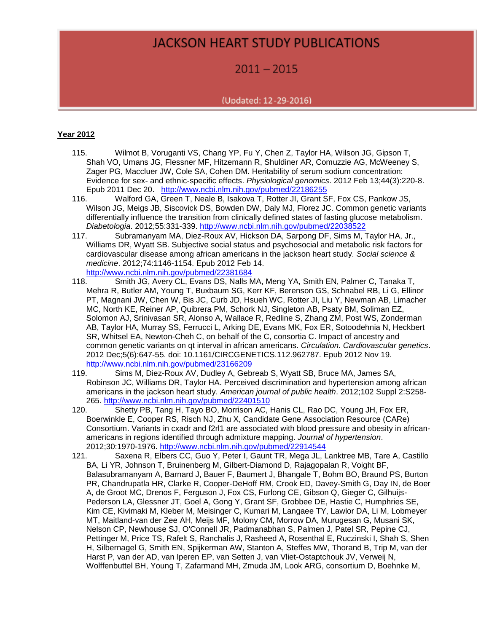### $2011 - 2015$

### (Updated: 12-29-2016)

#### **Year 2012**

- 115. Wilmot B, Voruganti VS, Chang YP, Fu Y, Chen Z, Taylor HA, Wilson JG, Gipson T, Shah VO, Umans JG, Flessner MF, Hitzemann R, Shuldiner AR, Comuzzie AG, McWeeney S, Zager PG, Maccluer JW, Cole SA, Cohen DM. Heritability of serum sodium concentration: Evidence for sex- and ethnic-specific effects. *Physiological genomics*. 2012 Feb 13;44(3):220-8. Epub 2011 Dec 20. <http://www.ncbi.nlm.nih.gov/pubmed/22186255>
- 116. Walford GA, Green T, Neale B, Isakova T, Rotter JI, Grant SF, Fox CS, Pankow JS, Wilson JG, Meigs JB, Siscovick DS, Bowden DW, Daly MJ, Florez JC. Common genetic variants differentially influence the transition from clinically defined states of fasting glucose metabolism. *Diabetologia*. 2012;55:331-339.<http://www.ncbi.nlm.nih.gov/pubmed/22038522>
- 117. Subramanyam MA, Diez-Roux AV, Hickson DA, Sarpong DF, Sims M, Taylor HA, Jr., Williams DR, Wyatt SB. Subjective social status and psychosocial and metabolic risk factors for cardiovascular disease among african americans in the jackson heart study. *Social science & medicine*. 2012;74:1146-1154. Epub 2012 Feb 14. <http://www.ncbi.nlm.nih.gov/pubmed/22381684>
- 118. Smith JG, Avery CL, Evans DS, Nalls MA, Meng YA, Smith EN, Palmer C, Tanaka T, Mehra R, Butler AM, Young T, Buxbaum SG, Kerr KF, Berenson GS, Schnabel RB, Li G, Ellinor PT, Magnani JW, Chen W, Bis JC, Curb JD, Hsueh WC, Rotter JI, Liu Y, Newman AB, Limacher MC, North KE, Reiner AP, Quibrera PM, Schork NJ, Singleton AB, Psaty BM, Soliman EZ, Solomon AJ, Srinivasan SR, Alonso A, Wallace R, Redline S, Zhang ZM, Post WS, Zonderman AB, Taylor HA, Murray SS, Ferrucci L, Arking DE, Evans MK, Fox ER, Sotoodehnia N, Heckbert SR, Whitsel EA, Newton-Cheh C, on behalf of the C, consortia C. Impact of ancestry and common genetic variants on qt interval in african americans. *Circulation. Cardiovascular genetics*. 2012 Dec;5(6):647-55. doi: 10.1161/CIRCGENETICS.112.962787. Epub 2012 Nov 19. <http://www.ncbi.nlm.nih.gov/pubmed/23166209>
- 119. Sims M, Diez-Roux AV, Dudley A, Gebreab S, Wyatt SB, Bruce MA, James SA, Robinson JC, Williams DR, Taylor HA. Perceived discrimination and hypertension among african americans in the jackson heart study. *American journal of public health*. 2012;102 Suppl 2:S258- 265.<http://www.ncbi.nlm.nih.gov/pubmed/22401510>
- 120. Shetty PB, Tang H, Tayo BO, Morrison AC, Hanis CL, Rao DC, Young JH, Fox ER, Boerwinkle E, Cooper RS, Risch NJ, Zhu X, Candidate Gene Association Resource (CARe) Consortium. Variants in cxadr and f2rl1 are associated with blood pressure and obesity in africanamericans in regions identified through admixture mapping. *Journal of hypertension*. 2012;30:1970-1976.<http://www.ncbi.nlm.nih.gov/pubmed/22914544>
- 121. Saxena R, Elbers CC, Guo Y, Peter I, Gaunt TR, Mega JL, Lanktree MB, Tare A, Castillo BA, Li YR, Johnson T, Bruinenberg M, Gilbert-Diamond D, Rajagopalan R, Voight BF, Balasubramanyam A, Barnard J, Bauer F, Baumert J, Bhangale T, Bohm BO, Braund PS, Burton PR, Chandrupatla HR, Clarke R, Cooper-DeHoff RM, Crook ED, Davey-Smith G, Day IN, de Boer A, de Groot MC, Drenos F, Ferguson J, Fox CS, Furlong CE, Gibson Q, Gieger C, Gilhuijs-Pederson LA, Glessner JT, Goel A, Gong Y, Grant SF, Grobbee DE, Hastie C, Humphries SE, Kim CE, Kivimaki M, Kleber M, Meisinger C, Kumari M, Langaee TY, Lawlor DA, Li M, Lobmeyer MT, Maitland-van der Zee AH, Meijs MF, Molony CM, Morrow DA, Murugesan G, Musani SK, Nelson CP, Newhouse SJ, O'Connell JR, Padmanabhan S, Palmen J, Patel SR, Pepine CJ, Pettinger M, Price TS, Rafelt S, Ranchalis J, Rasheed A, Rosenthal E, Ruczinski I, Shah S, Shen H, Silbernagel G, Smith EN, Spijkerman AW, Stanton A, Steffes MW, Thorand B, Trip M, van der Harst P, van der AD, van Iperen EP, van Setten J, van Vliet-Ostaptchouk JV, Verweij N, Wolffenbuttel BH, Young T, Zafarmand MH, Zmuda JM, Look ARG, consortium D, Boehnke M,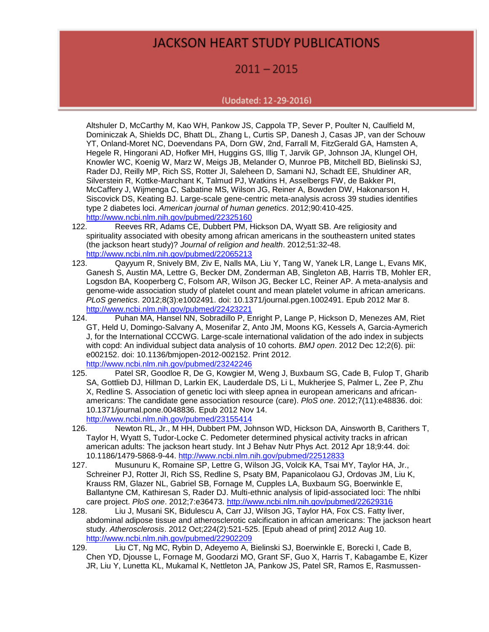### $2011 - 2015$

### (Updated: 12-29-2016)

Altshuler D, McCarthy M, Kao WH, Pankow JS, Cappola TP, Sever P, Poulter N, Caulfield M, Dominiczak A, Shields DC, Bhatt DL, Zhang L, Curtis SP, Danesh J, Casas JP, van der Schouw YT, Onland-Moret NC, Doevendans PA, Dorn GW, 2nd, Farrall M, FitzGerald GA, Hamsten A, Hegele R, Hingorani AD, Hofker MH, Huggins GS, Illig T, Jarvik GP, Johnson JA, Klungel OH, Knowler WC, Koenig W, Marz W, Meigs JB, Melander O, Munroe PB, Mitchell BD, Bielinski SJ, Rader DJ, Reilly MP, Rich SS, Rotter JI, Saleheen D, Samani NJ, Schadt EE, Shuldiner AR, Silverstein R, Kottke-Marchant K, Talmud PJ, Watkins H, Asselbergs FW, de Bakker PI, McCaffery J, Wijmenga C, Sabatine MS, Wilson JG, Reiner A, Bowden DW, Hakonarson H, Siscovick DS, Keating BJ. Large-scale gene-centric meta-analysis across 39 studies identifies type 2 diabetes loci. *American journal of human genetics*. 2012;90:410-425. <http://www.ncbi.nlm.nih.gov/pubmed/22325160>

- 122. Reeves RR, Adams CE, Dubbert PM, Hickson DA, Wyatt SB. Are religiosity and spirituality associated with obesity among african americans in the southeastern united states (the jackson heart study)? *Journal of religion and health*. 2012;51:32-48. <http://www.ncbi.nlm.nih.gov/pubmed/22065213>
- 123. Qayyum R, Snively BM, Ziv E, Nalls MA, Liu Y, Tang W, Yanek LR, Lange L, Evans MK, Ganesh S, Austin MA, Lettre G, Becker DM, Zonderman AB, Singleton AB, Harris TB, Mohler ER, Logsdon BA, Kooperberg C, Folsom AR, Wilson JG, Becker LC, Reiner AP. A meta-analysis and genome-wide association study of platelet count and mean platelet volume in african americans. *PLoS genetics*. 2012;8(3):e1002491. doi: 10.1371/journal.pgen.1002491. Epub 2012 Mar 8. <http://www.ncbi.nlm.nih.gov/pubmed/22423221>
- 124. Puhan MA, Hansel NN, Sobradillo P, Enright P, Lange P, Hickson D, Menezes AM, Riet GT, Held U, Domingo-Salvany A, Mosenifar Z, Anto JM, Moons KG, Kessels A, Garcia-Aymerich J, for the International CCCWG. Large-scale international validation of the ado index in subjects with copd: An individual subject data analysis of 10 cohorts. *BMJ open*. 2012 Dec 12;2(6). pii: e002152. doi: 10.1136/bmjopen-2012-002152. Print 2012. <http://www.ncbi.nlm.nih.gov/pubmed/23242246>
- 125. Patel SR, Goodloe R, De G, Kowgier M, Weng J, Buxbaum SG, Cade B, Fulop T, Gharib SA, Gottlieb DJ, Hillman D, Larkin EK, Lauderdale DS, Li L, Mukherjee S, Palmer L, Zee P, Zhu X, Redline S. Association of genetic loci with sleep apnea in european americans and africanamericans: The candidate gene association resource (care). *PloS one*. 2012;7(11):e48836. doi: 10.1371/journal.pone.0048836. Epub 2012 Nov 14.

<http://www.ncbi.nlm.nih.gov/pubmed/23155414>

- 126. Newton RL, Jr., M HH, Dubbert PM, Johnson WD, Hickson DA, Ainsworth B, Carithers T, Taylor H, Wyatt S, Tudor-Locke C. Pedometer determined physical activity tracks in african american adults: The jackson heart study. Int J Behav Nutr Phys Act. 2012 Apr 18;9:44. doi: 10.1186/1479-5868-9-44.<http://www.ncbi.nlm.nih.gov/pubmed/22512833>
- 127. Musunuru K, Romaine SP, Lettre G, Wilson JG, Volcik KA, Tsai MY, Taylor HA, Jr., Schreiner PJ, Rotter JI, Rich SS, Redline S, Psaty BM, Papanicolaou GJ, Ordovas JM, Liu K, Krauss RM, Glazer NL, Gabriel SB, Fornage M, Cupples LA, Buxbaum SG, Boerwinkle E, Ballantyne CM, Kathiresan S, Rader DJ. Multi-ethnic analysis of lipid-associated loci: The nhlbi care project. *PloS one*. 2012;7:e36473.<http://www.ncbi.nlm.nih.gov/pubmed/22629316>
- 128. Liu J, Musani SK, Bidulescu A, Carr JJ, Wilson JG, Taylor HA, Fox CS. Fatty liver, abdominal adipose tissue and atherosclerotic calcification in african americans: The jackson heart study. *Atherosclerosis*. 2012 Oct;224(2):521-525. [Epub ahead of print] 2012 Aug 10. <http://www.ncbi.nlm.nih.gov/pubmed/22902209>
- 129. Liu CT, Ng MC, Rybin D, Adeyemo A, Bielinski SJ, Boerwinkle E, Borecki I, Cade B, Chen YD, Djousse L, Fornage M, Goodarzi MO, Grant SF, Guo X, Harris T, Kabagambe E, Kizer JR, Liu Y, Lunetta KL, Mukamal K, Nettleton JA, Pankow JS, Patel SR, Ramos E, Rasmussen-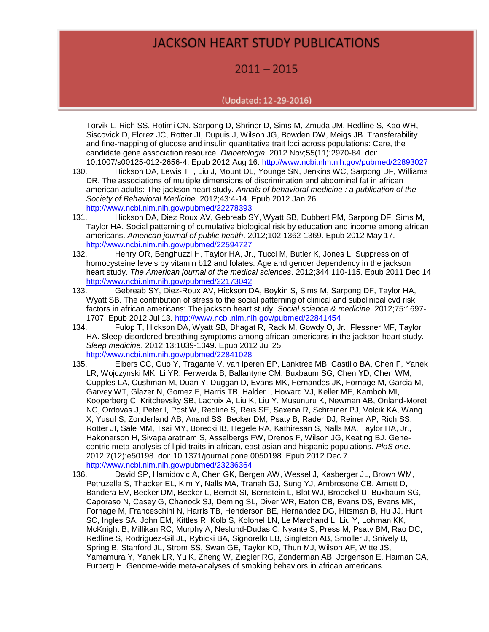### $2011 - 2015$

#### (Updated: 12-29-2016)

Torvik L, Rich SS, Rotimi CN, Sarpong D, Shriner D, Sims M, Zmuda JM, Redline S, Kao WH, Siscovick D, Florez JC, Rotter JI, Dupuis J, Wilson JG, Bowden DW, Meigs JB. Transferability and fine-mapping of glucose and insulin quantitative trait loci across populations: Care, the candidate gene association resource. *Diabetologia*. 2012 Nov;55(11):2970-84. doi: 10.1007/s00125-012-2656-4. Epub 2012 Aug 16.<http://www.ncbi.nlm.nih.gov/pubmed/22893027>

130. Hickson DA, Lewis TT, Liu J, Mount DL, Younge SN, Jenkins WC, Sarpong DF, Williams DR. The associations of multiple dimensions of discrimination and abdominal fat in african american adults: The jackson heart study. *Annals of behavioral medicine : a publication of the Society of Behavioral Medicine*. 2012;43:4-14. Epub 2012 Jan 26. <http://www.ncbi.nlm.nih.gov/pubmed/22278393>

- 131. Hickson DA, Diez Roux AV, Gebreab SY, Wyatt SB, Dubbert PM, Sarpong DF, Sims M, Taylor HA. Social patterning of cumulative biological risk by education and income among african americans. *American journal of public health*. 2012;102:1362-1369. Epub 2012 May 17. <http://www.ncbi.nlm.nih.gov/pubmed/22594727>
- 132. Henry OR, Benghuzzi H, Taylor HA, Jr., Tucci M, Butler K, Jones L. Suppression of homocysteine levels by vitamin b12 and folates: Age and gender dependency in the jackson heart study. *The American journal of the medical sciences*. 2012;344:110-115. Epub 2011 Dec 14 <http://www.ncbi.nlm.nih.gov/pubmed/22173042>
- 133. Gebreab SY, Diez-Roux AV, Hickson DA, Boykin S, Sims M, Sarpong DF, Taylor HA, Wyatt SB. The contribution of stress to the social patterning of clinical and subclinical cvd risk factors in african americans: The jackson heart study. *Social science & medicine*. 2012;75:1697- 1707. Epub 2012 Jul 13.<http://www.ncbi.nlm.nih.gov/pubmed/22841454>
- 134. Fulop T, Hickson DA, Wyatt SB, Bhagat R, Rack M, Gowdy O, Jr., Flessner MF, Taylor HA. Sleep-disordered breathing symptoms among african-americans in the jackson heart study. *Sleep medicine*. 2012;13:1039-1049. Epub 2012 Jul 25. <http://www.ncbi.nlm.nih.gov/pubmed/22841028>
- 135. Elbers CC, Guo Y, Tragante V, van Iperen EP, Lanktree MB, Castillo BA, Chen F, Yanek LR, Wojczynski MK, Li YR, Ferwerda B, Ballantyne CM, Buxbaum SG, Chen YD, Chen WM, Cupples LA, Cushman M, Duan Y, Duggan D, Evans MK, Fernandes JK, Fornage M, Garcia M, Garvey WT, Glazer N, Gomez F, Harris TB, Halder I, Howard VJ, Keller MF, Kamboh MI, Kooperberg C, Kritchevsky SB, Lacroix A, Liu K, Liu Y, Musunuru K, Newman AB, Onland-Moret NC, Ordovas J, Peter I, Post W, Redline S, Reis SE, Saxena R, Schreiner PJ, Volcik KA, Wang X, Yusuf S, Zonderland AB, Anand SS, Becker DM, Psaty B, Rader DJ, Reiner AP, Rich SS, Rotter JI, Sale MM, Tsai MY, Borecki IB, Hegele RA, Kathiresan S, Nalls MA, Taylor HA, Jr., Hakonarson H, Sivapalaratnam S, Asselbergs FW, Drenos F, Wilson JG, Keating BJ. Genecentric meta-analysis of lipid traits in african, east asian and hispanic populations. *PloS one*. 2012;7(12):e50198. doi: 10.1371/journal.pone.0050198. Epub 2012 Dec 7. <http://www.ncbi.nlm.nih.gov/pubmed/23236364>

136. David SP, Hamidovic A, Chen GK, Bergen AW, Wessel J, Kasberger JL, Brown WM, Petruzella S, Thacker EL, Kim Y, Nalls MA, Tranah GJ, Sung YJ, Ambrosone CB, Arnett D, Bandera EV, Becker DM, Becker L, Berndt SI, Bernstein L, Blot WJ, Broeckel U, Buxbaum SG, Caporaso N, Casey G, Chanock SJ, Deming SL, Diver WR, Eaton CB, Evans DS, Evans MK, Fornage M, Franceschini N, Harris TB, Henderson BE, Hernandez DG, Hitsman B, Hu JJ, Hunt SC, Ingles SA, John EM, Kittles R, Kolb S, Kolonel LN, Le Marchand L, Liu Y, Lohman KK, McKnight B, Millikan RC, Murphy A, Neslund-Dudas C, Nyante S, Press M, Psaty BM, Rao DC, Redline S, Rodriguez-Gil JL, Rybicki BA, Signorello LB, Singleton AB, Smoller J, Snively B, Spring B, Stanford JL, Strom SS, Swan GE, Taylor KD, Thun MJ, Wilson AF, Witte JS, Yamamura Y, Yanek LR, Yu K, Zheng W, Ziegler RG, Zonderman AB, Jorgenson E, Haiman CA, Furberg H. Genome-wide meta-analyses of smoking behaviors in african americans.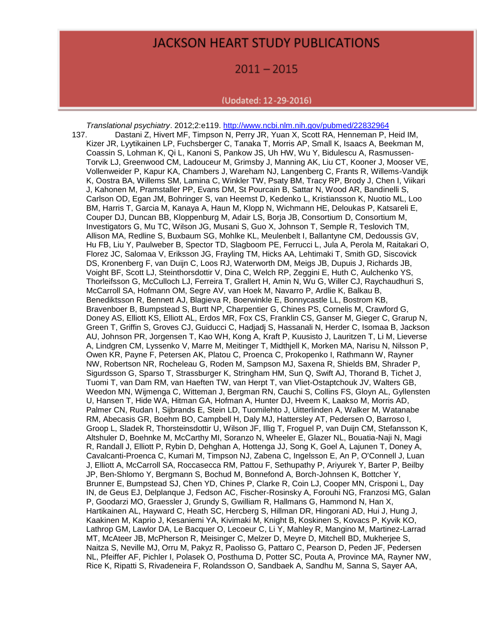### $2011 - 2015$

#### (Updated: 12-29-2016)

*Translational psychiatry*. 2012;2:e119.<http://www.ncbi.nlm.nih.gov/pubmed/22832964> 137. Dastani Z, Hivert MF, Timpson N, Perry JR, Yuan X, Scott RA, Henneman P, Heid IM, Kizer JR, Lyytikainen LP, Fuchsberger C, Tanaka T, Morris AP, Small K, Isaacs A, Beekman M, Coassin S, Lohman K, Qi L, Kanoni S, Pankow JS, Uh HW, Wu Y, Bidulescu A, Rasmussen-Torvik LJ, Greenwood CM, Ladouceur M, Grimsby J, Manning AK, Liu CT, Kooner J, Mooser VE, Vollenweider P, Kapur KA, Chambers J, Wareham NJ, Langenberg C, Frants R, Willems-Vandijk K, Oostra BA, Willems SM, Lamina C, Winkler TW, Psaty BM, Tracy RP, Brody J, Chen I, Viikari J, Kahonen M, Pramstaller PP, Evans DM, St Pourcain B, Sattar N, Wood AR, Bandinelli S, Carlson OD, Egan JM, Bohringer S, van Heemst D, Kedenko L, Kristiansson K, Nuotio ML, Loo BM, Harris T, Garcia M, Kanaya A, Haun M, Klopp N, Wichmann HE, Deloukas P, Katsareli E, Couper DJ, Duncan BB, Kloppenburg M, Adair LS, Borja JB, Consortium D, Consortium M, Investigators G, Mu TC, Wilson JG, Musani S, Guo X, Johnson T, Semple R, Teslovich TM, Allison MA, Redline S, Buxbaum SG, Mohlke KL, Meulenbelt I, Ballantyne CM, Dedoussis GV, Hu FB, Liu Y, Paulweber B, Spector TD, Slagboom PE, Ferrucci L, Jula A, Perola M, Raitakari O, Florez JC, Salomaa V, Eriksson JG, Frayling TM, Hicks AA, Lehtimaki T, Smith GD, Siscovick DS, Kronenberg F, van Duijn C, Loos RJ, Waterworth DM, Meigs JB, Dupuis J, Richards JB, Voight BF, Scott LJ, Steinthorsdottir V, Dina C, Welch RP, Zeggini E, Huth C, Aulchenko YS, Thorleifsson G, McCulloch LJ, Ferreira T, Grallert H, Amin N, Wu G, Willer CJ, Raychaudhuri S, McCarroll SA, Hofmann OM, Segre AV, van Hoek M, Navarro P, Ardlie K, Balkau B, Benediktsson R, Bennett AJ, Blagieva R, Boerwinkle E, Bonnycastle LL, Bostrom KB, Bravenboer B, Bumpstead S, Burtt NP, Charpentier G, Chines PS, Cornelis M, Crawford G, Doney AS, Elliott KS, Elliott AL, Erdos MR, Fox CS, Franklin CS, Ganser M, Gieger C, Grarup N, Green T, Griffin S, Groves CJ, Guiducci C, Hadjadj S, Hassanali N, Herder C, Isomaa B, Jackson AU, Johnson PR, Jorgensen T, Kao WH, Kong A, Kraft P, Kuusisto J, Lauritzen T, Li M, Lieverse A, Lindgren CM, Lyssenko V, Marre M, Meitinger T, Midthjell K, Morken MA, Narisu N, Nilsson P, Owen KR, Payne F, Petersen AK, Platou C, Proenca C, Prokopenko I, Rathmann W, Rayner NW, Robertson NR, Rocheleau G, Roden M, Sampson MJ, Saxena R, Shields BM, Shrader P, Sigurdsson G, Sparso T, Strassburger K, Stringham HM, Sun Q, Swift AJ, Thorand B, Tichet J, Tuomi T, van Dam RM, van Haeften TW, van Herpt T, van Vliet-Ostaptchouk JV, Walters GB, Weedon MN, Wijmenga C, Witteman J, Bergman RN, Cauchi S, Collins FS, Gloyn AL, Gyllensten U, Hansen T, Hide WA, Hitman GA, Hofman A, Hunter DJ, Hveem K, Laakso M, Morris AD, Palmer CN, Rudan I, Sijbrands E, Stein LD, Tuomilehto J, Uitterlinden A, Walker M, Watanabe RM, Abecasis GR, Boehm BO, Campbell H, Daly MJ, Hattersley AT, Pedersen O, Barroso I, Groop L, Sladek R, Thorsteinsdottir U, Wilson JF, Illig T, Froguel P, van Duijn CM, Stefansson K, Altshuler D, Boehnke M, McCarthy MI, Soranzo N, Wheeler E, Glazer NL, Bouatia-Naji N, Magi R, Randall J, Elliott P, Rybin D, Dehghan A, Hottenga JJ, Song K, Goel A, Lajunen T, Doney A, Cavalcanti-Proenca C, Kumari M, Timpson NJ, Zabena C, Ingelsson E, An P, O'Connell J, Luan J, Elliott A, McCarroll SA, Roccasecca RM, Pattou F, Sethupathy P, Ariyurek Y, Barter P, Beilby JP, Ben-Shlomo Y, Bergmann S, Bochud M, Bonnefond A, Borch-Johnsen K, Bottcher Y, Brunner E, Bumpstead SJ, Chen YD, Chines P, Clarke R, Coin LJ, Cooper MN, Crisponi L, Day IN, de Geus EJ, Delplanque J, Fedson AC, Fischer-Rosinsky A, Forouhi NG, Franzosi MG, Galan P, Goodarzi MO, Graessler J, Grundy S, Gwilliam R, Hallmans G, Hammond N, Han X, Hartikainen AL, Hayward C, Heath SC, Hercberg S, Hillman DR, Hingorani AD, Hui J, Hung J, Kaakinen M, Kaprio J, Kesaniemi YA, Kivimaki M, Knight B, Koskinen S, Kovacs P, Kyvik KO, Lathrop GM, Lawlor DA, Le Bacquer O, Lecoeur C, Li Y, Mahley R, Mangino M, Martinez-Larrad MT, McAteer JB, McPherson R, Meisinger C, Melzer D, Meyre D, Mitchell BD, Mukherjee S, Naitza S, Neville MJ, Orru M, Pakyz R, Paolisso G, Pattaro C, Pearson D, Peden JF, Pedersen NL, Pfeiffer AF, Pichler I, Polasek O, Posthuma D, Potter SC, Pouta A, Province MA, Rayner NW, Rice K, Ripatti S, Rivadeneira F, Rolandsson O, Sandbaek A, Sandhu M, Sanna S, Sayer AA,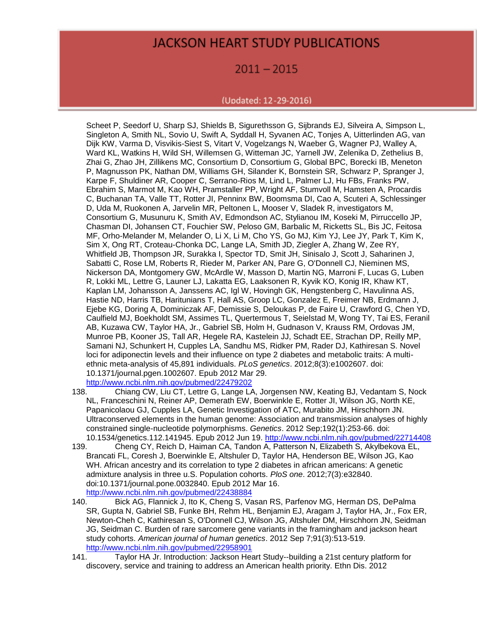### $2011 - 2015$

#### (Updated: 12-29-2016)

Scheet P, Seedorf U, Sharp SJ, Shields B, Sigurethsson G, Sijbrands EJ, Silveira A, Simpson L, Singleton A, Smith NL, Sovio U, Swift A, Syddall H, Syvanen AC, Tonjes A, Uitterlinden AG, van Dijk KW, Varma D, Visvikis-Siest S, Vitart V, Vogelzangs N, Waeber G, Wagner PJ, Walley A, Ward KL, Watkins H, Wild SH, Willemsen G, Witteman JC, Yarnell JW, Zelenika D, Zethelius B, Zhai G, Zhao JH, Zillikens MC, Consortium D, Consortium G, Global BPC, Borecki IB, Meneton P, Magnusson PK, Nathan DM, Williams GH, Silander K, Bornstein SR, Schwarz P, Spranger J, Karpe F, Shuldiner AR, Cooper C, Serrano-Rios M, Lind L, Palmer LJ, Hu FBs, Franks PW, Ebrahim S, Marmot M, Kao WH, Pramstaller PP, Wright AF, Stumvoll M, Hamsten A, Procardis C, Buchanan TA, Valle TT, Rotter JI, Penninx BW, Boomsma DI, Cao A, Scuteri A, Schlessinger D, Uda M, Ruokonen A, Jarvelin MR, Peltonen L, Mooser V, Sladek R, investigators M, Consortium G, Musunuru K, Smith AV, Edmondson AC, Stylianou IM, Koseki M, Pirruccello JP, Chasman DI, Johansen CT, Fouchier SW, Peloso GM, Barbalic M, Ricketts SL, Bis JC, Feitosa MF, Orho-Melander M, Melander O, Li X, Li M, Cho YS, Go MJ, Kim YJ, Lee JY, Park T, Kim K, Sim X, Ong RT, Croteau-Chonka DC, Lange LA, Smith JD, Ziegler A, Zhang W, Zee RY, Whitfield JB, Thompson JR, Surakka I, Spector TD, Smit JH, Sinisalo J, Scott J, Saharinen J, Sabatti C, Rose LM, Roberts R, Rieder M, Parker AN, Pare G, O'Donnell CJ, Nieminen MS, Nickerson DA, Montgomery GW, McArdle W, Masson D, Martin NG, Marroni F, Lucas G, Luben R, Lokki ML, Lettre G, Launer LJ, Lakatta EG, Laaksonen R, Kyvik KO, Konig IR, Khaw KT, Kaplan LM, Johansson A, Janssens AC, Igl W, Hovingh GK, Hengstenberg C, Havulinna AS, Hastie ND, Harris TB, Haritunians T, Hall AS, Groop LC, Gonzalez E, Freimer NB, Erdmann J, Ejebe KG, Doring A, Dominiczak AF, Demissie S, Deloukas P, de Faire U, Crawford G, Chen YD, Caulfield MJ, Boekholdt SM, Assimes TL, Quertermous T, Seielstad M, Wong TY, Tai ES, Feranil AB, Kuzawa CW, Taylor HA, Jr., Gabriel SB, Holm H, Gudnason V, Krauss RM, Ordovas JM, Munroe PB, Kooner JS, Tall AR, Hegele RA, Kastelein JJ, Schadt EE, Strachan DP, Reilly MP, Samani NJ, Schunkert H, Cupples LA, Sandhu MS, Ridker PM, Rader DJ, Kathiresan S. Novel loci for adiponectin levels and their influence on type 2 diabetes and metabolic traits: A multiethnic meta-analysis of 45,891 individuals. *PLoS genetics*. 2012;8(3):e1002607. doi: 10.1371/journal.pgen.1002607. Epub 2012 Mar 29.

- <http://www.ncbi.nlm.nih.gov/pubmed/22479202><br>138. Chiang CW, Liu CT, Lettre G, Lange LA
- 138. Chiang CW, Liu CT, Lettre G, Lange LA, Jorgensen NW, Keating BJ, Vedantam S, Nock NL, Franceschini N, Reiner AP, Demerath EW, Boerwinkle E, Rotter JI, Wilson JG, North KE, Papanicolaou GJ, Cupples LA, Genetic Investigation of ATC, Murabito JM, Hirschhorn JN. Ultraconserved elements in the human genome: Association and transmission analyses of highly constrained single-nucleotide polymorphisms. *Genetics*. 2012 Sep;192(1):253-66. doi: 10.1534/genetics.112.141945. Epub 2012 Jun 19.<http://www.ncbi.nlm.nih.gov/pubmed/22714408>
- 139. Cheng CY, Reich D, Haiman CA, Tandon A, Patterson N, Elizabeth S, Akylbekova EL, Brancati FL, Coresh J, Boerwinkle E, Altshuler D, Taylor HA, Henderson BE, Wilson JG, Kao WH. African ancestry and its correlation to type 2 diabetes in african americans: A genetic admixture analysis in three u.S. Population cohorts. *PloS one*. 2012;7(3):e32840. doi:10.1371/journal.pone.0032840. Epub 2012 Mar 16. <http://www.ncbi.nlm.nih.gov/pubmed/22438884>
- 140. Bick AG, Flannick J, Ito K, Cheng S, Vasan RS, Parfenov MG, Herman DS, DePalma SR, Gupta N, Gabriel SB, Funke BH, Rehm HL, Benjamin EJ, Aragam J, Taylor HA, Jr., Fox ER, Newton-Cheh C, Kathiresan S, O'Donnell CJ, Wilson JG, Altshuler DM, Hirschhorn JN, Seidman JG, Seidman C. Burden of rare sarcomere gene variants in the framingham and jackson heart study cohorts. *American journal of human genetics*. 2012 Sep 7;91(3):513-519. <http://www.ncbi.nlm.nih.gov/pubmed/22958901>
- 141. Taylor HA Jr. Introduction: Jackson Heart Study--building a 21st century platform for discovery, service and training to address an American health priority. Ethn Dis. 2012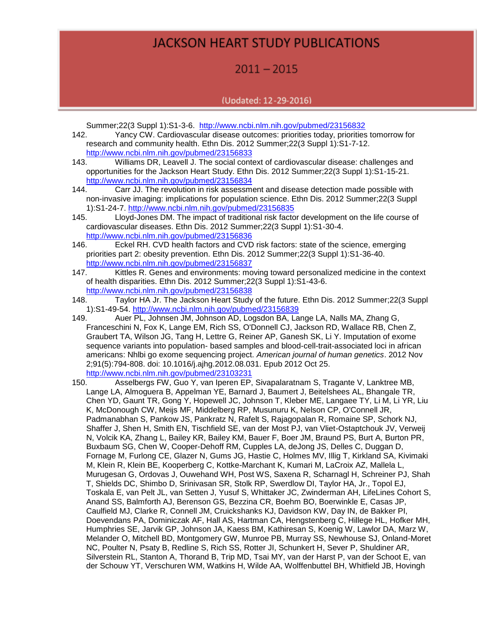### $2011 - 2015$

#### (Updated: 12-29-2016)

Summer;22(3 Suppl 1):S1-3-6. <http://www.ncbi.nlm.nih.gov/pubmed/23156832>

- 142. Yancy CW. Cardiovascular disease outcomes: priorities today, priorities tomorrow for research and community health. Ethn Dis. 2012 Summer;22(3 Suppl 1):S1-7-12. <http://www.ncbi.nlm.nih.gov/pubmed/23156833>
- 143. Williams DR, Leavell J. The social context of cardiovascular disease: challenges and opportunities for the Jackson Heart Study. Ethn Dis. 2012 Summer;22(3 Suppl 1):S1-15-21. <http://www.ncbi.nlm.nih.gov/pubmed/23156834>
- 144. Carr JJ. The revolution in risk assessment and disease detection made possible with non-invasive imaging: implications for population science. Ethn Dis. 2012 Summer;22(3 Suppl 1):S1-24-7.<http://www.ncbi.nlm.nih.gov/pubmed/23156835>
- 145. Lloyd-Jones DM. The impact of traditional risk factor development on the life course of cardiovascular diseases. Ethn Dis. 2012 Summer;22(3 Suppl 1):S1-30-4. <http://www.ncbi.nlm.nih.gov/pubmed/23156836>
- 146. Eckel RH. CVD health factors and CVD risk factors: state of the science, emerging priorities part 2: obesity prevention. Ethn Dis. 2012 Summer;22(3 Suppl 1):S1-36-40. <http://www.ncbi.nlm.nih.gov/pubmed/23156837>
- 147. Kittles R. Genes and environments: moving toward personalized medicine in the context of health disparities. Ethn Dis. 2012 Summer;22(3 Suppl 1):S1-43-6. <http://www.ncbi.nlm.nih.gov/pubmed/23156838>
- 148. Taylor HA Jr. The Jackson Heart Study of the future. Ethn Dis. 2012 Summer;22(3 Suppl 1):S1-49-54.<http://www.ncbi.nlm.nih.gov/pubmed/23156839><br>149. Auer PL, Johnsen JM, Johnson AD, Loasdon BA. La
- 149. Auer PL, Johnsen JM, Johnson AD, Logsdon BA, Lange LA, Nalls MA, Zhang G, Franceschini N, Fox K, Lange EM, Rich SS, O'Donnell CJ, Jackson RD, Wallace RB, Chen Z, Graubert TA, Wilson JG, Tang H, Lettre G, Reiner AP, Ganesh SK, Li Y. Imputation of exome sequence variants into population- based samples and blood-cell-trait-associated loci in african americans: Nhlbi go exome sequencing project. *American journal of human genetics*. 2012 Nov 2;91(5):794-808. doi: 10.1016/j.ajhg.2012.08.031. Epub 2012 Oct 25. <http://www.ncbi.nlm.nih.gov/pubmed/23103231>

150. Asselbergs FW, Guo Y, van Iperen EP, Sivapalaratnam S, Tragante V, Lanktree MB, Lange LA, Almoguera B, Appelman YE, Barnard J, Baumert J, Beitelshees AL, Bhangale TR, Chen YD, Gaunt TR, Gong Y, Hopewell JC, Johnson T, Kleber ME, Langaee TY, Li M, Li YR, Liu K, McDonough CW, Meijs MF, Middelberg RP, Musunuru K, Nelson CP, O'Connell JR, Padmanabhan S, Pankow JS, Pankratz N, Rafelt S, Rajagopalan R, Romaine SP, Schork NJ, Shaffer J, Shen H, Smith EN, Tischfield SE, van der Most PJ, van Vliet-Ostaptchouk JV, Verweij N, Volcik KA, Zhang L, Bailey KR, Bailey KM, Bauer F, Boer JM, Braund PS, Burt A, Burton PR, Buxbaum SG, Chen W, Cooper-Dehoff RM, Cupples LA, deJong JS, Delles C, Duggan D, Fornage M, Furlong CE, Glazer N, Gums JG, Hastie C, Holmes MV, Illig T, Kirkland SA, Kivimaki M, Klein R, Klein BE, Kooperberg C, Kottke-Marchant K, Kumari M, LaCroix AZ, Mallela L, Murugesan G, Ordovas J, Ouwehand WH, Post WS, Saxena R, Scharnagl H, Schreiner PJ, Shah T, Shields DC, Shimbo D, Srinivasan SR, Stolk RP, Swerdlow DI, Taylor HA, Jr., Topol EJ, Toskala E, van Pelt JL, van Setten J, Yusuf S, Whittaker JC, Zwinderman AH, LifeLines Cohort S, Anand SS, Balmforth AJ, Berenson GS, Bezzina CR, Boehm BO, Boerwinkle E, Casas JP, Caulfield MJ, Clarke R, Connell JM, Cruickshanks KJ, Davidson KW, Day IN, de Bakker PI, Doevendans PA, Dominiczak AF, Hall AS, Hartman CA, Hengstenberg C, Hillege HL, Hofker MH, Humphries SE, Jarvik GP, Johnson JA, Kaess BM, Kathiresan S, Koenig W, Lawlor DA, Marz W, Melander O, Mitchell BD, Montgomery GW, Munroe PB, Murray SS, Newhouse SJ, Onland-Moret NC, Poulter N, Psaty B, Redline S, Rich SS, Rotter JI, Schunkert H, Sever P, Shuldiner AR, Silverstein RL, Stanton A, Thorand B, Trip MD, Tsai MY, van der Harst P, van der Schoot E, van der Schouw YT, Verschuren WM, Watkins H, Wilde AA, Wolffenbuttel BH, Whitfield JB, Hovingh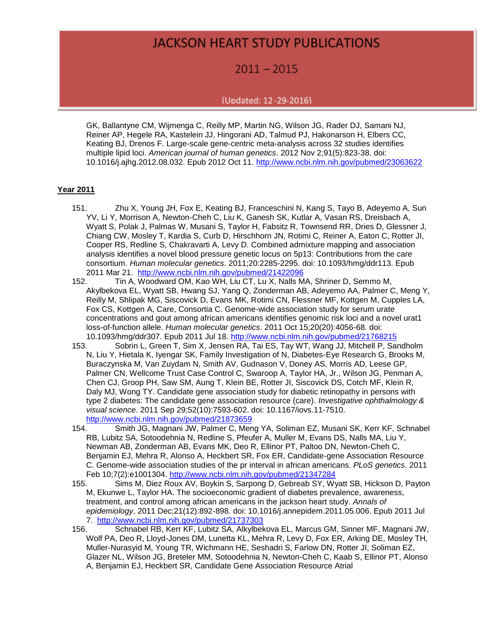### $2011 - 2015$

#### (Updated: 12-29-2016)

GK, Ballantyne CM, Wijmenga C, Reilly MP, Martin NG, Wilson JG, Rader DJ, Samani NJ, Reiner AP, Hegele RA, Kastelein JJ, Hingorani AD, Talmud PJ, Hakonarson H, Elbers CC, Keating BJ, Drenos F. Large-scale gene-centric meta-analysis across 32 studies identifies multiple lipid loci. *American journal of human genetics*. 2012 Nov 2;91(5):823-38. doi: 10.1016/j.ajhg.2012.08.032. Epub 2012 Oct 11.<http://www.ncbi.nlm.nih.gov/pubmed/23063622>

#### **Year 2011**

- 151. Zhu X, Young JH, Fox E, Keating BJ, Franceschini N, Kang S, Tayo B, Adeyemo A, Sun YV, Li Y, Morrison A, Newton-Cheh C, Liu K, Ganesh SK, Kutlar A, Vasan RS, Dreisbach A, Wyatt S, Polak J, Palmas W, Musani S, Taylor H, Fabsitz R, Townsend RR, Dries D, Glessner J, Chiang CW, Mosley T, Kardia S, Curb D, Hirschhorn JN, Rotimi C, Reiner A, Eaton C, Rotter JI, Cooper RS, Redline S, Chakravarti A, Levy D. Combined admixture mapping and association analysis identifies a novel blood pressure genetic locus on 5p13: Contributions from the care consortium. *Human molecular genetics*. 2011;20:2285-2295. doi: 10.1093/hmg/ddr113. Epub 2011 Mar 21. <http://www.ncbi.nlm.nih.gov/pubmed/21422096>
- 152. Tin A, Woodward OM, Kao WH, Liu CT, Lu X, Nalls MA, Shriner D, Semmo M, Akylbekova EL, Wyatt SB, Hwang SJ, Yang Q, Zonderman AB, Adeyemo AA, Palmer C, Meng Y, Reilly M, Shlipak MG, Siscovick D, Evans MK, Rotimi CN, Flessner MF, Kottgen M, Cupples LA, Fox CS, Kottgen A, Care, Consortia C. Genome-wide association study for serum urate concentrations and gout among african americans identifies genomic risk loci and a novel urat1 loss-of-function allele. *Human molecular genetics*. 2011 Oct 15;20(20):4056-68. doi: 10.1093/hmg/ddr307. Epub 2011 Jul 18.<http://www.ncbi.nlm.nih.gov/pubmed/21768215>
- 153. Sobrin L, Green T, Sim X, Jensen RA, Tai ES, Tay WT, Wang JJ, Mitchell P, Sandholm N, Liu Y, Hietala K, Iyengar SK, Family Investigation of N, Diabetes-Eye Research G, Brooks M, Buraczynska M, Van Zuydam N, Smith AV, Gudnason V, Doney AS, Morris AD, Leese GP, Palmer CN, Wellcome Trust Case Control C, Swaroop A, Taylor HA, Jr., Wilson JG, Penman A, Chen CJ, Groop PH, Saw SM, Aung T, Klein BE, Rotter JI, Siscovick DS, Cotch MF, Klein R, Daly MJ, Wong TY. Candidate gene association study for diabetic retinopathy in persons with type 2 diabetes: The candidate gene association resource (care). *Investigative ophthalmology & visual science*. 2011 Sep 29;52(10):7593-602. doi: 10.1167/iovs.11-7510. <http://www.ncbi.nlm.nih.gov/pubmed/21873659>
- 154. Smith JG, Magnani JW, Palmer C, Meng YA, Soliman EZ, Musani SK, Kerr KF, Schnabel RB, Lubitz SA, Sotoodehnia N, Redline S, Pfeufer A, Muller M, Evans DS, Nalls MA, Liu Y, Newman AB, Zonderman AB, Evans MK, Deo R, Ellinor PT, Paltoo DN, Newton-Cheh C, Benjamin EJ, Mehra R, Alonso A, Heckbert SR, Fox ER, Candidate-gene Association Resource C. Genome-wide association studies of the pr interval in african americans. *PLoS genetics*. 2011 Feb 10;7(2):e1001304.<http://www.ncbi.nlm.nih.gov/pubmed/21347284>
- 155. Sims M, Diez Roux AV, Boykin S, Sarpong D, Gebreab SY, Wyatt SB, Hickson D, Payton M, Ekunwe L, Taylor HA. The socioeconomic gradient of diabetes prevalence, awareness, treatment, and control among african americans in the jackson heart study. *Annals of epidemiology*. 2011 Dec;21(12):892-898. doi: 10.1016/j.annepidem.2011.05.006. Epub 2011 Jul 7. <http://www.ncbi.nlm.nih.gov/pubmed/21737303>
- 156. Schnabel RB, Kerr KF, Lubitz SA, Alkylbekova EL, Marcus GM, Sinner MF, Magnani JW, Wolf PA, Deo R, Lloyd-Jones DM, Lunetta KL, Mehra R, Levy D, Fox ER, Arking DE, Mosley TH, Muller-Nurasyid M, Young TR, Wichmann HE, Seshadri S, Farlow DN, Rotter JI, Soliman EZ, Glazer NL, Wilson JG, Breteler MM, Sotoodehnia N, Newton-Cheh C, Kaab S, Ellinor PT, Alonso A, Benjamin EJ, Heckbert SR, Candidate Gene Association Resource Atrial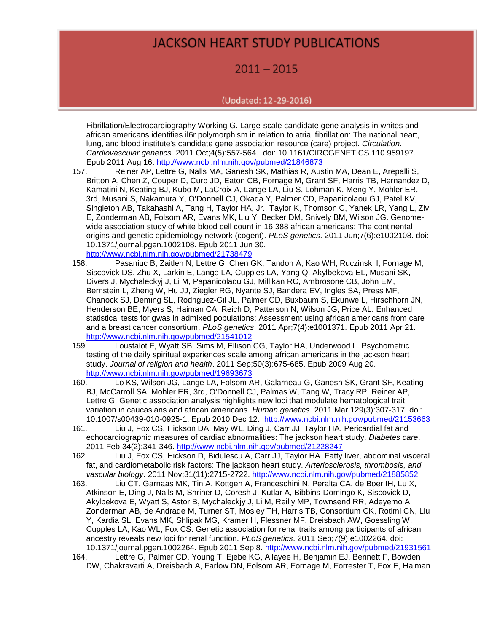### $2011 - 2015$

#### (Updated: 12-29-2016)

Fibrillation/Electrocardiography Working G. Large-scale candidate gene analysis in whites and african americans identifies il6r polymorphism in relation to atrial fibrillation: The national heart, lung, and blood institute's candidate gene association resource (care) project. *Circulation. Cardiovascular genetics*. 2011 Oct;4(5):557-564. doi: 10.1161/CIRCGENETICS.110.959197. Epub 2011 Aug 16.<http://www.ncbi.nlm.nih.gov/pubmed/21846873>

- 157. Reiner AP, Lettre G, Nalls MA, Ganesh SK, Mathias R, Austin MA, Dean E, Arepalli S, Britton A, Chen Z, Couper D, Curb JD, Eaton CB, Fornage M, Grant SF, Harris TB, Hernandez D, Kamatini N, Keating BJ, Kubo M, LaCroix A, Lange LA, Liu S, Lohman K, Meng Y, Mohler ER, 3rd, Musani S, Nakamura Y, O'Donnell CJ, Okada Y, Palmer CD, Papanicolaou GJ, Patel KV, Singleton AB, Takahashi A, Tang H, Taylor HA, Jr., Taylor K, Thomson C, Yanek LR, Yang L, Ziv E, Zonderman AB, Folsom AR, Evans MK, Liu Y, Becker DM, Snively BM, Wilson JG. Genomewide association study of white blood cell count in 16,388 african americans: The continental origins and genetic epidemiology network (cogent). *PLoS genetics*. 2011 Jun;7(6):e1002108. doi: 10.1371/journal.pgen.1002108. Epub 2011 Jun 30. <http://www.ncbi.nlm.nih.gov/pubmed/21738479>
- 158. Pasaniuc B, Zaitlen N, Lettre G, Chen GK, Tandon A, Kao WH, Ruczinski I, Fornage M, Siscovick DS, Zhu X, Larkin E, Lange LA, Cupples LA, Yang Q, Akylbekova EL, Musani SK, Divers J, Mychaleckyj J, Li M, Papanicolaou GJ, Millikan RC, Ambrosone CB, John EM, Bernstein L, Zheng W, Hu JJ, Ziegler RG, Nyante SJ, Bandera EV, Ingles SA, Press MF, Chanock SJ, Deming SL, Rodriguez-Gil JL, Palmer CD, Buxbaum S, Ekunwe L, Hirschhorn JN, Henderson BE, Myers S, Haiman CA, Reich D, Patterson N, Wilson JG, Price AL. Enhanced statistical tests for gwas in admixed populations: Assessment using african americans from care and a breast cancer consortium. *PLoS genetics*. 2011 Apr;7(4):e1001371. Epub 2011 Apr 21. <http://www.ncbi.nlm.nih.gov/pubmed/21541012>
- 159. Loustalot F, Wyatt SB, Sims M, Ellison CG, Taylor HA, Underwood L. Psychometric testing of the daily spiritual experiences scale among african americans in the jackson heart study. *Journal of religion and health*. 2011 Sep;50(3):675-685. Epub 2009 Aug 20. <http://www.ncbi.nlm.nih.gov/pubmed/19693673>
- 160. Lo KS, Wilson JG, Lange LA, Folsom AR, Galarneau G, Ganesh SK, Grant SF, Keating BJ, McCarroll SA, Mohler ER, 3rd, O'Donnell CJ, Palmas W, Tang W, Tracy RP, Reiner AP, Lettre G. Genetic association analysis highlights new loci that modulate hematological trait variation in caucasians and african americans. *Human genetics*. 2011 Mar;129(3):307-317. doi: 10.1007/s00439-010-0925-1. Epub 2010 Dec 12. <http://www.ncbi.nlm.nih.gov/pubmed/21153663>
- 161. Liu J, Fox CS, Hickson DA, May WL, Ding J, Carr JJ, Taylor HA. Pericardial fat and echocardiographic measures of cardiac abnormalities: The jackson heart study. *Diabetes care*. 2011 Feb;34(2):341-346.<http://www.ncbi.nlm.nih.gov/pubmed/21228247>
- 162. Liu J, Fox CS, Hickson D, Bidulescu A, Carr JJ, Taylor HA. Fatty liver, abdominal visceral fat, and cardiometabolic risk factors: The jackson heart study. *Arteriosclerosis, thrombosis, and vascular biology*. 2011 Nov;31(11):2715-2722.<http://www.ncbi.nlm.nih.gov/pubmed/21885852>
- 163. Liu CT, Garnaas MK, Tin A, Kottgen A, Franceschini N, Peralta CA, de Boer IH, Lu X, Atkinson E, Ding J, Nalls M, Shriner D, Coresh J, Kutlar A, Bibbins-Domingo K, Siscovick D, Akylbekova E, Wyatt S, Astor B, Mychaleckjy J, Li M, Reilly MP, Townsend RR, Adeyemo A, Zonderman AB, de Andrade M, Turner ST, Mosley TH, Harris TB, Consortium CK, Rotimi CN, Liu Y, Kardia SL, Evans MK, Shlipak MG, Kramer H, Flessner MF, Dreisbach AW, Goessling W, Cupples LA, Kao WL, Fox CS. Genetic association for renal traits among participants of african ancestry reveals new loci for renal function. *PLoS genetics*. 2011 Sep;7(9):e1002264. doi: 10.1371/journal.pgen.1002264. Epub 2011 Sep 8.<http://www.ncbi.nlm.nih.gov/pubmed/21931561>
- 164. Lettre G, Palmer CD, Young T, Ejebe KG, Allayee H, Benjamin EJ, Bennett F, Bowden DW, Chakravarti A, Dreisbach A, Farlow DN, Folsom AR, Fornage M, Forrester T, Fox E, Haiman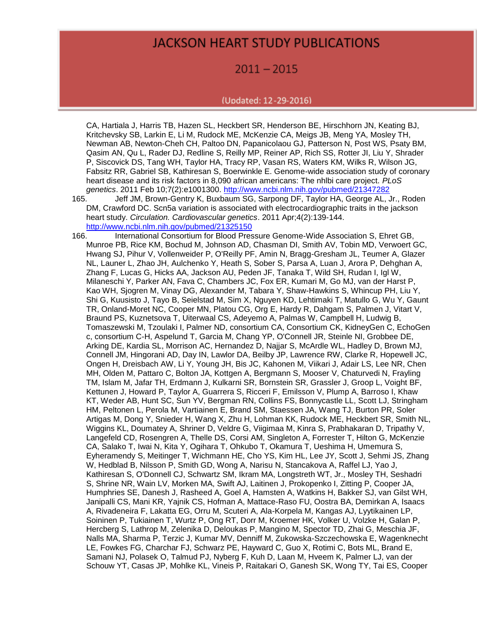### $2011 - 2015$

#### (Updated: 12-29-2016)

CA, Hartiala J, Harris TB, Hazen SL, Heckbert SR, Henderson BE, Hirschhorn JN, Keating BJ, Kritchevsky SB, Larkin E, Li M, Rudock ME, McKenzie CA, Meigs JB, Meng YA, Mosley TH, Newman AB, Newton-Cheh CH, Paltoo DN, Papanicolaou GJ, Patterson N, Post WS, Psaty BM, Qasim AN, Qu L, Rader DJ, Redline S, Reilly MP, Reiner AP, Rich SS, Rotter JI, Liu Y, Shrader P, Siscovick DS, Tang WH, Taylor HA, Tracy RP, Vasan RS, Waters KM, Wilks R, Wilson JG, Fabsitz RR, Gabriel SB, Kathiresan S, Boerwinkle E. Genome-wide association study of coronary heart disease and its risk factors in 8,090 african americans: The nhlbi care project. *PLoS genetics*. 2011 Feb 10;7(2):e1001300.<http://www.ncbi.nlm.nih.gov/pubmed/21347282>

165. Jeff JM, Brown-Gentry K, Buxbaum SG, Sarpong DF, Taylor HA, George AL, Jr., Roden DM, Crawford DC. Scn5a variation is associated with electrocardiographic traits in the jackson heart study. *Circulation. Cardiovascular genetics*. 2011 Apr;4(2):139-144. <http://www.ncbi.nlm.nih.gov/pubmed/21325150>

166. International Consortium for Blood Pressure Genome-Wide Association S, Ehret GB, Munroe PB, Rice KM, Bochud M, Johnson AD, Chasman DI, Smith AV, Tobin MD, Verwoert GC, Hwang SJ, Pihur V, Vollenweider P, O'Reilly PF, Amin N, Bragg-Gresham JL, Teumer A, Glazer NL, Launer L, Zhao JH, Aulchenko Y, Heath S, Sober S, Parsa A, Luan J, Arora P, Dehghan A, Zhang F, Lucas G, Hicks AA, Jackson AU, Peden JF, Tanaka T, Wild SH, Rudan I, Igl W, Milaneschi Y, Parker AN, Fava C, Chambers JC, Fox ER, Kumari M, Go MJ, van der Harst P, Kao WH, Sjogren M, Vinay DG, Alexander M, Tabara Y, Shaw-Hawkins S, Whincup PH, Liu Y, Shi G, Kuusisto J, Tayo B, Seielstad M, Sim X, Nguyen KD, Lehtimaki T, Matullo G, Wu Y, Gaunt TR, Onland-Moret NC, Cooper MN, Platou CG, Org E, Hardy R, Dahgam S, Palmen J, Vitart V, Braund PS, Kuznetsova T, Uiterwaal CS, Adeyemo A, Palmas W, Campbell H, Ludwig B, Tomaszewski M, Tzoulaki I, Palmer ND, consortium CA, Consortium CK, KidneyGen C, EchoGen c, consortium C-H, Aspelund T, Garcia M, Chang YP, O'Connell JR, Steinle NI, Grobbee DE, Arking DE, Kardia SL, Morrison AC, Hernandez D, Najjar S, McArdle WL, Hadley D, Brown MJ, Connell JM, Hingorani AD, Day IN, Lawlor DA, Beilby JP, Lawrence RW, Clarke R, Hopewell JC, Ongen H, Dreisbach AW, Li Y, Young JH, Bis JC, Kahonen M, Viikari J, Adair LS, Lee NR, Chen MH, Olden M, Pattaro C, Bolton JA, Kottgen A, Bergmann S, Mooser V, Chaturvedi N, Frayling TM, Islam M, Jafar TH, Erdmann J, Kulkarni SR, Bornstein SR, Grassler J, Groop L, Voight BF, Kettunen J, Howard P, Taylor A, Guarrera S, Ricceri F, Emilsson V, Plump A, Barroso I, Khaw KT, Weder AB, Hunt SC, Sun YV, Bergman RN, Collins FS, Bonnycastle LL, Scott LJ, Stringham HM, Peltonen L, Perola M, Vartiainen E, Brand SM, Staessen JA, Wang TJ, Burton PR, Soler Artigas M, Dong Y, Snieder H, Wang X, Zhu H, Lohman KK, Rudock ME, Heckbert SR, Smith NL, Wiggins KL, Doumatey A, Shriner D, Veldre G, Viigimaa M, Kinra S, Prabhakaran D, Tripathy V, Langefeld CD, Rosengren A, Thelle DS, Corsi AM, Singleton A, Forrester T, Hilton G, McKenzie CA, Salako T, Iwai N, Kita Y, Ogihara T, Ohkubo T, Okamura T, Ueshima H, Umemura S, Eyheramendy S, Meitinger T, Wichmann HE, Cho YS, Kim HL, Lee JY, Scott J, Sehmi JS, Zhang W, Hedblad B, Nilsson P, Smith GD, Wong A, Narisu N, Stancakova A, Raffel LJ, Yao J, Kathiresan S, O'Donnell CJ, Schwartz SM, Ikram MA, Longstreth WT, Jr., Mosley TH, Seshadri S, Shrine NR, Wain LV, Morken MA, Swift AJ, Laitinen J, Prokopenko I, Zitting P, Cooper JA, Humphries SE, Danesh J, Rasheed A, Goel A, Hamsten A, Watkins H, Bakker SJ, van Gilst WH, Janipalli CS, Mani KR, Yajnik CS, Hofman A, Mattace-Raso FU, Oostra BA, Demirkan A, Isaacs A, Rivadeneira F, Lakatta EG, Orru M, Scuteri A, Ala-Korpela M, Kangas AJ, Lyytikainen LP, Soininen P, Tukiainen T, Wurtz P, Ong RT, Dorr M, Kroemer HK, Volker U, Volzke H, Galan P, Hercberg S, Lathrop M, Zelenika D, Deloukas P, Mangino M, Spector TD, Zhai G, Meschia JF, Nalls MA, Sharma P, Terzic J, Kumar MV, Denniff M, Zukowska-Szczechowska E, Wagenknecht LE, Fowkes FG, Charchar FJ, Schwarz PE, Hayward C, Guo X, Rotimi C, Bots ML, Brand E, Samani NJ, Polasek O, Talmud PJ, Nyberg F, Kuh D, Laan M, Hveem K, Palmer LJ, van der Schouw YT, Casas JP, Mohlke KL, Vineis P, Raitakari O, Ganesh SK, Wong TY, Tai ES, Cooper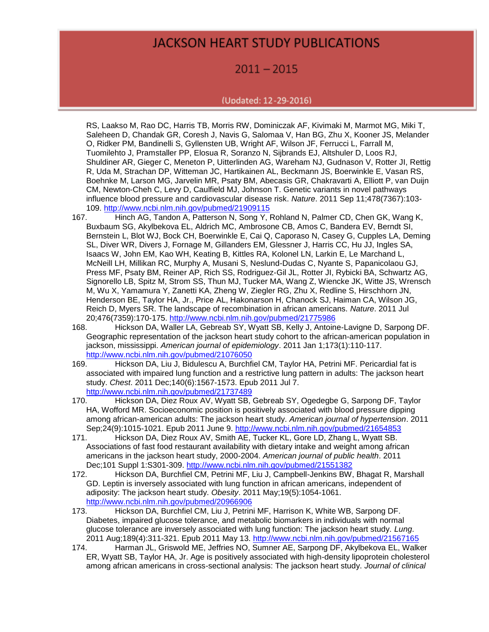### $2011 - 2015$

#### (Updated: 12-29-2016)

RS, Laakso M, Rao DC, Harris TB, Morris RW, Dominiczak AF, Kivimaki M, Marmot MG, Miki T, Saleheen D, Chandak GR, Coresh J, Navis G, Salomaa V, Han BG, Zhu X, Kooner JS, Melander O, Ridker PM, Bandinelli S, Gyllensten UB, Wright AF, Wilson JF, Ferrucci L, Farrall M, Tuomilehto J, Pramstaller PP, Elosua R, Soranzo N, Sijbrands EJ, Altshuler D, Loos RJ, Shuldiner AR, Gieger C, Meneton P, Uitterlinden AG, Wareham NJ, Gudnason V, Rotter JI, Rettig R, Uda M, Strachan DP, Witteman JC, Hartikainen AL, Beckmann JS, Boerwinkle E, Vasan RS, Boehnke M, Larson MG, Jarvelin MR, Psaty BM, Abecasis GR, Chakravarti A, Elliott P, van Duijn CM, Newton-Cheh C, Levy D, Caulfield MJ, Johnson T. Genetic variants in novel pathways influence blood pressure and cardiovascular disease risk. *Nature*. 2011 Sep 11;478(7367):103- 109.<http://www.ncbi.nlm.nih.gov/pubmed/21909115>

- 167. Hinch AG, Tandon A, Patterson N, Song Y, Rohland N, Palmer CD, Chen GK, Wang K, Buxbaum SG, Akylbekova EL, Aldrich MC, Ambrosone CB, Amos C, Bandera EV, Berndt SI, Bernstein L, Blot WJ, Bock CH, Boerwinkle E, Cai Q, Caporaso N, Casey G, Cupples LA, Deming SL, Diver WR, Divers J, Fornage M, Gillanders EM, Glessner J, Harris CC, Hu JJ, Ingles SA, Isaacs W, John EM, Kao WH, Keating B, Kittles RA, Kolonel LN, Larkin E, Le Marchand L, McNeill LH, Millikan RC, Murphy A, Musani S, Neslund-Dudas C, Nyante S, Papanicolaou GJ, Press MF, Psaty BM, Reiner AP, Rich SS, Rodriguez-Gil JL, Rotter JI, Rybicki BA, Schwartz AG, Signorello LB, Spitz M, Strom SS, Thun MJ, Tucker MA, Wang Z, Wiencke JK, Witte JS, Wrensch M, Wu X, Yamamura Y, Zanetti KA, Zheng W, Ziegler RG, Zhu X, Redline S, Hirschhorn JN, Henderson BE, Taylor HA, Jr., Price AL, Hakonarson H, Chanock SJ, Haiman CA, Wilson JG, Reich D, Myers SR. The landscape of recombination in african americans. *Nature*. 2011 Jul 20;476(7359):170-175.<http://www.ncbi.nlm.nih.gov/pubmed/21775986>
- 168. Hickson DA, Waller LA, Gebreab SY, Wyatt SB, Kelly J, Antoine-Lavigne D, Sarpong DF. Geographic representation of the jackson heart study cohort to the african-american population in jackson, mississippi. *American journal of epidemiology*. 2011 Jan 1;173(1):110-117. <http://www.ncbi.nlm.nih.gov/pubmed/21076050>
- 169. Hickson DA, Liu J, Bidulescu A, Burchfiel CM, Taylor HA, Petrini MF. Pericardial fat is associated with impaired lung function and a restrictive lung pattern in adults: The jackson heart study. *Chest*. 2011 Dec;140(6):1567-1573. Epub 2011 Jul 7. <http://www.ncbi.nlm.nih.gov/pubmed/21737489>
- 170. Hickson DA, Diez Roux AV, Wyatt SB, Gebreab SY, Ogedegbe G, Sarpong DF, Taylor HA, Wofford MR. Socioeconomic position is positively associated with blood pressure dipping among african-american adults: The jackson heart study. *American journal of hypertension*. 2011 Sep;24(9):1015-1021. Epub 2011 June 9.<http://www.ncbi.nlm.nih.gov/pubmed/21654853>
- 171. Hickson DA, Diez Roux AV, Smith AE, Tucker KL, Gore LD, Zhang L, Wyatt SB. Associations of fast food restaurant availability with dietary intake and weight among african americans in the jackson heart study, 2000-2004. *American journal of public health*. 2011 Dec;101 Suppl 1:S301-309. <http://www.ncbi.nlm.nih.gov/pubmed/21551382>
- 172. Hickson DA, Burchfiel CM, Petrini MF, Liu J, Campbell-Jenkins BW, Bhagat R, Marshall GD. Leptin is inversely associated with lung function in african americans, independent of adiposity: The jackson heart study. *Obesity*. 2011 May;19(5):1054-1061. <http://www.ncbi.nlm.nih.gov/pubmed/20966906>
- 173. Hickson DA, Burchfiel CM, Liu J, Petrini MF, Harrison K, White WB, Sarpong DF. Diabetes, impaired glucose tolerance, and metabolic biomarkers in individuals with normal glucose tolerance are inversely associated with lung function: The jackson heart study. *Lung*. 2011 Aug;189(4):311-321. Epub 2011 May 13.<http://www.ncbi.nlm.nih.gov/pubmed/21567165>
- 174. Harman JL, Griswold ME, Jeffries NO, Sumner AE, Sarpong DF, Akylbekova EL, Walker ER, Wyatt SB, Taylor HA, Jr. Age is positively associated with high-density lipoprotein cholesterol among african americans in cross-sectional analysis: The jackson heart study. *Journal of clinical*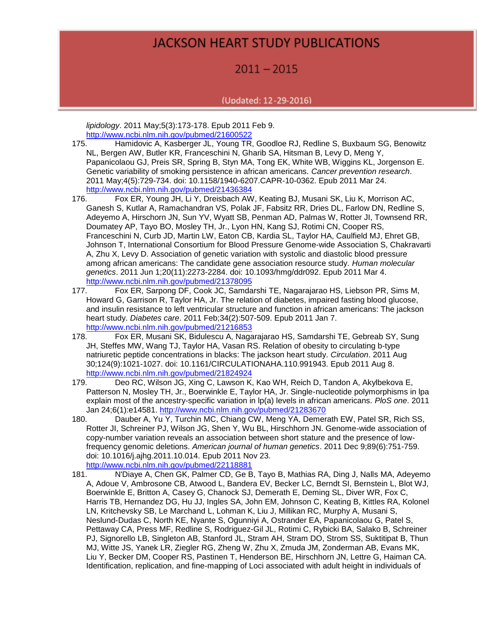### $2011 - 2015$

#### (Updated: 12-29-2016)

*lipidology*. 2011 May;5(3):173-178. Epub 2011 Feb 9. <http://www.ncbi.nlm.nih.gov/pubmed/21600522>

- 175. Hamidovic A, Kasberger JL, Young TR, Goodloe RJ, Redline S, Buxbaum SG, Benowitz NL, Bergen AW, Butler KR, Franceschini N, Gharib SA, Hitsman B, Levy D, Meng Y, Papanicolaou GJ, Preis SR, Spring B, Styn MA, Tong EK, White WB, Wiggins KL, Jorgenson E. Genetic variability of smoking persistence in african americans. *Cancer prevention research*. 2011 May;4(5):729-734. doi: 10.1158/1940-6207.CAPR-10-0362. Epub 2011 Mar 24. <http://www.ncbi.nlm.nih.gov/pubmed/21436384>
- 176. Fox ER, Young JH, Li Y, Dreisbach AW, Keating BJ, Musani SK, Liu K, Morrison AC, Ganesh S, Kutlar A, Ramachandran VS, Polak JF, Fabsitz RR, Dries DL, Farlow DN, Redline S, Adeyemo A, Hirschorn JN, Sun YV, Wyatt SB, Penman AD, Palmas W, Rotter JI, Townsend RR, Doumatey AP, Tayo BO, Mosley TH, Jr., Lyon HN, Kang SJ, Rotimi CN, Cooper RS, Franceschini N, Curb JD, Martin LW, Eaton CB, Kardia SL, Taylor HA, Caulfield MJ, Ehret GB, Johnson T, International Consortium for Blood Pressure Genome-wide Association S, Chakravarti A, Zhu X, Levy D. Association of genetic variation with systolic and diastolic blood pressure among african americans: The candidate gene association resource study. *Human molecular genetics*. 2011 Jun 1;20(11):2273-2284. doi: 10.1093/hmg/ddr092. Epub 2011 Mar 4. <http://www.ncbi.nlm.nih.gov/pubmed/21378095>
- 177. Fox ER, Sarpong DF, Cook JC, Samdarshi TE, Nagarajarao HS, Liebson PR, Sims M, Howard G, Garrison R, Taylor HA, Jr. The relation of diabetes, impaired fasting blood glucose, and insulin resistance to left ventricular structure and function in african americans: The jackson heart study. *Diabetes care*. 2011 Feb;34(2):507-509. Epub 2011 Jan 7. <http://www.ncbi.nlm.nih.gov/pubmed/21216853>
- 178. Fox ER, Musani SK, Bidulescu A, Nagarajarao HS, Samdarshi TE, Gebreab SY, Sung JH, Steffes MW, Wang TJ, Taylor HA, Vasan RS. Relation of obesity to circulating b-type natriuretic peptide concentrations in blacks: The jackson heart study. *Circulation*. 2011 Aug 30;124(9):1021-1027. doi: 10.1161/CIRCULATIONAHA.110.991943. Epub 2011 Aug 8. <http://www.ncbi.nlm.nih.gov/pubmed/21824924>
- 179. Deo RC, Wilson JG, Xing C, Lawson K, Kao WH, Reich D, Tandon A, Akylbekova E, Patterson N, Mosley TH, Jr., Boerwinkle E, Taylor HA, Jr. Single-nucleotide polymorphisms in lpa explain most of the ancestry-specific variation in lp(a) levels in african americans. *PloS one*. 2011 Jan 24;6(1):e14581.<http://www.ncbi.nlm.nih.gov/pubmed/21283670>
- 180. Dauber A, Yu Y, Turchin MC, Chiang CW, Meng YA, Demerath EW, Patel SR, Rich SS, Rotter JI, Schreiner PJ, Wilson JG, Shen Y, Wu BL, Hirschhorn JN. Genome-wide association of copy-number variation reveals an association between short stature and the presence of lowfrequency genomic deletions. *American journal of human genetics*. 2011 Dec 9;89(6):751-759. doi: 10.1016/j.ajhg.2011.10.014. Epub 2011 Nov 23. <http://www.ncbi.nlm.nih.gov/pubmed/22118881>
- 181. N'Diaye A, Chen GK, Palmer CD, Ge B, Tayo B, Mathias RA, Ding J, Nalls MA, Adeyemo A, Adoue V, Ambrosone CB, Atwood L, Bandera EV, Becker LC, Berndt SI, Bernstein L, Blot WJ, Boerwinkle E, Britton A, Casey G, Chanock SJ, Demerath E, Deming SL, Diver WR, Fox C, Harris TB, Hernandez DG, Hu JJ, Ingles SA, John EM, Johnson C, Keating B, Kittles RA, Kolonel LN, Kritchevsky SB, Le Marchand L, Lohman K, Liu J, Millikan RC, Murphy A, Musani S, Neslund-Dudas C, North KE, Nyante S, Ogunniyi A, Ostrander EA, Papanicolaou G, Patel S, Pettaway CA, Press MF, Redline S, Rodriguez-Gil JL, Rotimi C, Rybicki BA, Salako B, Schreiner PJ, Signorello LB, Singleton AB, Stanford JL, Stram AH, Stram DO, Strom SS, Suktitipat B, Thun MJ, Witte JS, Yanek LR, Ziegler RG, Zheng W, Zhu X, Zmuda JM, Zonderman AB, Evans MK, Liu Y, Becker DM, Cooper RS, Pastinen T, Henderson BE, Hirschhorn JN, Lettre G, Haiman CA. Identification, replication, and fine-mapping of Loci associated with adult height in individuals of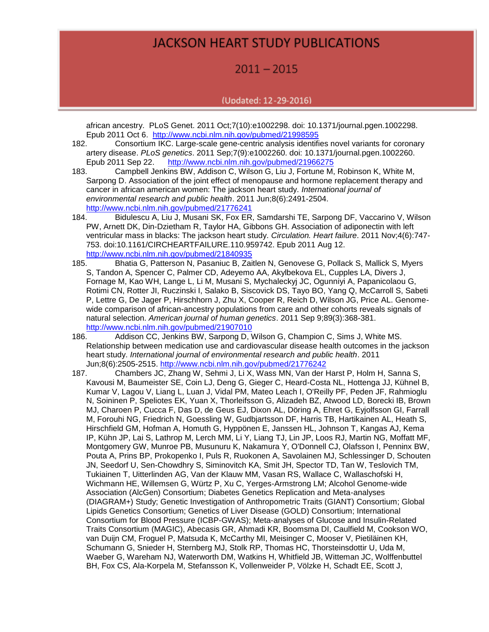### $2011 - 2015$

#### (Updated: 12-29-2016)

african ancestry. PLoS Genet. 2011 Oct;7(10):e1002298. doi: 10.1371/journal.pgen.1002298. Epub 2011 Oct 6. <http://www.ncbi.nlm.nih.gov/pubmed/21998595>

- 182. Consortium IKC. Large-scale gene-centric analysis identifies novel variants for coronary artery disease. *PLoS genetics*. 2011 Sep;7(9):e1002260. doi: 10.1371/journal.pgen.1002260. Epub 2011 Sep 22. <http://www.ncbi.nlm.nih.gov/pubmed/21966275>
- 183. Campbell Jenkins BW, Addison C, Wilson G, Liu J, Fortune M, Robinson K, White M, Sarpong D. Association of the joint effect of menopause and hormone replacement therapy and cancer in african american women: The jackson heart study. *International journal of environmental research and public health*. 2011 Jun;8(6):2491-2504. <http://www.ncbi.nlm.nih.gov/pubmed/21776241>
- 184. Bidulescu A, Liu J, Musani SK, Fox ER, Samdarshi TE, Sarpong DF, Vaccarino V, Wilson PW, Arnett DK, Din-Dzietham R, Taylor HA, Gibbons GH. Association of adiponectin with left ventricular mass in blacks: The jackson heart study. *Circulation. Heart failure*. 2011 Nov;4(6):747- 753. doi:10.1161/CIRCHEARTFAILURE.110.959742. Epub 2011 Aug 12. <http://www.ncbi.nlm.nih.gov/pubmed/21840935>
- 185. Bhatia G, Patterson N, Pasaniuc B, Zaitlen N, Genovese G, Pollack S, Mallick S, Myers S, Tandon A, Spencer C, Palmer CD, Adeyemo AA, Akylbekova EL, Cupples LA, Divers J, Fornage M, Kao WH, Lange L, Li M, Musani S, Mychaleckyj JC, Ogunniyi A, Papanicolaou G, Rotimi CN, Rotter JI, Ruczinski I, Salako B, Siscovick DS, Tayo BO, Yang Q, McCarroll S, Sabeti P, Lettre G, De Jager P, Hirschhorn J, Zhu X, Cooper R, Reich D, Wilson JG, Price AL. Genomewide comparison of african-ancestry populations from care and other cohorts reveals signals of natural selection. *American journal of human genetics*. 2011 Sep 9;89(3):368-381. <http://www.ncbi.nlm.nih.gov/pubmed/21907010>
- 186. Addison CC, Jenkins BW, Sarpong D, Wilson G, Champion C, Sims J, White MS. Relationship between medication use and cardiovascular disease health outcomes in the jackson heart study. *International journal of environmental research and public health*. 2011 Jun;8(6):2505-2515.<http://www.ncbi.nlm.nih.gov/pubmed/21776242>
- 187. Chambers JC, Zhang W, Sehmi J, Li X, Wass MN, Van der Harst P, Holm H, Sanna S, Kavousi M, Baumeister SE, Coin LJ, Deng G, Gieger C, Heard-Costa NL, Hottenga JJ, Kühnel B, Kumar V, Lagou V, Liang L, Luan J, Vidal PM, Mateo Leach I, O'Reilly PF, Peden JF, Rahmioglu N, Soininen P, Speliotes EK, Yuan X, Thorleifsson G, Alizadeh BZ, Atwood LD, Borecki IB, Brown MJ, Charoen P, Cucca F, Das D, de Geus EJ, Dixon AL, Döring A, Ehret G, Eyjolfsson GI, Farrall M, Forouhi NG, Friedrich N, Goessling W, Gudbjartsson DF, Harris TB, Hartikainen AL, Heath S, Hirschfield GM, Hofman A, Homuth G, Hyppönen E, Janssen HL, Johnson T, Kangas AJ, Kema IP, Kühn JP, Lai S, Lathrop M, Lerch MM, Li Y, Liang TJ, Lin JP, Loos RJ, Martin NG, Moffatt MF, Montgomery GW, Munroe PB, Musunuru K, Nakamura Y, O'Donnell CJ, Olafsson I, Penninx BW, Pouta A, Prins BP, Prokopenko I, Puls R, Ruokonen A, Savolainen MJ, Schlessinger D, Schouten JN, Seedorf U, Sen-Chowdhry S, Siminovitch KA, Smit JH, Spector TD, Tan W, Teslovich TM, Tukiainen T, Uitterlinden AG, Van der Klauw MM, Vasan RS, Wallace C, Wallaschofski H, Wichmann HE, Willemsen G, Würtz P, Xu C, Yerges-Armstrong LM; Alcohol Genome-wide Association (AlcGen) Consortium; Diabetes Genetics Replication and Meta-analyses (DIAGRAM+) Study; Genetic Investigation of Anthropometric Traits (GIANT) Consortium; Global Lipids Genetics Consortium; Genetics of Liver Disease (GOLD) Consortium; International Consortium for Blood Pressure (ICBP-GWAS); Meta-analyses of Glucose and Insulin-Related Traits Consortium (MAGIC), Abecasis GR, Ahmadi KR, Boomsma DI, Caulfield M, Cookson WO, van Duijn CM, Froguel P, Matsuda K, McCarthy MI, Meisinger C, Mooser V, Pietiläinen KH, Schumann G, Snieder H, Sternberg MJ, Stolk RP, Thomas HC, Thorsteinsdottir U, Uda M, Waeber G, Wareham NJ, Waterworth DM, Watkins H, Whitfield JB, Witteman JC, Wolffenbuttel BH, Fox CS, Ala-Korpela M, Stefansson K, Vollenweider P, Völzke H, Schadt EE, Scott J,